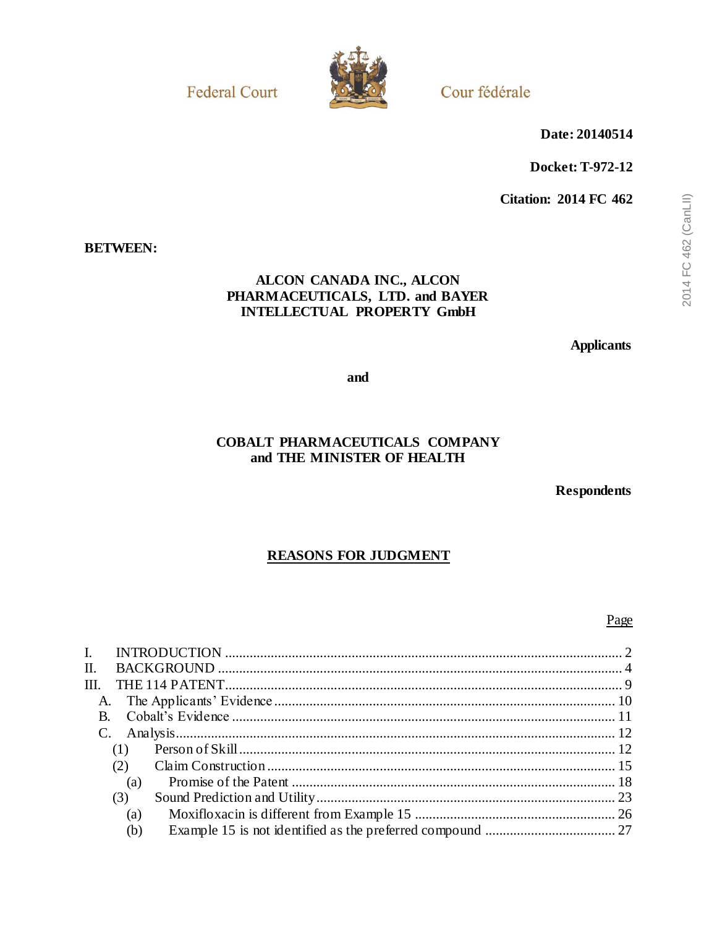**Federal Court** 



Cour fédérale

Date: 20140514

Docket: T-972-12

**Citation: 2014 FC 462** 

## **BETWEEN:**

# ALCON CANADA INC., ALCON PHARMACEUTICALS, LTD. and BAYER **INTELLECTUAL PROPERTY GmbH**

**Applicants** 

and

# **COBALT PHARMACEUTICALS COMPANY** and THE MINISTER OF HEALTH

**Respondents** 

# **REASONS FOR JUDGMENT**

### Page

| L.              |     |  |
|-----------------|-----|--|
| П.              |     |  |
| III.            |     |  |
|                 |     |  |
|                 |     |  |
| $\mathcal{C}$ . |     |  |
|                 | (1) |  |
|                 | (2) |  |
|                 | (a) |  |
|                 | (3) |  |
|                 | (a) |  |
|                 | (b) |  |
|                 |     |  |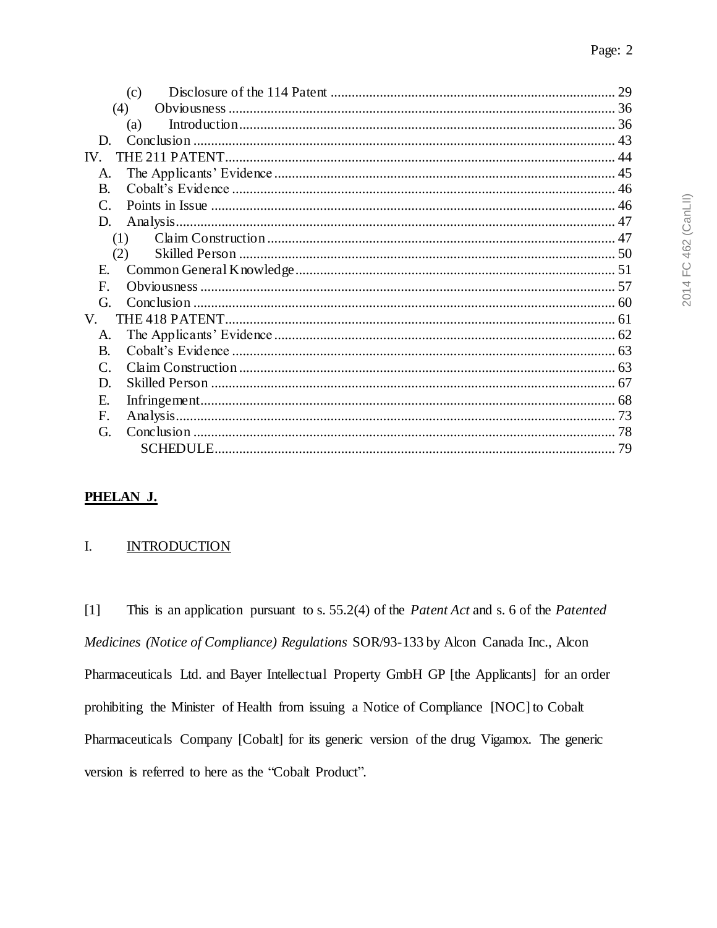|                 | (c) | 29 |
|-----------------|-----|----|
|                 | (4) |    |
|                 | (a) |    |
| D.              |     |    |
| IV.             |     |    |
| A.              |     |    |
| <b>B.</b>       |     |    |
| $\mathcal{C}$ . |     |    |
| D.              |     |    |
|                 | (1) |    |
|                 | (2) |    |
| E.              |     |    |
| F.              |     |    |
| G.              |     |    |
| V.              |     |    |
| A.              |     |    |
| <b>B.</b>       |     |    |
| $\mathsf{C}$    |     |    |
| D.              |     |    |
| Е.              |     |    |
| F.              |     |    |
| G.              |     |    |
|                 |     |    |
|                 |     |    |

# PHELAN J.

#### <span id="page-1-0"></span>**INTRODUCTION** I.

This is an application pursuant to s. 55.2(4) of the *Patent Act* and s. 6 of the *Patented*  $[1]$ Medicines (Notice of Compliance) Regulations SOR/93-133 by Alcon Canada Inc., Alcon Pharmaceuticals Ltd. and Bayer Intellectual Property GmbH GP [the Applicants] for an order prohibiting the Minister of Health from issuing a Notice of Compliance [NOC] to Cobalt Pharmaceuticals Company [Cobalt] for its generic version of the drug Vigamox. The generic version is referred to here as the "Cobalt Product".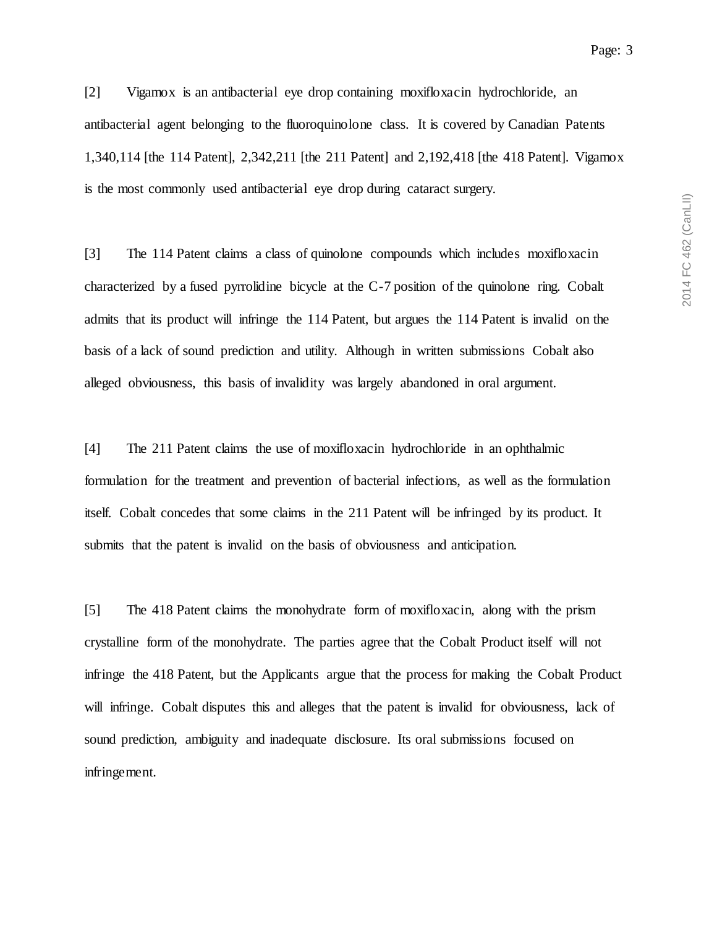[2] Vigamox is an antibacterial eye drop containing moxifloxacin hydrochloride, an antibacterial agent belonging to the fluoroquinolone class. It is covered by Canadian Patents 1,340,114 [the 114 Patent], 2,342,211 [the 211 Patent] and 2,192,418 [the 418 Patent]. Vigamox is the most commonly used antibacterial eye drop during cataract surgery.

[3] The 114 Patent claims a class of quinolone compounds which includes moxifloxacin characterized by a fused pyrrolidine bicycle at the C-7 position of the quinolone ring. Cobalt admits that its product will infringe the 114 Patent, but argues the 114 Patent is invalid on the basis of a lack of sound prediction and utility. Although in written submissions Cobalt also alleged obviousness, this basis of invalidity was largely abandoned in oral argument.

[4] The 211 Patent claims the use of moxifloxacin hydrochloride in an ophthalmic formulation for the treatment and prevention of bacterial infections, as well as the formulation itself. Cobalt concedes that some claims in the 211 Patent will be infringed by its product. It submits that the patent is invalid on the basis of obviousness and anticipation.

[5] The 418 Patent claims the monohydrate form of moxifloxacin, along with the prism crystalline form of the monohydrate. The parties agree that the Cobalt Product itself will not infringe the 418 Patent, but the Applicants argue that the process for making the Cobalt Product will infringe. Cobalt disputes this and alleges that the patent is invalid for obviousness, lack of sound prediction, ambiguity and inadequate disclosure. Its oral submissions focused on infringement.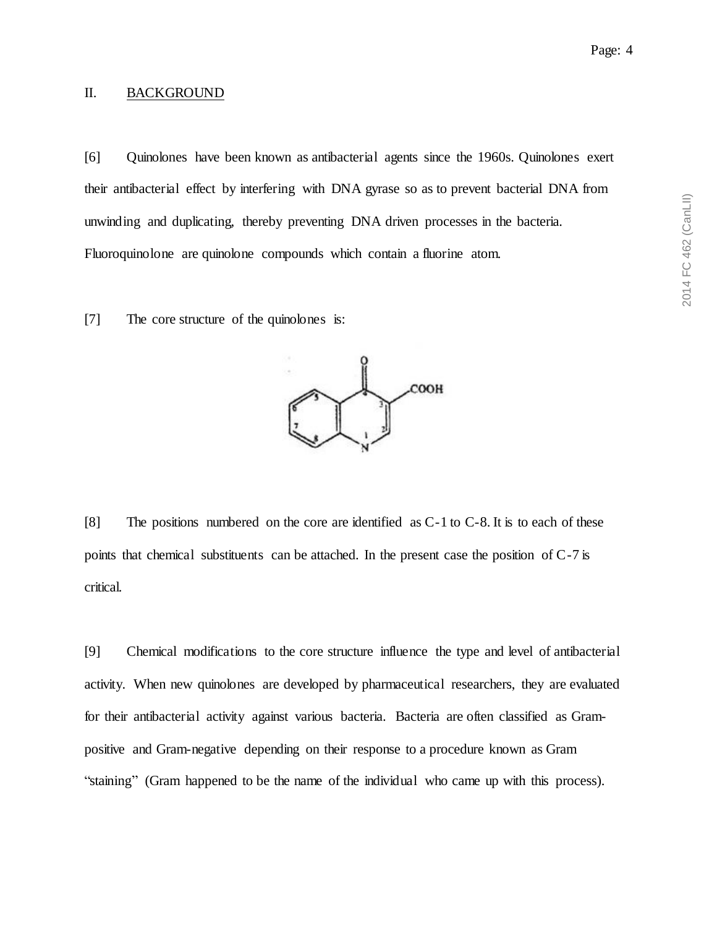## <span id="page-3-0"></span>II. BACKGROUND

[6] Quinolones have been known as antibacterial agents since the 1960s. Quinolones exert their antibacterial effect by interfering with DNA gyrase so as to prevent bacterial DNA from unwinding and duplicating, thereby preventing DNA driven processes in the bacteria. Fluoroquinolone are quinolone compounds which contain a fluorine atom.

[7] The core structure of the quinolones is:



[8] The positions numbered on the core are identified as C-1 to C-8. It is to each of these points that chemical substituents can be attached. In the present case the position of C-7 is critical.

[9] Chemical modifications to the core structure influence the type and level of antibacterial activity. When new quinolones are developed by pharmaceutical researchers, they are evaluated for their antibacterial activity against various bacteria. Bacteria are often classified as Grampositive and Gram-negative depending on their response to a procedure known as Gram "staining" (Gram happened to be the name of the individual who came up with this process).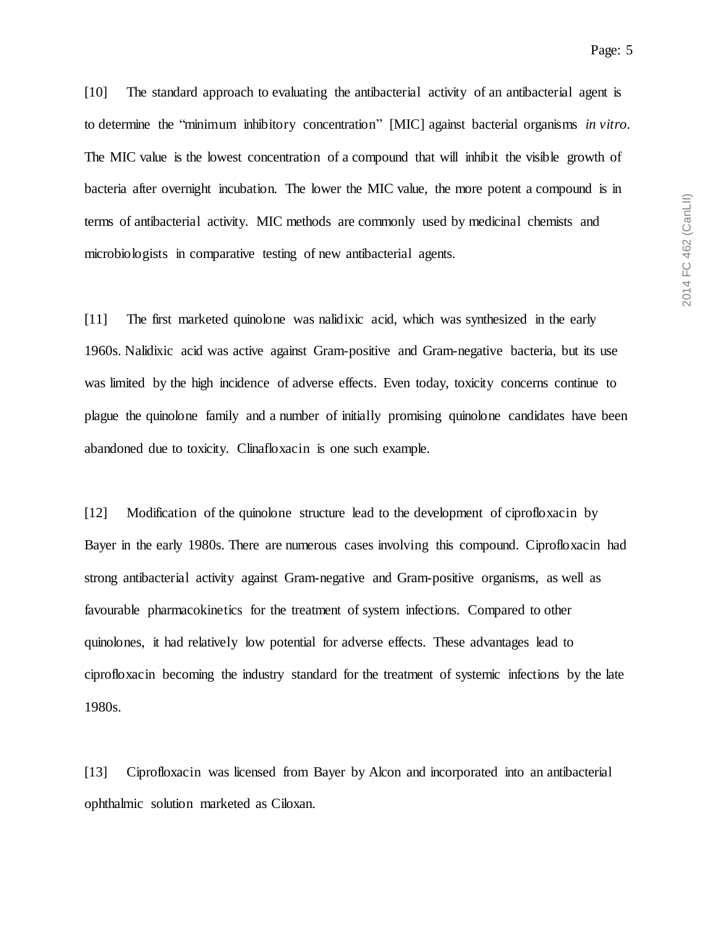[10] The standard approach to evaluating the antibacterial activity of an antibacterial agent is to determine the "minimum inhibitory concentration" [MIC] against bacterial organisms *in vitro*. The MIC value is the lowest concentration of a compound that will inhibit the visible growth of bacteria after overnight incubation. The lower the MIC value, the more potent a compound is in terms of antibacterial activity. MIC methods are commonly used by medicinal chemists and microbiologists in comparative testing of new antibacterial agents.

[11] The first marketed quinolone was nalidixic acid, which was synthesized in the early 1960s. Nalidixic acid was active against Gram-positive and Gram-negative bacteria, but its use was limited by the high incidence of adverse effects. Even today, toxicity concerns continue to plague the quinolone family and a number of initially promising quinolone candidates have been abandoned due to toxicity. Clinafloxacin is one such example.

[12] Modification of the quinolone structure lead to the development of ciprofloxacin by Bayer in the early 1980s. There are numerous cases involving this compound. Ciprofloxacin had strong antibacterial activity against Gram-negative and Gram-positive organisms, as well as favourable pharmacokinetics for the treatment of system infections. Compared to other quinolones, it had relatively low potential for adverse effects. These advantages lead to ciprofloxacin becoming the industry standard for the treatment of systemic infections by the late 1980s.

[13] Ciprofloxacin was licensed from Bayer by Alcon and incorporated into an antibacterial ophthalmic solution marketed as Ciloxan.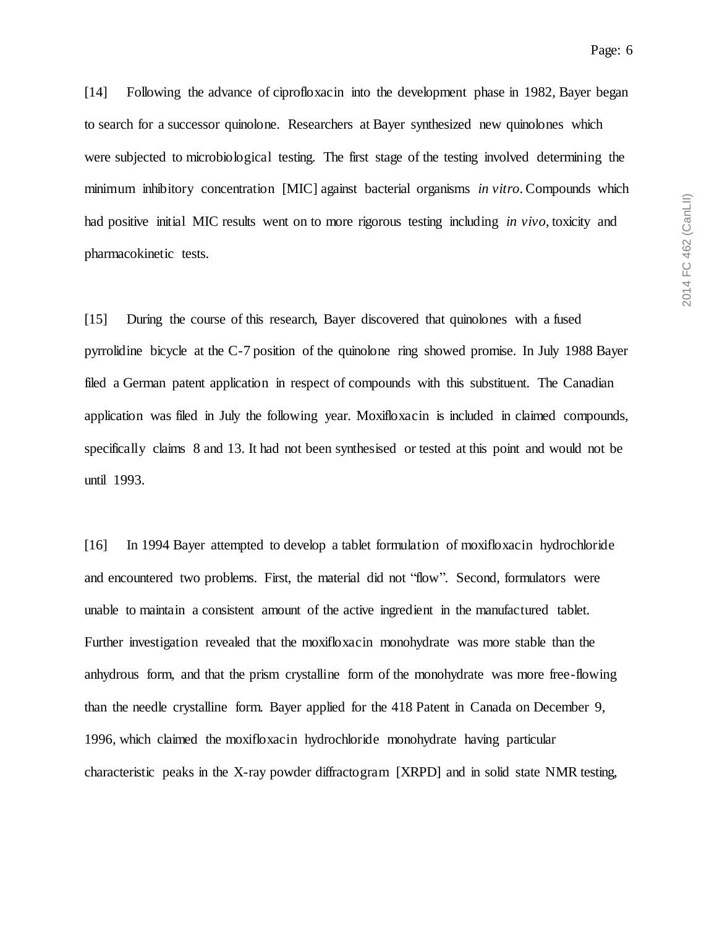[14] Following the advance of ciprofloxacin into the development phase in 1982, Bayer began to search for a successor quinolone. Researchers at Bayer synthesized new quinolones which were subjected to microbiological testing. The first stage of the testing involved determining the minimum inhibitory concentration [MIC] against bacterial organisms *in vitro*. Compounds which had positive initial MIC results went on to more rigorous testing including *in vivo*, toxicity and pharmacokinetic tests.

[15] During the course of this research, Bayer discovered that quinolones with a fused pyrrolidine bicycle at the C-7 position of the quinolone ring showed promise. In July 1988 Bayer filed a German patent application in respect of compounds with this substituent. The Canadian application was filed in July the following year. Moxifloxacin is included in claimed compounds, specifically claims 8 and 13. It had not been synthesised or tested at this point and would not be until 1993.

[16] In 1994 Bayer attempted to develop a tablet formulation of moxifloxacin hydrochloride and encountered two problems. First, the material did not "flow". Second, formulators were unable to maintain a consistent amount of the active ingredient in the manufactured tablet. Further investigation revealed that the moxifloxacin monohydrate was more stable than the anhydrous form, and that the prism crystalline form of the monohydrate was more free-flowing than the needle crystalline form. Bayer applied for the 418 Patent in Canada on December 9, 1996, which claimed the moxifloxacin hydrochloride monohydrate having particular characteristic peaks in the X-ray powder diffractogram [XRPD] and in solid state NMR testing,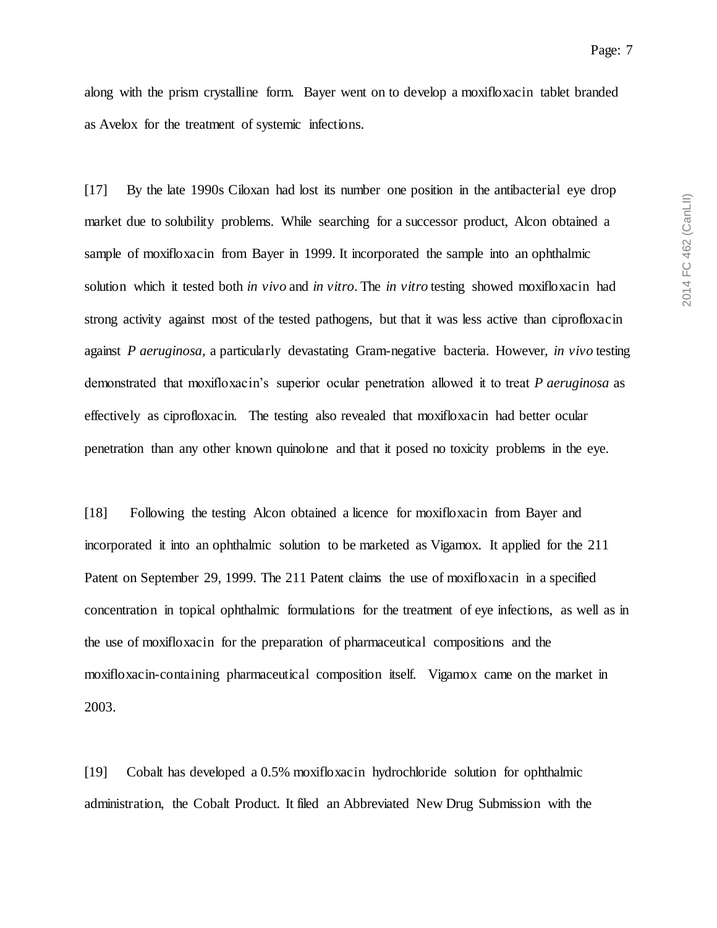along with the prism crystalline form. Bayer went on to develop a moxifloxacin tablet branded as Avelox for the treatment of systemic infections.

[17] By the late 1990s Ciloxan had lost its number one position in the antibacterial eye drop market due to solubility problems. While searching for a successor product, Alcon obtained a sample of moxifloxacin from Bayer in 1999. It incorporated the sample into an ophthalmic solution which it tested both *in vivo* and *in vitro*. The *in vitro* testing showed moxifloxacin had strong activity against most of the tested pathogens, but that it was less active than ciprofloxacin against *P aeruginosa*, a particularly devastating Gram-negative bacteria. However, *in vivo* testing demonstrated that moxifloxacin's superior ocular penetration allowed it to treat *P aeruginosa* as effectively as ciprofloxacin. The testing also revealed that moxifloxacin had better ocular penetration than any other known quinolone and that it posed no toxicity problems in the eye.

[18] Following the testing Alcon obtained a licence for moxifloxacin from Bayer and incorporated it into an ophthalmic solution to be marketed as Vigamox. It applied for the 211 Patent on September 29, 1999. The 211 Patent claims the use of moxifloxacin in a specified concentration in topical ophthalmic formulations for the treatment of eye infections, as well as in the use of moxifloxacin for the preparation of pharmaceutical compositions and the moxifloxacin-containing pharmaceutical composition itself. Vigamox came on the market in 2003.

[19] Cobalt has developed a 0.5% moxifloxacin hydrochloride solution for ophthalmic administration, the Cobalt Product. It filed an Abbreviated New Drug Submission with the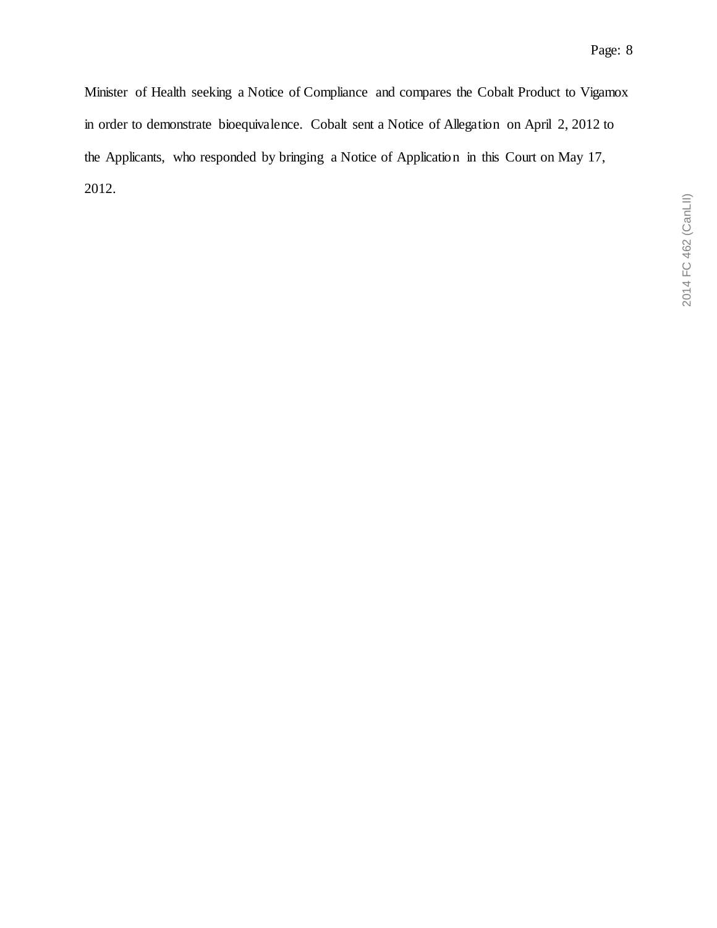Minister of Health seeking a Notice of Compliance and compares the Cobalt Product to Vigamox in order to demonstrate bioequivalence. Cobalt sent a Notice of Allegation on April 2, 2012 to the Applicants, who responded by bringing a Notice of Application in this Court on May 17, 2012.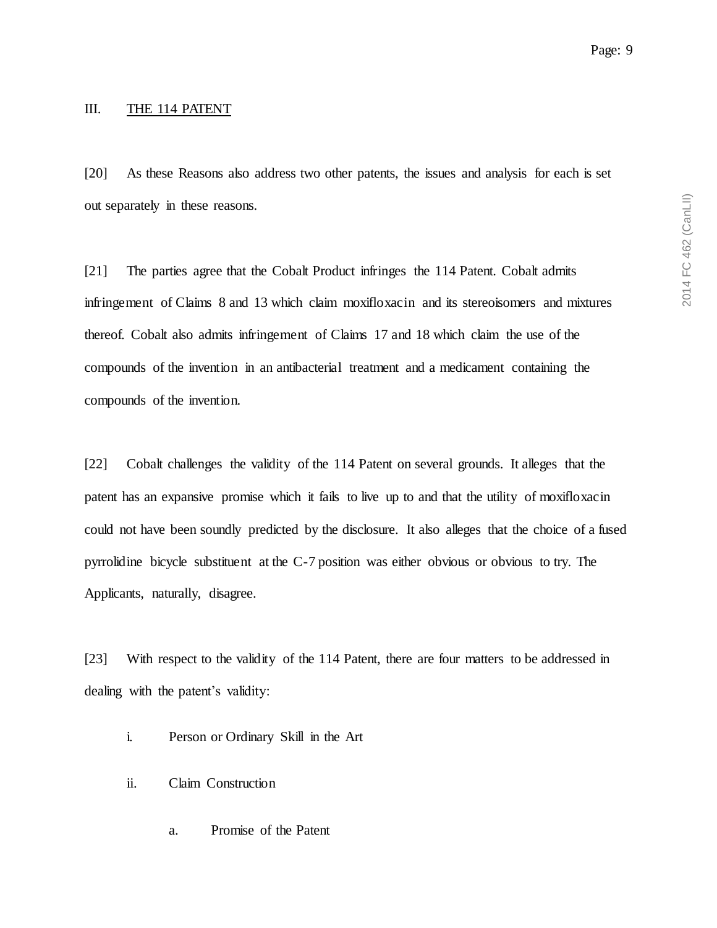#### <span id="page-8-0"></span>III. THE 114 PATENT

[20] As these Reasons also address two other patents, the issues and analysis for each is set out separately in these reasons.

[21] The parties agree that the Cobalt Product infringes the 114 Patent. Cobalt admits infringement of Claims 8 and 13 which claim moxifloxacin and its stereoisomers and mixtures thereof. Cobalt also admits infringement of Claims 17 and 18 which claim the use of the compounds of the invention in an antibacterial treatment and a medicament containing the compounds of the invention.

[22] Cobalt challenges the validity of the 114 Patent on several grounds. It alleges that the patent has an expansive promise which it fails to live up to and that the utility of moxifloxacin could not have been soundly predicted by the disclosure. It also alleges that the choice of a fused pyrrolidine bicycle substituent at the C-7 position was either obvious or obvious to try. The Applicants, naturally, disagree.

[23] With respect to the validity of the 114 Patent, there are four matters to be addressed in dealing with the patent's validity:

- i. Person or Ordinary Skill in the Art
- ii. Claim Construction
	- a. Promise of the Patent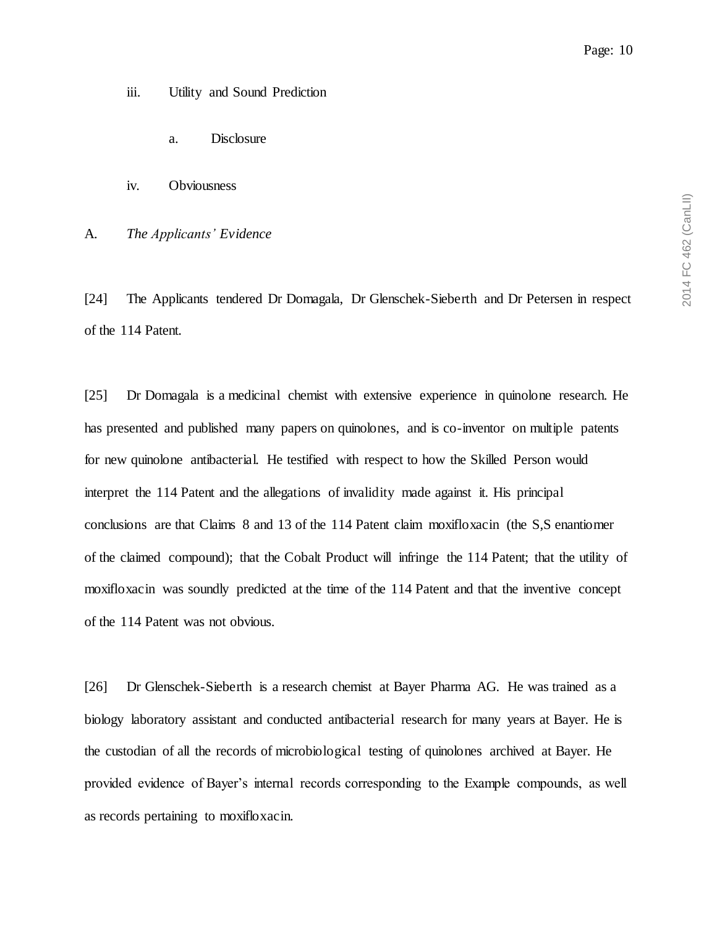- iii. Utility and Sound Prediction
	- a. Disclosure
- iv. Obviousness

<span id="page-9-0"></span>A. *The Applicants' Evidence*

[24] The Applicants tendered Dr Domagala, Dr Glenschek-Sieberth and Dr Petersen in respect of the 114 Patent.

[25] Dr Domagala is a medicinal chemist with extensive experience in quinolone research. He has presented and published many papers on quinolones, and is co-inventor on multiple patents for new quinolone antibacterial. He testified with respect to how the Skilled Person would interpret the 114 Patent and the allegations of invalidity made against it. His principal conclusions are that Claims 8 and 13 of the 114 Patent claim moxifloxacin (the S,S enantiomer of the claimed compound); that the Cobalt Product will infringe the 114 Patent; that the utility of moxifloxacin was soundly predicted at the time of the 114 Patent and that the inventive concept of the 114 Patent was not obvious.

[26] Dr Glenschek-Sieberth is a research chemist at Bayer Pharma AG. He was trained as a biology laboratory assistant and conducted antibacterial research for many years at Bayer. He is the custodian of all the records of microbiological testing of quinolones archived at Bayer. He provided evidence of Bayer's internal records corresponding to the Example compounds, as well as records pertaining to moxifloxacin.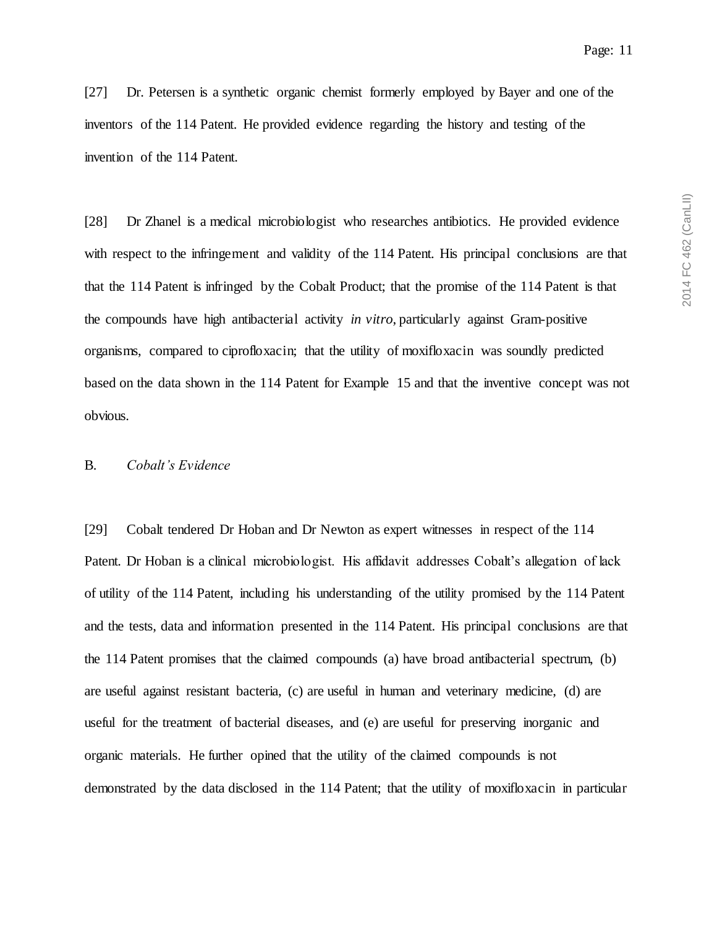[27] Dr. Petersen is a synthetic organic chemist formerly employed by Bayer and one of the inventors of the 114 Patent. He provided evidence regarding the history and testing of the invention of the 114 Patent.

[28] Dr Zhanel is a medical microbiologist who researches antibiotics. He provided evidence with respect to the infringement and validity of the 114 Patent. His principal conclusions are that that the 114 Patent is infringed by the Cobalt Product; that the promise of the 114 Patent is that the compounds have high antibacterial activity *in vitro*, particularly against Gram-positive organisms, compared to ciprofloxacin; that the utility of moxifloxacin was soundly predicted based on the data shown in the 114 Patent for Example 15 and that the inventive concept was not obvious.

#### <span id="page-10-0"></span>B. *Cobalt's Evidence*

[29] Cobalt tendered Dr Hoban and Dr Newton as expert witnesses in respect of the 114 Patent. Dr Hoban is a clinical microbiologist. His affidavit addresses Cobalt's allegation of lack of utility of the 114 Patent, including his understanding of the utility promised by the 114 Patent and the tests, data and information presented in the 114 Patent. His principal conclusions are that the 114 Patent promises that the claimed compounds (a) have broad antibacterial spectrum, (b) are useful against resistant bacteria, (c) are useful in human and veterinary medicine, (d) are useful for the treatment of bacterial diseases, and (e) are useful for preserving inorganic and organic materials. He further opined that the utility of the claimed compounds is not demonstrated by the data disclosed in the 114 Patent; that the utility of moxifloxacin in particular

2014 FC 462 (CanLII) 2014 FC 462 (CanLII)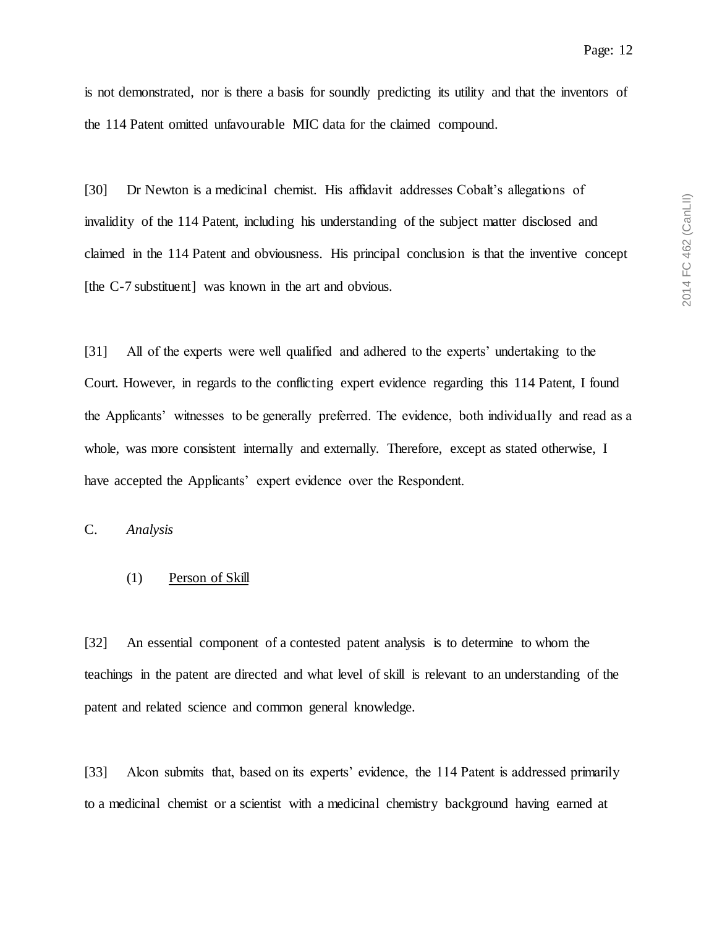is not demonstrated, nor is there a basis for soundly predicting its utility and that the inventors of the 114 Patent omitted unfavourable MIC data for the claimed compound.

[30] Dr Newton is a medicinal chemist. His affidavit addresses Cobalt's allegations of invalidity of the 114 Patent, including his understanding of the subject matter disclosed and claimed in the 114 Patent and obviousness. His principal conclusion is that the inventive concept [the C-7 substituent] was known in the art and obvious.

[31] All of the experts were well qualified and adhered to the experts' undertaking to the Court. However, in regards to the conflicting expert evidence regarding this 114 Patent, I found the Applicants' witnesses to be generally preferred. The evidence, both individually and read as a whole, was more consistent internally and externally. Therefore, except as stated otherwise, I have accepted the Applicants' expert evidence over the Respondent.

<span id="page-11-1"></span><span id="page-11-0"></span>C. *Analysis*

#### (1) Person of Skill

[32] An essential component of a contested patent analysis is to determine to whom the teachings in the patent are directed and what level of skill is relevant to an understanding of the patent and related science and common general knowledge.

[33] Alcon submits that, based on its experts' evidence, the 114 Patent is addressed primarily to a medicinal chemist or a scientist with a medicinal chemistry background having earned at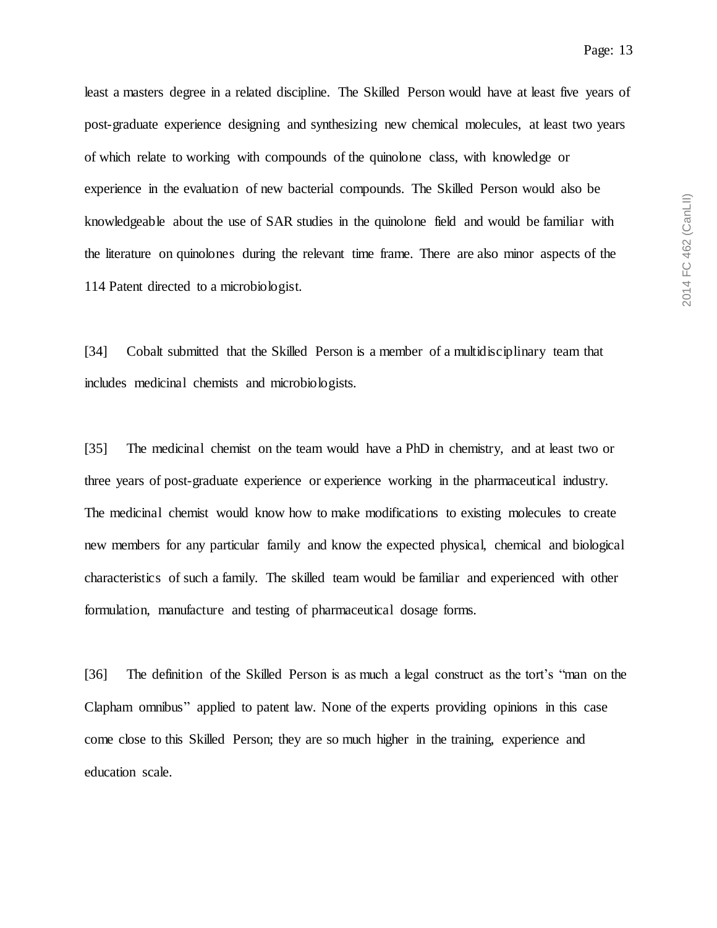2014 FC 462 (CanLII) 2014 FC 462 (CanLII)

least a masters degree in a related discipline. The Skilled Person would have at least five years of post-graduate experience designing and synthesizing new chemical molecules, at least two years of which relate to working with compounds of the quinolone class, with knowledge or experience in the evaluation of new bacterial compounds. The Skilled Person would also be knowledgeable about the use of SAR studies in the quinolone field and would be familiar with the literature on quinolones during the relevant time frame. There are also minor aspects of the 114 Patent directed to a microbiologist.

[34] Cobalt submitted that the Skilled Person is a member of a multidisciplinary team that includes medicinal chemists and microbiologists.

[35] The medicinal chemist on the team would have a PhD in chemistry, and at least two or three years of post-graduate experience or experience working in the pharmaceutical industry. The medicinal chemist would know how to make modifications to existing molecules to create new members for any particular family and know the expected physical, chemical and biological characteristics of such a family. The skilled team would be familiar and experienced with other formulation, manufacture and testing of pharmaceutical dosage forms.

[36] The definition of the Skilled Person is as much a legal construct as the tort's "man on the Clapham omnibus" applied to patent law. None of the experts providing opinions in this case come close to this Skilled Person; they are so much higher in the training, experience and education scale.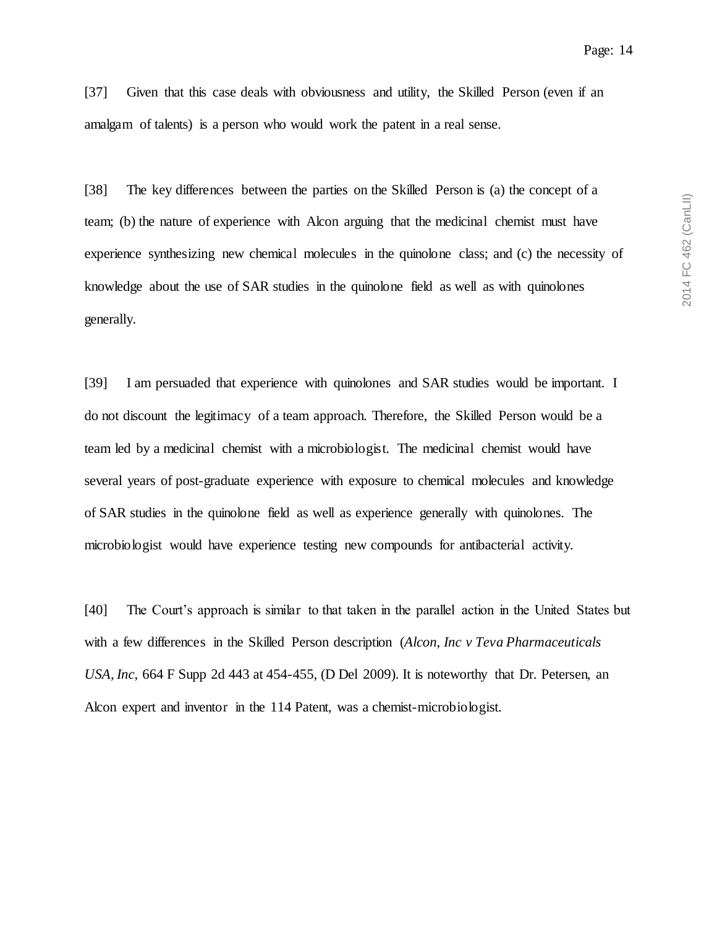[37] Given that this case deals with obviousness and utility, the Skilled Person (even if an amalgam of talents) is a person who would work the patent in a real sense.

[38] The key differences between the parties on the Skilled Person is (a) the concept of a team; (b) the nature of experience with Alcon arguing that the medicinal chemist must have experience synthesizing new chemical molecules in the quinolone class; and (c) the necessity of knowledge about the use of SAR studies in the quinolone field as well as with quinolones generally.

[39] I am persuaded that experience with quinolones and SAR studies would be important. I do not discount the legitimacy of a team approach. Therefore, the Skilled Person would be a team led by a medicinal chemist with a microbiologist. The medicinal chemist would have several years of post-graduate experience with exposure to chemical molecules and knowledge of SAR studies in the quinolone field as well as experience generally with quinolones. The microbiologist would have experience testing new compounds for antibacterial activity.

[40] The Court's approach is similar to that taken in the parallel action in the United States but with a few differences in the Skilled Person description (*Alcon, Inc v Teva Pharmaceuticals USA, Inc*, 664 F Supp 2d 443 at 454-455, (D Del 2009). It is noteworthy that Dr. Petersen, an Alcon expert and inventor in the 114 Patent, was a chemist-microbiologist.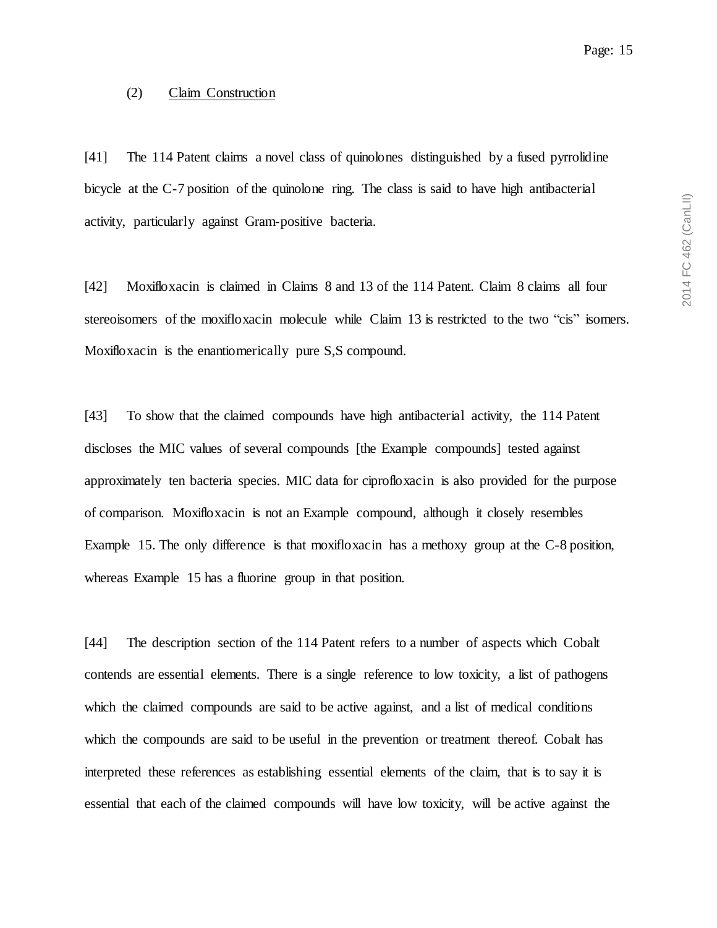#### <span id="page-14-0"></span>(2) Claim Construction

[41] The 114 Patent claims a novel class of quinolones distinguished by a fused pyrrolidine bicycle at the C-7 position of the quinolone ring. The class is said to have high antibacterial activity, particularly against Gram-positive bacteria.

[42] Moxifloxacin is claimed in Claims 8 and 13 of the 114 Patent. Claim 8 claims all four stereoisomers of the moxifloxacin molecule while Claim 13 is restricted to the two "cis" isomers. Moxifloxacin is the enantiomerically pure S,S compound.

[43] To show that the claimed compounds have high antibacterial activity, the 114 Patent discloses the MIC values of several compounds [the Example compounds] tested against approximately ten bacteria species. MIC data for ciprofloxacin is also provided for the purpose of comparison. Moxifloxacin is not an Example compound, although it closely resembles Example 15. The only difference is that moxifloxacin has a methoxy group at the C-8 position, whereas Example 15 has a fluorine group in that position.

[44] The description section of the 114 Patent refers to a number of aspects which Cobalt contends are essential elements. There is a single reference to low toxicity, a list of pathogens which the claimed compounds are said to be active against, and a list of medical conditions which the compounds are said to be useful in the prevention or treatment thereof. Cobalt has interpreted these references as establishing essential elements of the claim, that is to say it is essential that each of the claimed compounds will have low toxicity, will be active against the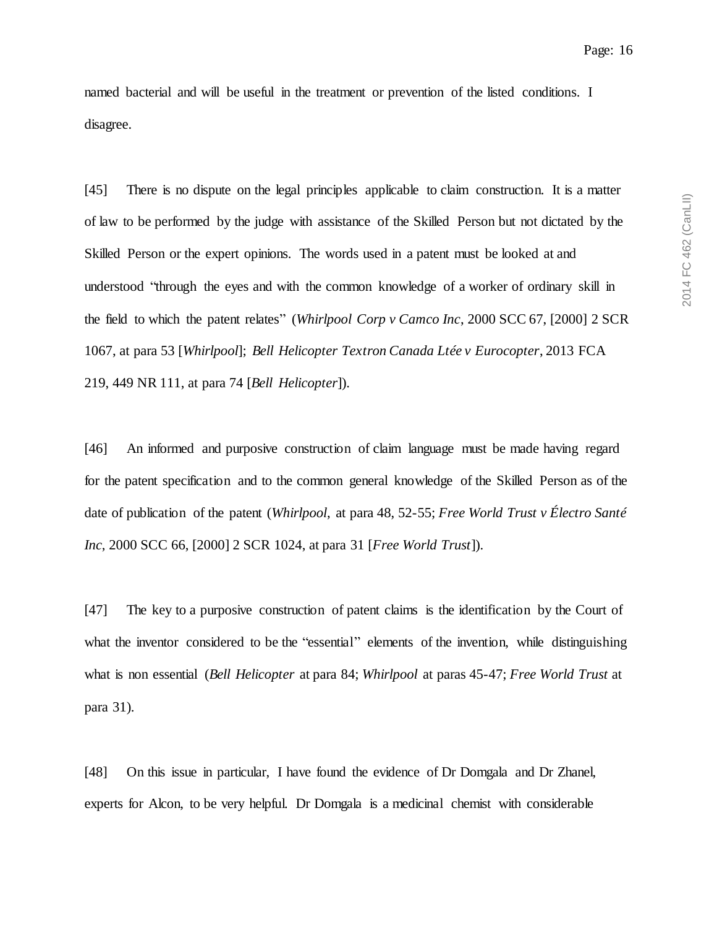named bacterial and will be useful in the treatment or prevention of the listed conditions. I disagree.

[45] There is no dispute on the legal principles applicable to claim construction. It is a matter of law to be performed by the judge with assistance of the Skilled Person but not dictated by the Skilled Person or the expert opinions. The words used in a patent must be looked at and understood "through the eyes and with the common knowledge of a worker of ordinary skill in the field to which the patent relates" (*Whirlpool Corp v Camco Inc*, 2000 SCC 67, [2000] 2 SCR 1067, at para 53 [*Whirlpool*]; *Bell Helicopter Textron Canada Ltée v Eurocopter*, 2013 FCA 219, 449 NR 111, at para 74 [*Bell Helicopter*]).

[46] An informed and purposive construction of claim language must be made having regard for the patent specification and to the common general knowledge of the Skilled Person as of the date of publication of the patent (*Whirlpool*, at para 48, 52-55; *Free World Trust v Électro Santé Inc*, 2000 SCC 66, [2000] 2 SCR 1024, at para 31 [*Free World Trust*]).

[47] The key to a purposive construction of patent claims is the identification by the Court of what the inventor considered to be the "essential" elements of the invention, while distinguishing what is non essential (*Bell Helicopter* at para 84; *Whirlpool* at paras 45-47; *Free World Trust* at para 31).

[48] On this issue in particular, I have found the evidence of Dr Domgala and Dr Zhanel, experts for Alcon, to be very helpful. Dr Domgala is a medicinal chemist with considerable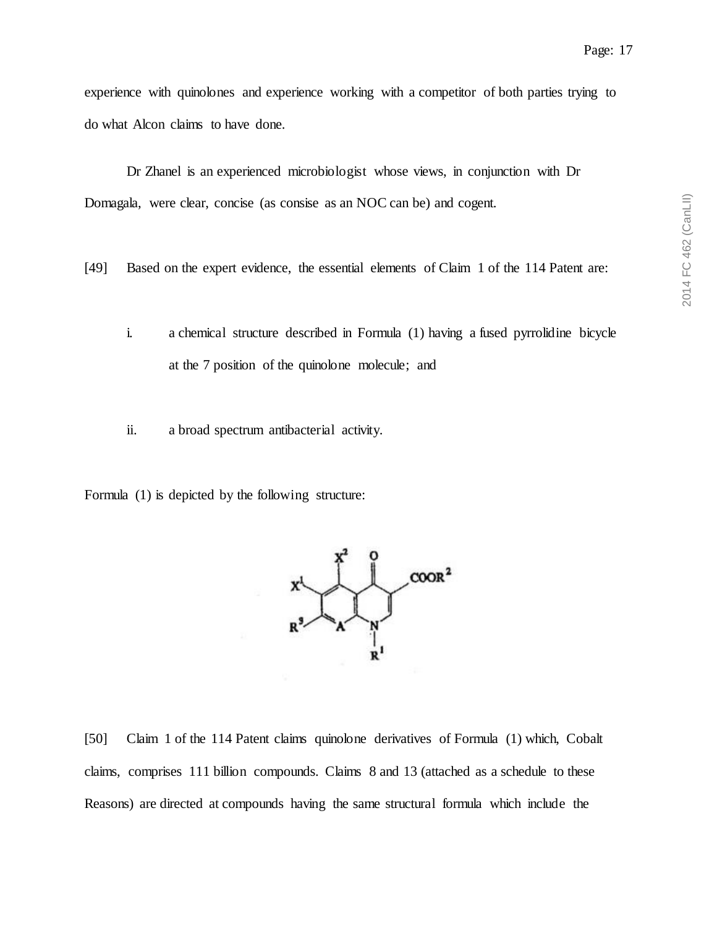experience with quinolones and experience working with a competitor of both parties trying to do what Alcon claims to have done.

Dr Zhanel is an experienced microbiologist whose views, in conjunction with Dr Domagala, were clear, concise (as consise as an NOC can be) and cogent.

- [49] Based on the expert evidence, the essential elements of Claim 1 of the 114 Patent are:
	- i. a chemical structure described in Formula (1) having a fused pyrrolidine bicycle at the 7 position of the quinolone molecule; and
	- ii. a broad spectrum antibacterial activity.

Formula (1) is depicted by the following structure:



[50] Claim 1 of the 114 Patent claims quinolone derivatives of Formula (1) which, Cobalt claims, comprises 111 billion compounds. Claims 8 and 13 (attached as a schedule to these Reasons) are directed at compounds having the same structural formula which include the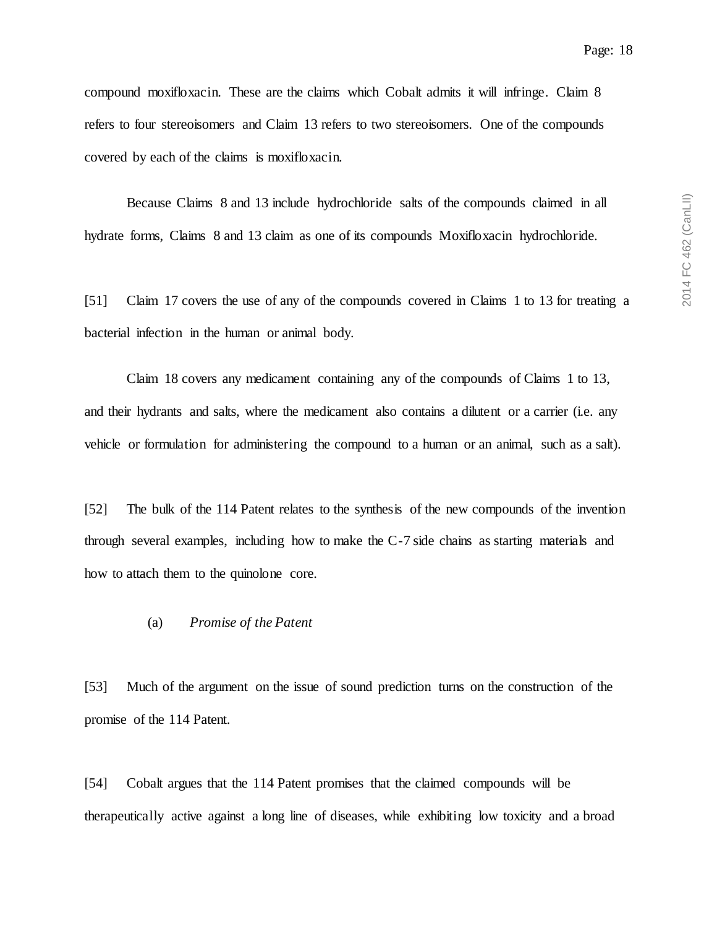compound moxifloxacin. These are the claims which Cobalt admits it will infringe. Claim 8 refers to four stereoisomers and Claim 13 refers to two stereoisomers. One of the compounds covered by each of the claims is moxifloxacin.

Because Claims 8 and 13 include hydrochloride salts of the compounds claimed in all hydrate forms, Claims 8 and 13 claim as one of its compounds Moxifloxacin hydrochloride.

[51] Claim 17 covers the use of any of the compounds covered in Claims 1 to 13 for treating a bacterial infection in the human or animal body.

Claim 18 covers any medicament containing any of the compounds of Claims 1 to 13, and their hydrants and salts, where the medicament also contains a dilutent or a carrier (i.e. any vehicle or formulation for administering the compound to a human or an animal, such as a salt).

[52] The bulk of the 114 Patent relates to the synthesis of the new compounds of the invention through several examples, including how to make the C-7 side chains as starting materials and how to attach them to the quinolone core.

#### <span id="page-17-0"></span>(a) *Promise of the Patent*

[53] Much of the argument on the issue of sound prediction turns on the construction of the promise of the 114 Patent.

[54] Cobalt argues that the 114 Patent promises that the claimed compounds will be therapeutically active against a long line of diseases, while exhibiting low toxicity and a broad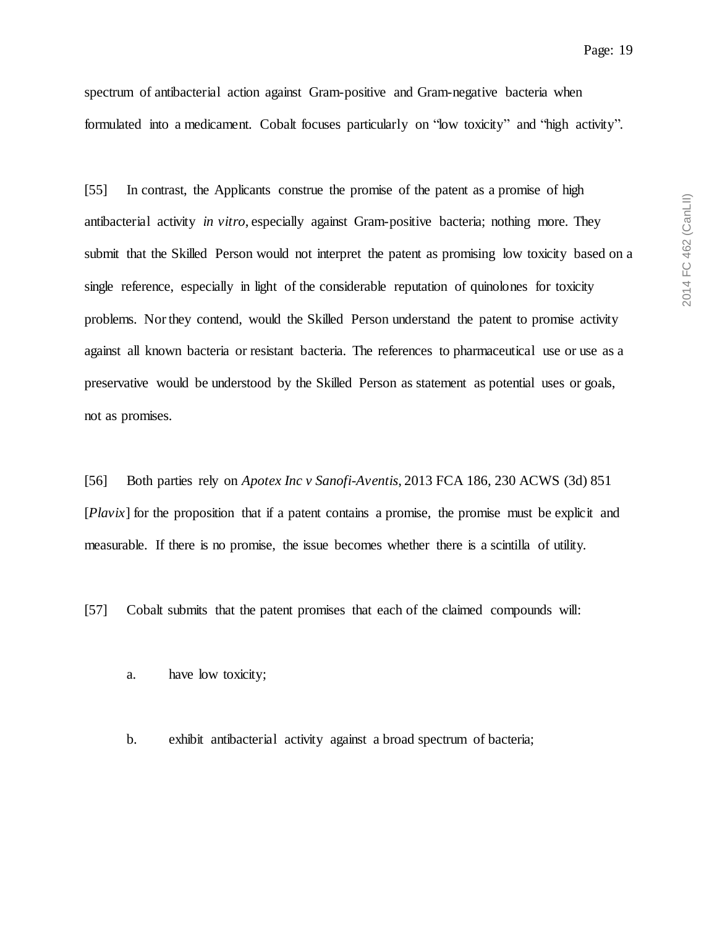spectrum of antibacterial action against Gram-positive and Gram-negative bacteria when formulated into a medicament. Cobalt focuses particularly on "low toxicity" and "high activity".

[55] In contrast, the Applicants construe the promise of the patent as a promise of high antibacterial activity *in vitro*, especially against Gram-positive bacteria; nothing more. They submit that the Skilled Person would not interpret the patent as promising low toxicity based on a single reference, especially in light of the considerable reputation of quinolones for toxicity problems. Nor they contend, would the Skilled Person understand the patent to promise activity against all known bacteria or resistant bacteria. The references to pharmaceutical use or use as a preservative would be understood by the Skilled Person as statement as potential uses or goals, not as promises.

[56] Both parties rely on *Apotex Inc v Sanofi-Aventis*, 2013 FCA 186, 230 ACWS (3d) 851 [*Plavix*] for the proposition that if a patent contains a promise, the promise must be explicit and measurable. If there is no promise, the issue becomes whether there is a scintilla of utility.

[57] Cobalt submits that the patent promises that each of the claimed compounds will:

- a. have low toxicity;
- b. exhibit antibacterial activity against a broad spectrum of bacteria;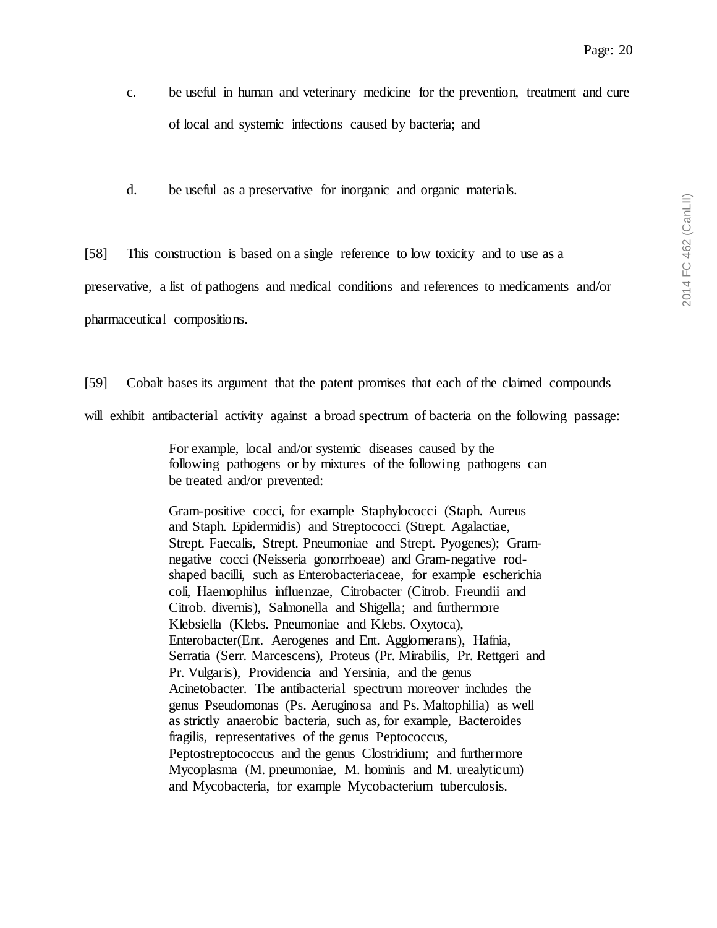- c. be useful in human and veterinary medicine for the prevention, treatment and cure of local and systemic infections caused by bacteria; and
- d. be useful as a preservative for inorganic and organic materials.

[58] This construction is based on a single reference to low toxicity and to use as a preservative, a list of pathogens and medical conditions and references to medicaments and/or pharmaceutical compositions.

[59] Cobalt bases its argument that the patent promises that each of the claimed compounds will exhibit antibacterial activity against a broad spectrum of bacteria on the following passage:

> For example, local and/or systemic diseases caused by the following pathogens or by mixtures of the following pathogens can be treated and/or prevented:

> Gram-positive cocci, for example Staphylococci (Staph. Aureus and Staph. Epidermidis) and Streptococci (Strept. Agalactiae, Strept. Faecalis, Strept. Pneumoniae and Strept. Pyogenes); Gramnegative cocci (Neisseria gonorrhoeae) and Gram-negative rodshaped bacilli, such as Enterobacteriaceae, for example escherichia coli, Haemophilus influenzae, Citrobacter (Citrob. Freundii and Citrob. divernis), Salmonella and Shigella; and furthermore Klebsiella (Klebs. Pneumoniae and Klebs. Oxytoca), Enterobacter(Ent. Aerogenes and Ent. Agglomerans), Hafnia, Serratia (Serr. Marcescens), Proteus (Pr. Mirabilis, Pr. Rettgeri and Pr. Vulgaris), Providencia and Yersinia, and the genus Acinetobacter. The antibacterial spectrum moreover includes the genus Pseudomonas (Ps. Aeruginosa and Ps. Maltophilia) as well as strictly anaerobic bacteria, such as, for example, Bacteroides fragilis, representatives of the genus Peptococcus, Peptostreptococcus and the genus Clostridium; and furthermore Mycoplasma (M. pneumoniae, M. hominis and M. urealyticum) and Mycobacteria, for example Mycobacterium tuberculosis.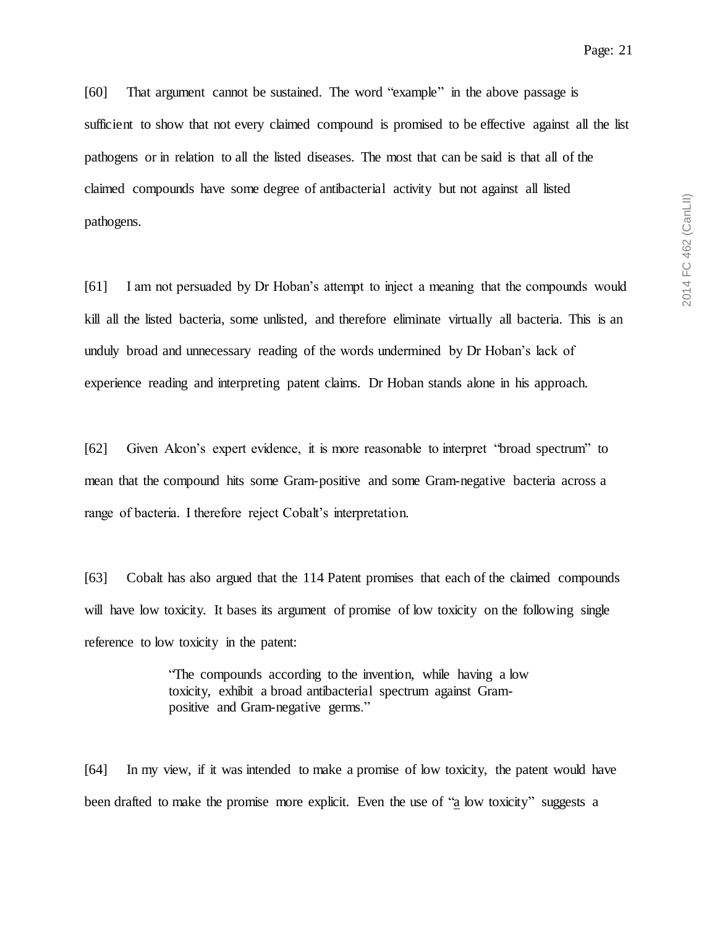[60] That argument cannot be sustained. The word "example" in the above passage is sufficient to show that not every claimed compound is promised to be effective against all the list pathogens or in relation to all the listed diseases. The most that can be said is that all of the claimed compounds have some degree of antibacterial activity but not against all listed pathogens.

[61] I am not persuaded by Dr Hoban's attempt to inject a meaning that the compounds would kill all the listed bacteria, some unlisted, and therefore eliminate virtually all bacteria. This is an unduly broad and unnecessary reading of the words undermined by Dr Hoban's lack of experience reading and interpreting patent claims. Dr Hoban stands alone in his approach.

[62] Given Alcon's expert evidence, it is more reasonable to interpret "broad spectrum" to mean that the compound hits some Gram-positive and some Gram-negative bacteria across a range of bacteria. I therefore reject Cobalt's interpretation.

[63] Cobalt has also argued that the 114 Patent promises that each of the claimed compounds will have low toxicity. It bases its argument of promise of low toxicity on the following single reference to low toxicity in the patent:

> "The compounds according to the invention, while having a low toxicity, exhibit a broad antibacterial spectrum against Grampositive and Gram-negative germs."

[64] In my view, if it was intended to make a promise of low toxicity, the patent would have been drafted to make the promise more explicit. Even the use of "a low toxicity" suggests a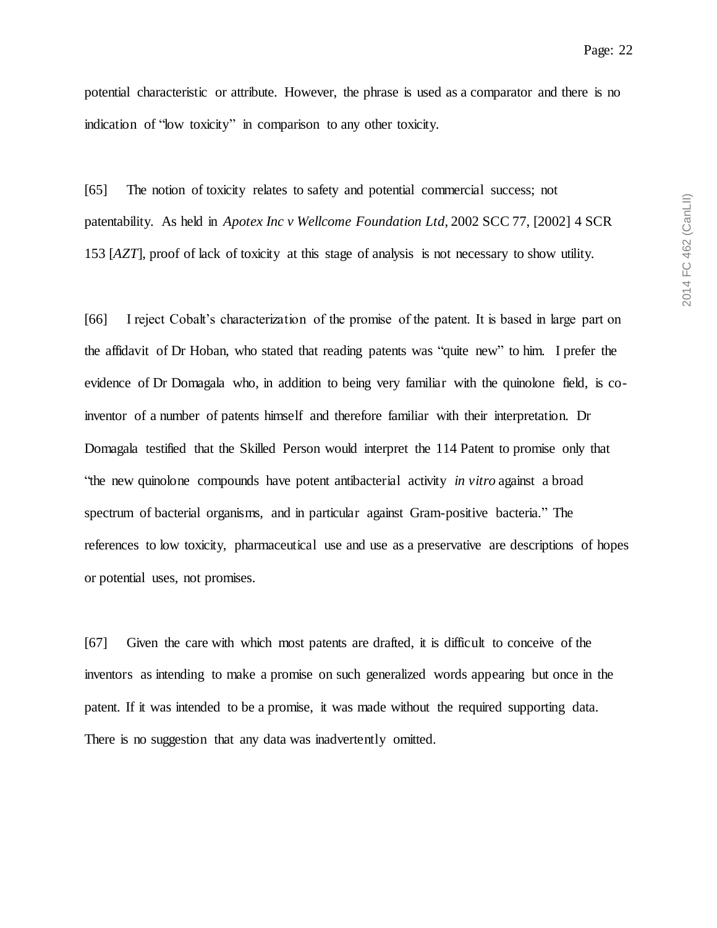2014 FC 462 (CanLII) 2014 FC 462 (CanLII)

potential characteristic or attribute. However, the phrase is used as a comparator and there is no indication of "low toxicity" in comparison to any other toxicity.

[65] The notion of toxicity relates to safety and potential commercial success; not patentability. As held in *Apotex Inc v Wellcome Foundation Ltd*, 2002 SCC 77, [2002] 4 SCR 153 [*AZT*], proof of lack of toxicity at this stage of analysis is not necessary to show utility.

[66] I reject Cobalt's characterization of the promise of the patent. It is based in large part on the affidavit of Dr Hoban, who stated that reading patents was "quite new" to him. I prefer the evidence of Dr Domagala who, in addition to being very familiar with the quinolone field, is coinventor of a number of patents himself and therefore familiar with their interpretation. Dr Domagala testified that the Skilled Person would interpret the 114 Patent to promise only that "the new quinolone compounds have potent antibacterial activity *in vitro* against a broad spectrum of bacterial organisms, and in particular against Gram-positive bacteria." The references to low toxicity, pharmaceutical use and use as a preservative are descriptions of hopes or potential uses, not promises.

[67] Given the care with which most patents are drafted, it is difficult to conceive of the inventors as intending to make a promise on such generalized words appearing but once in the patent. If it was intended to be a promise, it was made without the required supporting data. There is no suggestion that any data was inadvertently omitted.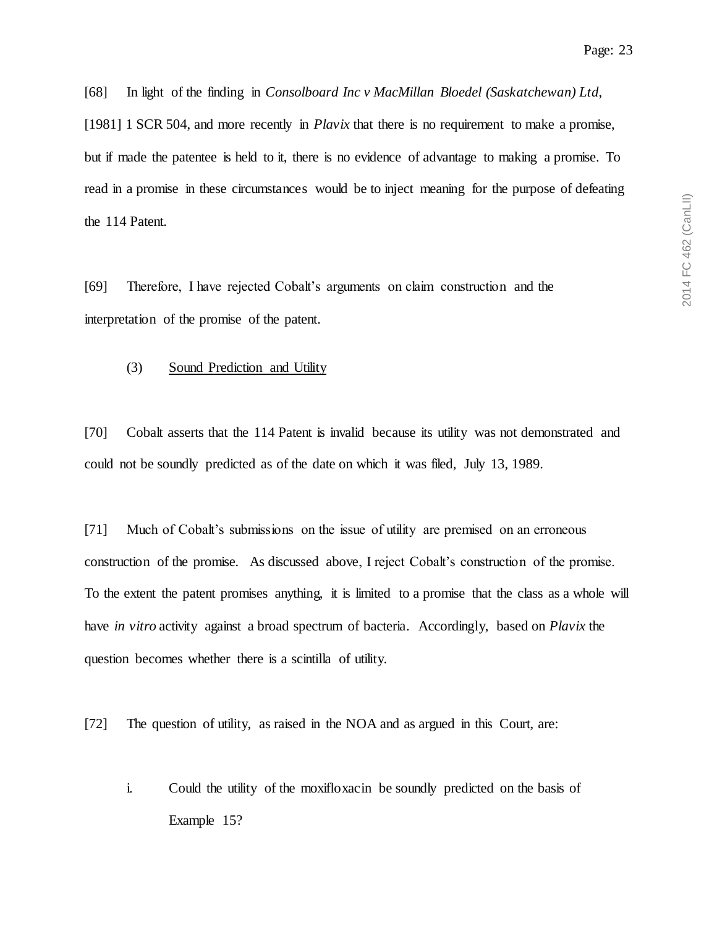[68] In light of the finding in *Consolboard Inc v MacMillan Bloedel (Saskatchewan) Ltd*,

[1981] 1 SCR 504, and more recently in *Plavix* that there is no requirement to make a promise, but if made the patentee is held to it, there is no evidence of advantage to making a promise. To read in a promise in these circumstances would be to inject meaning for the purpose of defeating the 114 Patent.

[69] Therefore, I have rejected Cobalt's arguments on claim construction and the interpretation of the promise of the patent.

#### <span id="page-22-0"></span>(3) Sound Prediction and Utility

[70] Cobalt asserts that the 114 Patent is invalid because its utility was not demonstrated and could not be soundly predicted as of the date on which it was filed, July 13, 1989.

[71] Much of Cobalt's submissions on the issue of utility are premised on an erroneous construction of the promise. As discussed above, I reject Cobalt's construction of the promise. To the extent the patent promises anything, it is limited to a promise that the class as a whole will have *in vitro* activity against a broad spectrum of bacteria. Accordingly, based on *Plavix* the question becomes whether there is a scintilla of utility.

[72] The question of utility, as raised in the NOA and as argued in this Court, are:

i. Could the utility of the moxifloxacin be soundly predicted on the basis of Example 15?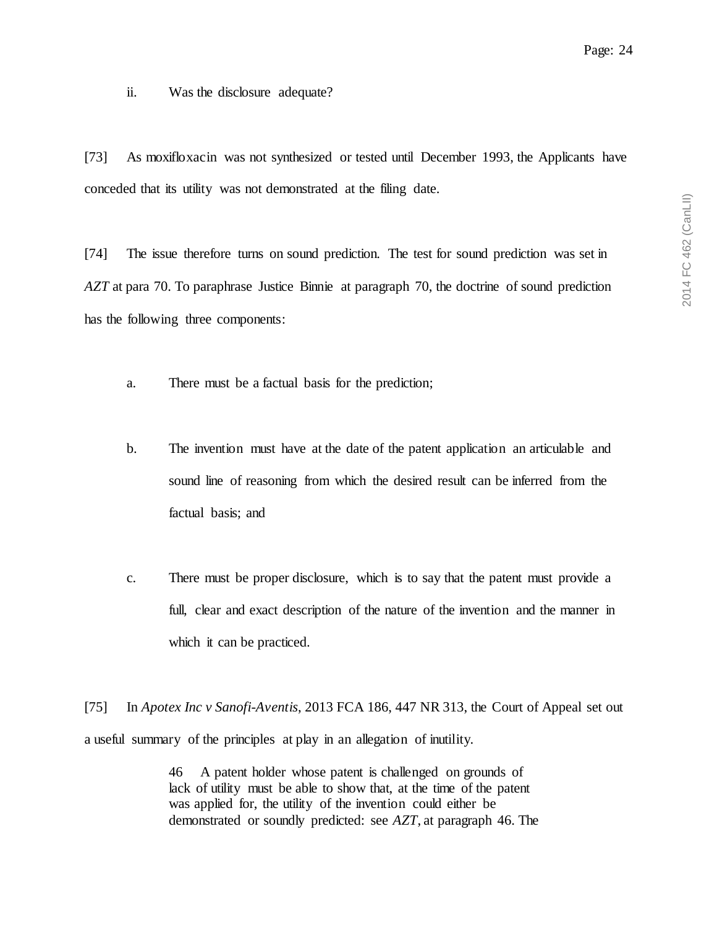Page: 24

ii. Was the disclosure adequate?

[73] As moxifloxacin was not synthesized or tested until December 1993, the Applicants have conceded that its utility was not demonstrated at the filing date.

[74] The issue therefore turns on sound prediction. The test for sound prediction was set in *AZT* at para 70. To paraphrase Justice Binnie at paragraph 70, the doctrine of sound prediction has the following three components:

- a. There must be a factual basis for the prediction;
- b. The invention must have at the date of the patent application an articulable and sound line of reasoning from which the desired result can be inferred from the factual basis; and
- c. There must be proper disclosure, which is to say that the patent must provide a full, clear and exact description of the nature of the invention and the manner in which it can be practiced.

[75] In *Apotex Inc v Sanofi-Aventis*, 2013 FCA 186, 447 NR 313, the Court of Appeal set out a useful summary of the principles at play in an allegation of inutility.

> 46 A patent holder whose patent is challenged on grounds of lack of utility must be able to show that, at the time of the patent was applied for, the utility of the invention could either be demonstrated or soundly predicted: see *AZT*, at paragraph 46. The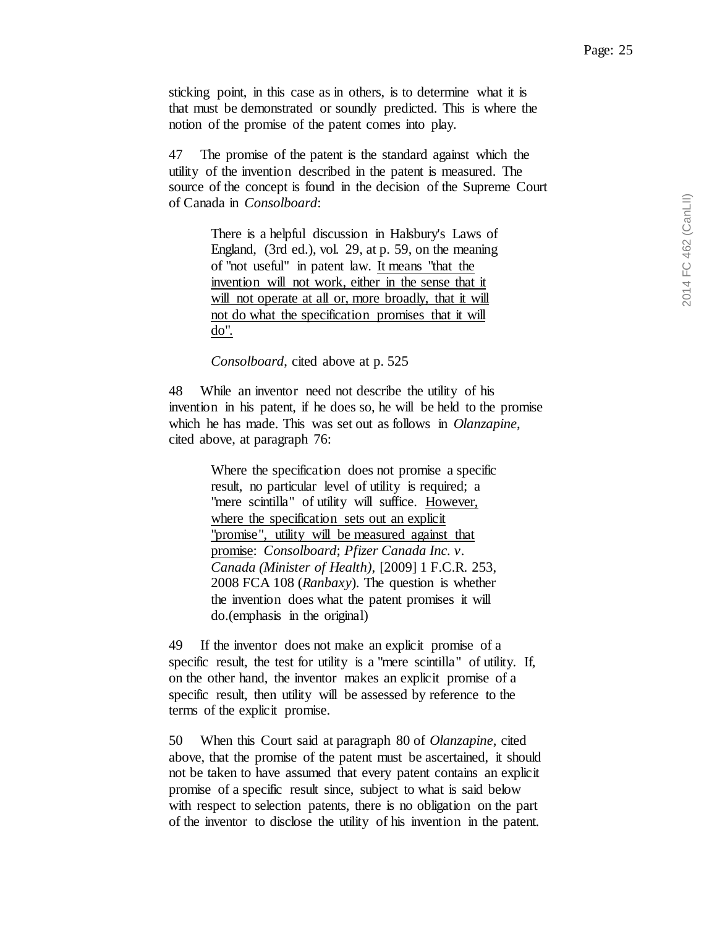sticking point, in this case as in others, is to determine what it is that must be demonstrated or soundly predicted. This is where the notion of the promise of the patent comes into play.

47 The promise of the patent is the standard against which the utility of the invention described in the patent is measured. The source of the concept is found in the decision of the Supreme Court of Canada in *Consolboard*:

> There is a helpful discussion in Halsbury's Laws of England, (3rd ed.), vol. 29, at p. 59, on the meaning of "not useful" in patent law. It means "that the invention will not work, either in the sense that it will not operate at all or, more broadly, that it will not do what the specification promises that it will do".

*Consolboard*, cited above at p. 525

48 While an inventor need not describe the utility of his invention in his patent, if he does so, he will be held to the promise which he has made. This was set out as follows in *Olanzapine*, cited above, at paragraph 76:

> Where the specification does not promise a specific result, no particular level of utility is required; a "mere scintilla" of utility will suffice. However, where the specification sets out an explicit "promise", utility will be measured against that promise: *Consolboard*; *Pfizer Canada Inc. v. Canada (Minister of Health)*, [2009] 1 F.C.R. 253, 2008 FCA 108 (*Ranbaxy*). The question is whether the invention does what the patent promises it will do.(emphasis in the original)

49 If the inventor does not make an explicit promise of a specific result, the test for utility is a "mere scintilla" of utility. If, on the other hand, the inventor makes an explicit promise of a specific result, then utility will be assessed by reference to the terms of the explicit promise.

50 When this Court said at paragraph 80 of *Olanzapine*, cited above, that the promise of the patent must be ascertained, it should not be taken to have assumed that every patent contains an explicit promise of a specific result since, subject to what is said below with respect to selection patents, there is no obligation on the part of the inventor to disclose the utility of his invention in the patent.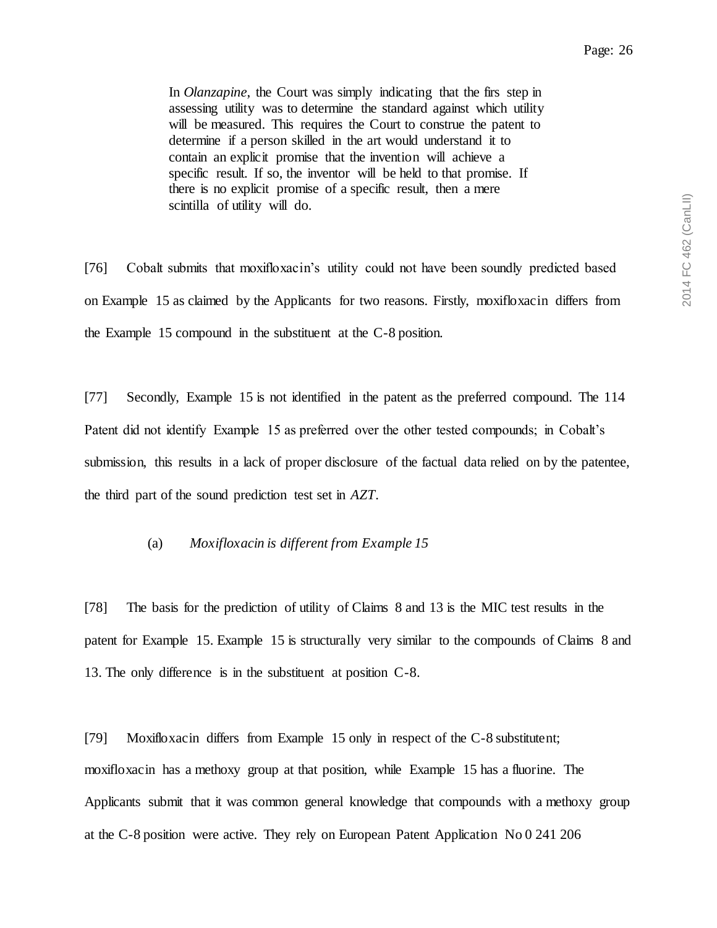In *Olanzapine*, the Court was simply indicating that the firs step in assessing utility was to determine the standard against which utility will be measured. This requires the Court to construe the patent to determine if a person skilled in the art would understand it to contain an explicit promise that the invention will achieve a specific result. If so, the inventor will be held to that promise. If there is no explicit promise of a specific result, then a mere scintilla of utility will do.

[76] Cobalt submits that moxifloxacin's utility could not have been soundly predicted based on Example 15 as claimed by the Applicants for two reasons. Firstly, moxifloxacin differs from the Example 15 compound in the substituent at the C-8 position.

[77] Secondly, Example 15 is not identified in the patent as the preferred compound. The 114 Patent did not identify Example 15 as preferred over the other tested compounds; in Cobalt's submission, this results in a lack of proper disclosure of the factual data relied on by the patentee, the third part of the sound prediction test set in *AZT*.

#### <span id="page-25-0"></span>(a) *Moxifloxacin is different from Example 15*

[78] The basis for the prediction of utility of Claims 8 and 13 is the MIC test results in the patent for Example 15. Example 15 is structurally very similar to the compounds of Claims 8 and 13. The only difference is in the substituent at position C-8.

[79] Moxifloxacin differs from Example 15 only in respect of the C-8 substitutent; moxifloxacin has a methoxy group at that position, while Example 15 has a fluorine. The Applicants submit that it was common general knowledge that compounds with a methoxy group at the C-8 position were active. They rely on European Patent Application No 0 241 206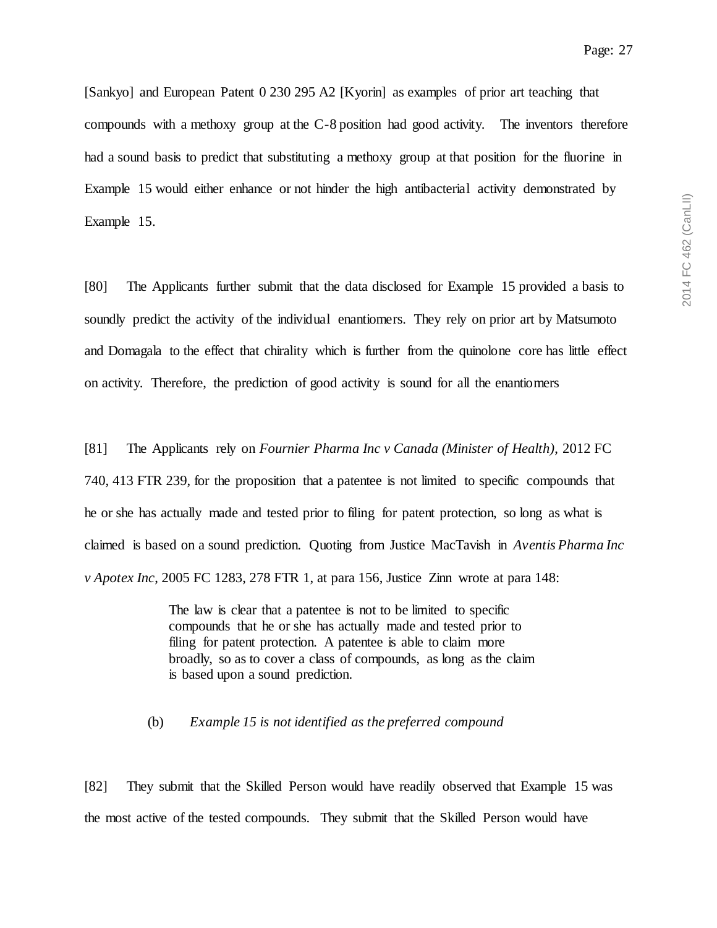[Sankyo] and European Patent 0 230 295 A2 [Kyorin] as examples of prior art teaching that compounds with a methoxy group at the C-8 position had good activity. The inventors therefore had a sound basis to predict that substituting a methoxy group at that position for the fluorine in Example 15 would either enhance or not hinder the high antibacterial activity demonstrated by Example 15.

[80] The Applicants further submit that the data disclosed for Example 15 provided a basis to soundly predict the activity of the individual enantiomers. They rely on prior art by Matsumoto and Domagala to the effect that chirality which is further from the quinolone core has little effect on activity. Therefore, the prediction of good activity is sound for all the enantiomers

[81] The Applicants rely on *Fournier Pharma Inc v Canada (Minister of Health)*, 2012 FC 740, 413 FTR 239, for the proposition that a patentee is not limited to specific compounds that he or she has actually made and tested prior to filing for patent protection, so long as what is claimed is based on a sound prediction. Quoting from Justice MacTavish in *Aventis Pharma Inc v Apotex Inc*, 2005 FC 1283, 278 FTR 1, at para 156, Justice Zinn wrote at para 148:

> The law is clear that a patentee is not to be limited to specific compounds that he or she has actually made and tested prior to filing for patent protection. A patentee is able to claim more broadly, so as to cover a class of compounds, as long as the claim is based upon a sound prediction.

### <span id="page-26-0"></span>(b) *Example 15 is not identified as the preferred compound*

[82] They submit that the Skilled Person would have readily observed that Example 15 was the most active of the tested compounds. They submit that the Skilled Person would have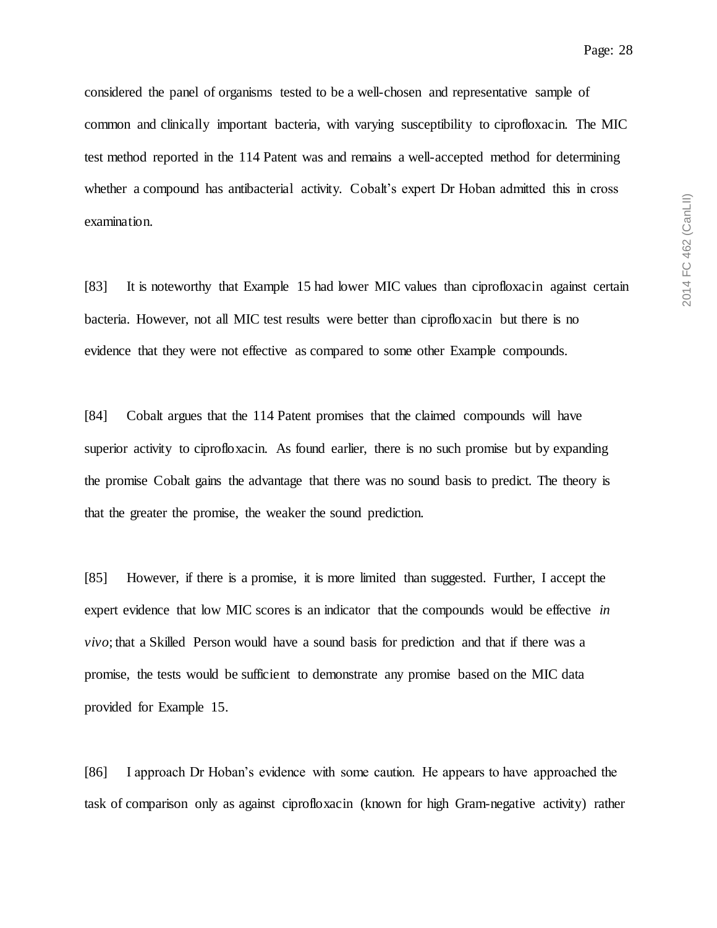considered the panel of organisms tested to be a well-chosen and representative sample of common and clinically important bacteria, with varying susceptibility to ciprofloxacin. The MIC test method reported in the 114 Patent was and remains a well-accepted method for determining whether a compound has antibacterial activity. Cobalt's expert Dr Hoban admitted this in cross examination.

[83] It is noteworthy that Example 15 had lower MIC values than ciprofloxacin against certain bacteria. However, not all MIC test results were better than ciprofloxacin but there is no evidence that they were not effective as compared to some other Example compounds.

[84] Cobalt argues that the 114 Patent promises that the claimed compounds will have superior activity to ciprofloxacin. As found earlier, there is no such promise but by expanding the promise Cobalt gains the advantage that there was no sound basis to predict. The theory is that the greater the promise, the weaker the sound prediction.

[85] However, if there is a promise, it is more limited than suggested. Further, I accept the expert evidence that low MIC scores is an indicator that the compounds would be effective *in vivo*; that a Skilled Person would have a sound basis for prediction and that if there was a promise, the tests would be sufficient to demonstrate any promise based on the MIC data provided for Example 15.

[86] I approach Dr Hoban's evidence with some caution. He appears to have approached the task of comparison only as against ciprofloxacin (known for high Gram-negative activity) rather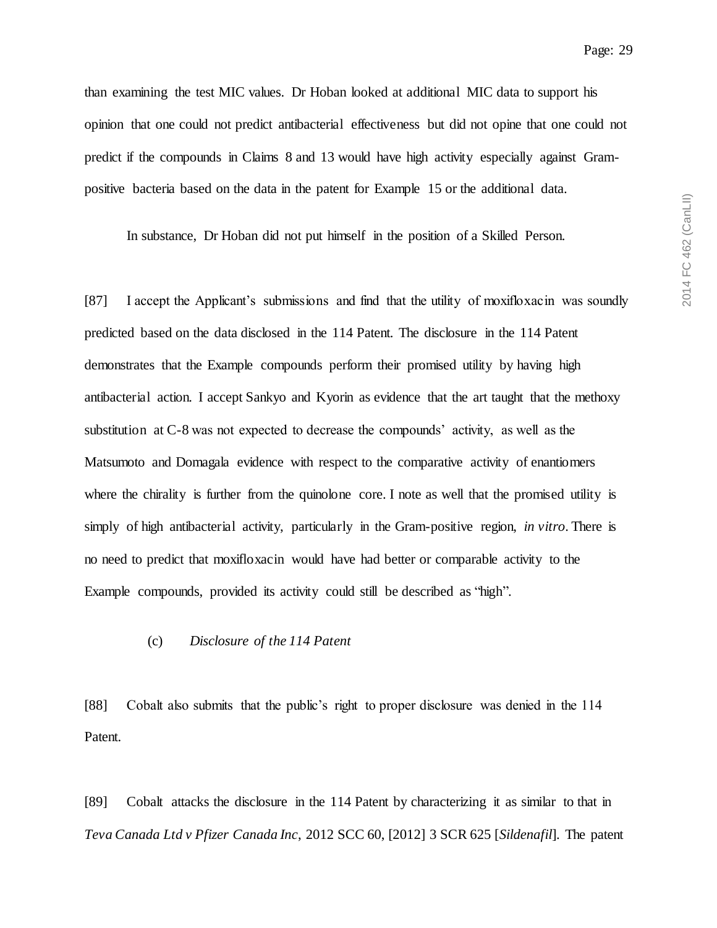Page: 29

than examining the test MIC values. Dr Hoban looked at additional MIC data to support his opinion that one could not predict antibacterial effectiveness but did not opine that one could not predict if the compounds in Claims 8 and 13 would have high activity especially against Grampositive bacteria based on the data in the patent for Example 15 or the additional data.

In substance, Dr Hoban did not put himself in the position of a Skilled Person.

[87] I accept the Applicant's submissions and find that the utility of moxifloxacin was soundly predicted based on the data disclosed in the 114 Patent. The disclosure in the 114 Patent demonstrates that the Example compounds perform their promised utility by having high antibacterial action. I accept Sankyo and Kyorin as evidence that the art taught that the methoxy substitution at C-8 was not expected to decrease the compounds' activity, as well as the Matsumoto and Domagala evidence with respect to the comparative activity of enantiomers where the chirality is further from the quinolone core. I note as well that the promised utility is simply of high antibacterial activity, particularly in the Gram-positive region, *in vitro*. There is no need to predict that moxifloxacin would have had better or comparable activity to the Example compounds, provided its activity could still be described as "high".

#### <span id="page-28-0"></span>(c) *Disclosure of the 114 Patent*

[88] Cobalt also submits that the public's right to proper disclosure was denied in the 114 Patent.

[89] Cobalt attacks the disclosure in the 114 Patent by characterizing it as similar to that in *Teva Canada Ltd v Pfizer Canada Inc*, 2012 SCC 60, [2012] 3 SCR 625 [*Sildenafil*]. The patent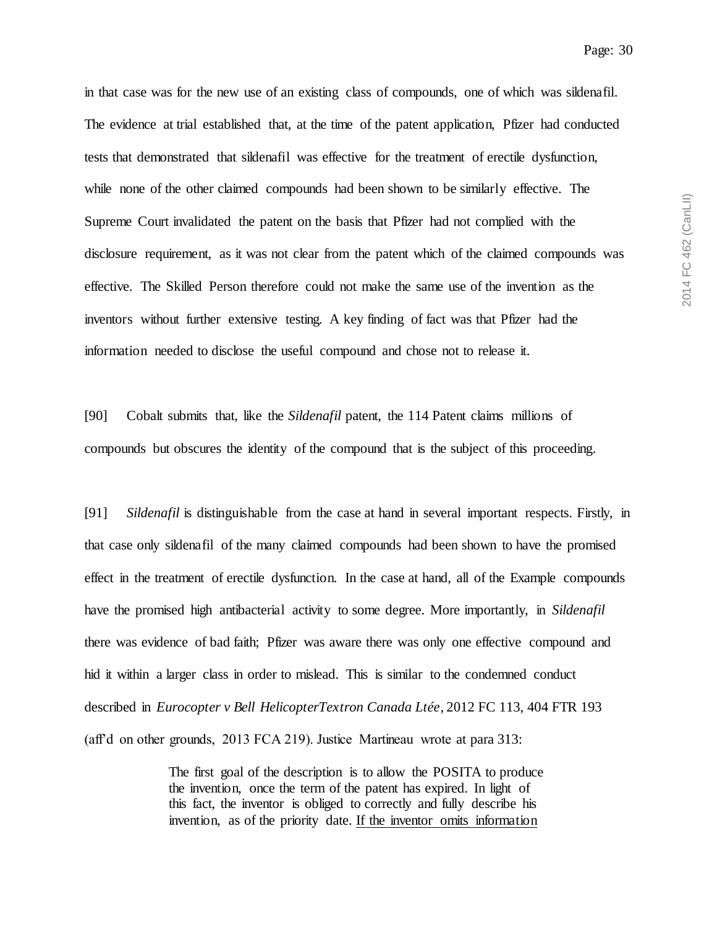in that case was for the new use of an existing class of compounds, one of which was sildenafil. The evidence at trial established that, at the time of the patent application, Pfizer had conducted tests that demonstrated that sildenafil was effective for the treatment of erectile dysfunction, while none of the other claimed compounds had been shown to be similarly effective. The Supreme Court invalidated the patent on the basis that Pfizer had not complied with the disclosure requirement, as it was not clear from the patent which of the claimed compounds was effective. The Skilled Person therefore could not make the same use of the invention as the inventors without further extensive testing. A key finding of fact was that Pfizer had the information needed to disclose the useful compound and chose not to release it.

[90] Cobalt submits that, like the *Sildenafil* patent, the 114 Patent claims millions of compounds but obscures the identity of the compound that is the subject of this proceeding.

[91] *Sildenafil* is distinguishable from the case at hand in several important respects. Firstly, in that case only sildenafil of the many claimed compounds had been shown to have the promised effect in the treatment of erectile dysfunction. In the case at hand, all of the Example compounds have the promised high antibacterial activity to some degree. More importantly, in *Sildenafil* there was evidence of bad faith; Pfizer was aware there was only one effective compound and hid it within a larger class in order to mislead. This is similar to the condemned conduct described in *Eurocopter v Bell HelicopterTextron Canada Ltée*, 2012 FC 113, 404 FTR 193 (aff'd on other grounds, 2013 FCA 219). Justice Martineau wrote at para 313:

> The first goal of the description is to allow the POSITA to produce the invention, once the term of the patent has expired. In light of this fact, the inventor is obliged to correctly and fully describe his invention, as of the priority date. If the inventor omits information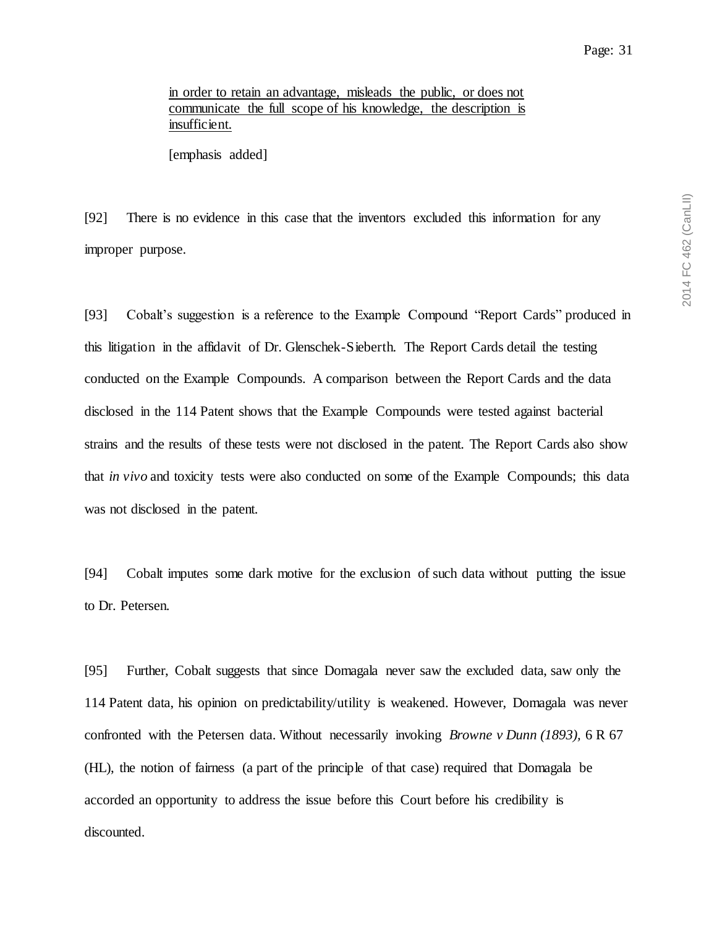in order to retain an advantage, misleads the public, or does not communicate the full scope of his knowledge, the description is insufficient.

[emphasis added]

[92] There is no evidence in this case that the inventors excluded this information for any improper purpose.

[93] Cobalt's suggestion is a reference to the Example Compound "Report Cards" produced in this litigation in the affidavit of Dr. Glenschek-Sieberth. The Report Cards detail the testing conducted on the Example Compounds. A comparison between the Report Cards and the data disclosed in the 114 Patent shows that the Example Compounds were tested against bacterial strains and the results of these tests were not disclosed in the patent. The Report Cards also show that *in vivo* and toxicity tests were also conducted on some of the Example Compounds; this data was not disclosed in the patent.

[94] Cobalt imputes some dark motive for the exclusion of such data without putting the issue to Dr. Petersen.

[95] Further, Cobalt suggests that since Domagala never saw the excluded data, saw only the 114 Patent data, his opinion on predictability/utility is weakened. However, Domagala was never confronted with the Petersen data. Without necessarily invoking *Browne v Dunn (1893),* 6 R 67 (HL), the notion of fairness (a part of the principle of that case) required that Domagala be accorded an opportunity to address the issue before this Court before his credibility is discounted.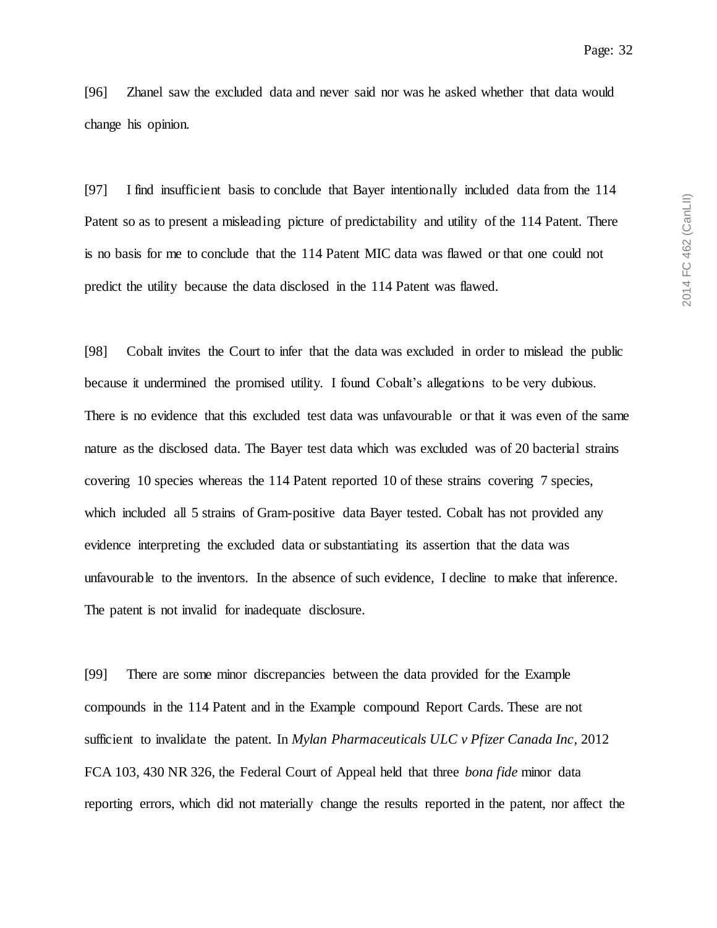[96] Zhanel saw the excluded data and never said nor was he asked whether that data would change his opinion.

[97] I find insufficient basis to conclude that Bayer intentionally included data from the 114 Patent so as to present a misleading picture of predictability and utility of the 114 Patent. There is no basis for me to conclude that the 114 Patent MIC data was flawed or that one could not predict the utility because the data disclosed in the 114 Patent was flawed.

[98] Cobalt invites the Court to infer that the data was excluded in order to mislead the public because it undermined the promised utility. I found Cobalt's allegations to be very dubious. There is no evidence that this excluded test data was unfavourable or that it was even of the same nature as the disclosed data. The Bayer test data which was excluded was of 20 bacterial strains covering 10 species whereas the 114 Patent reported 10 of these strains covering 7 species, which included all 5 strains of Gram-positive data Bayer tested. Cobalt has not provided any evidence interpreting the excluded data or substantiating its assertion that the data was unfavourable to the inventors. In the absence of such evidence, I decline to make that inference. The patent is not invalid for inadequate disclosure.

[99] There are some minor discrepancies between the data provided for the Example compounds in the 114 Patent and in the Example compound Report Cards. These are not sufficient to invalidate the patent. In *Mylan Pharmaceuticals ULC v Pfizer Canada Inc*, 2012 FCA 103, 430 NR 326, the Federal Court of Appeal held that three *bona fide* minor data reporting errors, which did not materially change the results reported in the patent, nor affect the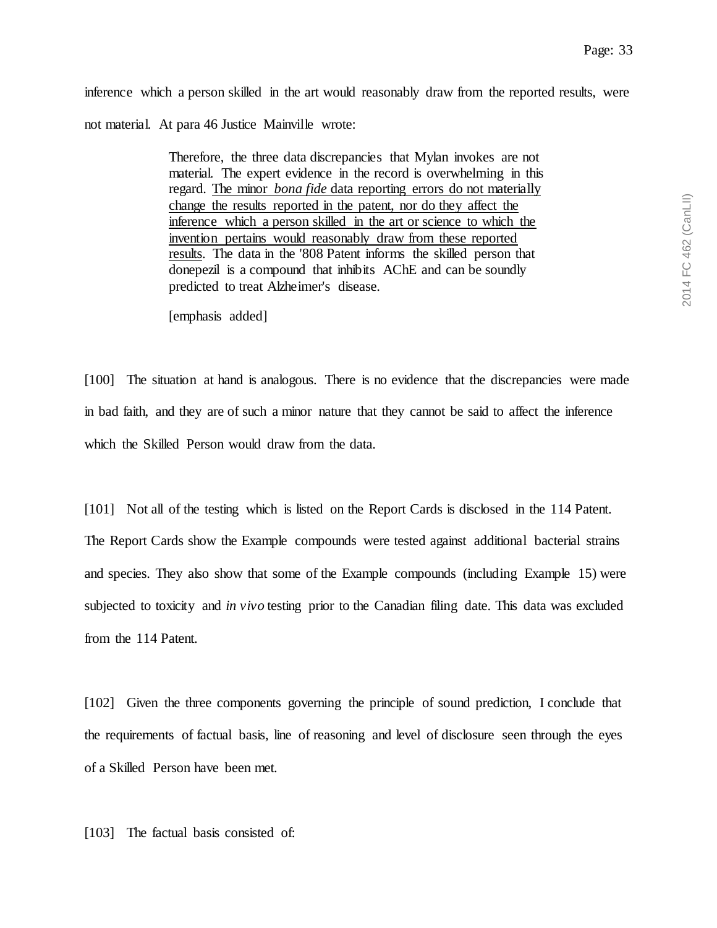inference which a person skilled in the art would reasonably draw from the reported results, were not material. At para 46 Justice Mainville wrote:

> Therefore, the three data discrepancies that Mylan invokes are not material. The expert evidence in the record is overwhelming in this regard. The minor *bona fide* data reporting errors do not materially change the results reported in the patent, nor do they affect the inference which a person skilled in the art or science to which the invention pertains would reasonably draw from these reported results. The data in the '808 Patent informs the skilled person that donepezil is a compound that inhibits AChE and can be soundly predicted to treat Alzheimer's disease.

[emphasis added]

[100] The situation at hand is analogous. There is no evidence that the discrepancies were made in bad faith, and they are of such a minor nature that they cannot be said to affect the inference which the Skilled Person would draw from the data.

[101] Not all of the testing which is listed on the Report Cards is disclosed in the 114 Patent. The Report Cards show the Example compounds were tested against additional bacterial strains and species. They also show that some of the Example compounds (including Example 15) were subjected to toxicity and *in vivo* testing prior to the Canadian filing date. This data was excluded from the 114 Patent.

[102] Given the three components governing the principle of sound prediction, I conclude that the requirements of factual basis, line of reasoning and level of disclosure seen through the eyes of a Skilled Person have been met.

[103] The factual basis consisted of: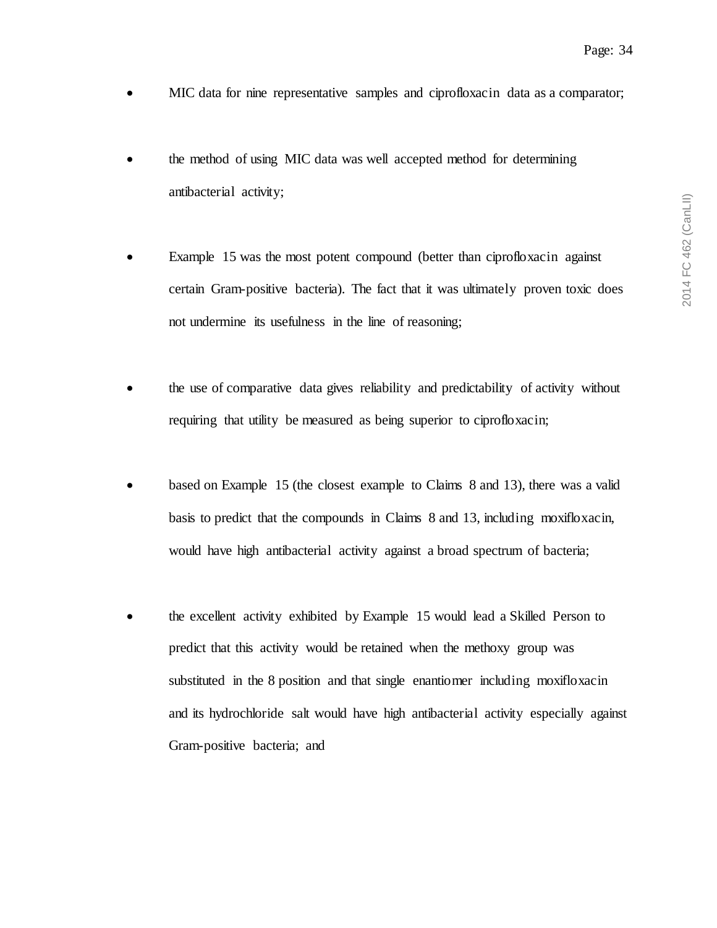- MIC data for nine representative samples and ciprofloxacin data as a comparator;
- the method of using MIC data was well accepted method for determining antibacterial activity;
- Example 15 was the most potent compound (better than ciprofloxacin against certain Gram-positive bacteria). The fact that it was ultimately proven toxic does not undermine its usefulness in the line of reasoning;
- the use of comparative data gives reliability and predictability of activity without requiring that utility be measured as being superior to ciprofloxacin;
- based on Example 15 (the closest example to Claims 8 and 13), there was a valid basis to predict that the compounds in Claims 8 and 13, including moxifloxacin, would have high antibacterial activity against a broad spectrum of bacteria;
- the excellent activity exhibited by Example 15 would lead a Skilled Person to predict that this activity would be retained when the methoxy group was substituted in the 8 position and that single enantiomer including moxifloxacin and its hydrochloride salt would have high antibacterial activity especially against Gram-positive bacteria; and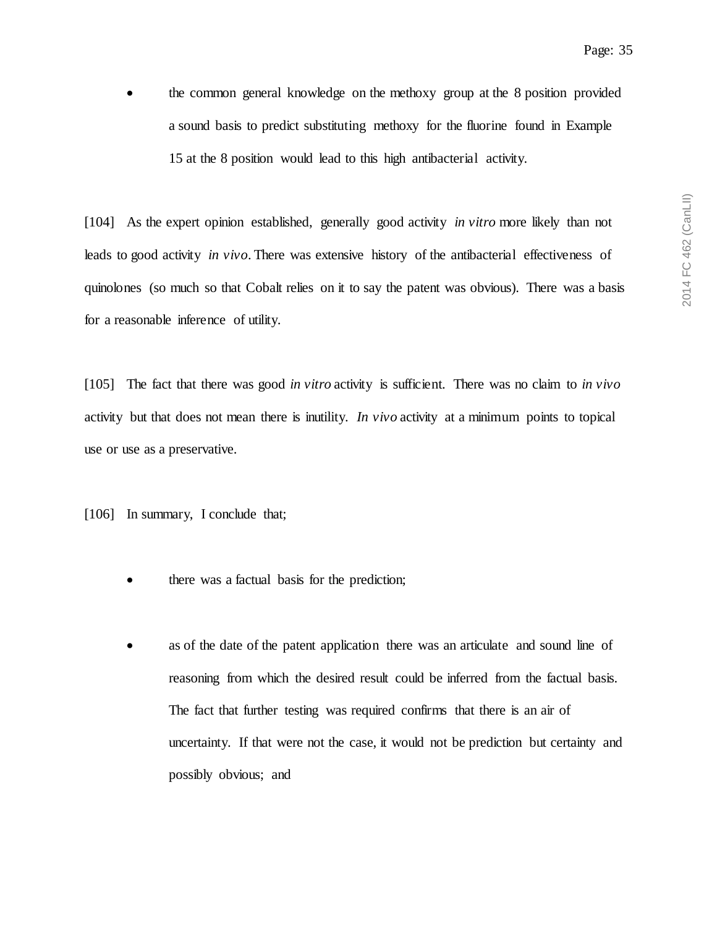• the common general knowledge on the methoxy group at the 8 position provided a sound basis to predict substituting methoxy for the fluorine found in Example 15 at the 8 position would lead to this high antibacterial activity.

[104] As the expert opinion established, generally good activity *in vitro* more likely than not leads to good activity *in vivo*. There was extensive history of the antibacterial effectiveness of quinolones (so much so that Cobalt relies on it to say the patent was obvious). There was a basis for a reasonable inference of utility.

[105] The fact that there was good *in vitro* activity is sufficient. There was no claim to *in vivo*  activity but that does not mean there is inutility. *In vivo* activity at a minimum points to topical use or use as a preservative.

[106] In summary, I conclude that;

- there was a factual basis for the prediction;
- as of the date of the patent application there was an articulate and sound line of reasoning from which the desired result could be inferred from the factual basis. The fact that further testing was required confirms that there is an air of uncertainty. If that were not the case, it would not be prediction but certainty and possibly obvious; and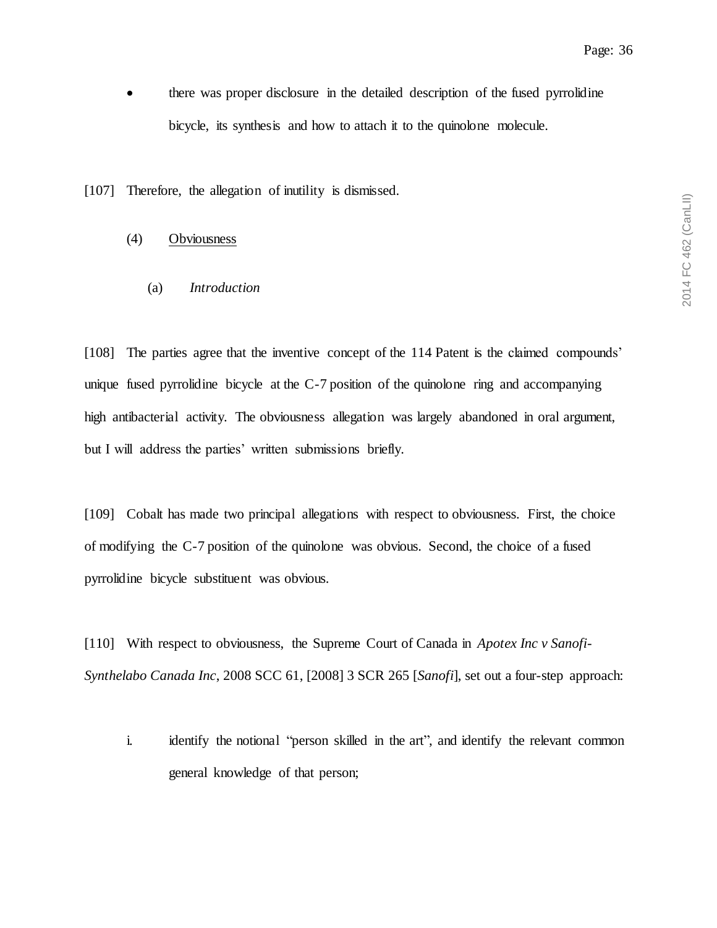there was proper disclosure in the detailed description of the fused pyrrolidine bicycle, its synthesis and how to attach it to the quinolone molecule.

<span id="page-35-0"></span>[107] Therefore, the allegation of inutility is dismissed.

### <span id="page-35-1"></span>(4) Obviousness

(a) *Introduction*

[108] The parties agree that the inventive concept of the 114 Patent is the claimed compounds' unique fused pyrrolidine bicycle at the C-7 position of the quinolone ring and accompanying high antibacterial activity. The obviousness allegation was largely abandoned in oral argument, but I will address the parties' written submissions briefly.

[109] Cobalt has made two principal allegations with respect to obviousness. First, the choice of modifying the C-7 position of the quinolone was obvious. Second, the choice of a fused pyrrolidine bicycle substituent was obvious.

[110] With respect to obviousness, the Supreme Court of Canada in *Apotex Inc v Sanofi-Synthelabo Canada Inc*, 2008 SCC 61, [2008] 3 SCR 265 [*Sanofi*], set out a four-step approach:

i. identify the notional "person skilled in the art", and identify the relevant common general knowledge of that person;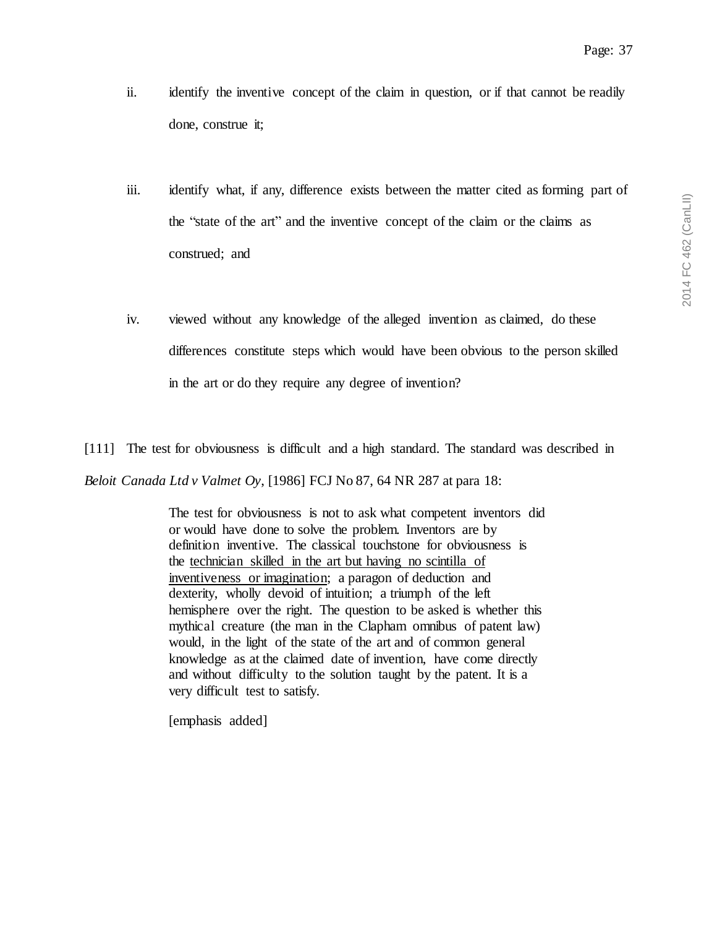- ii. identify the inventive concept of the claim in question, or if that cannot be readily done, construe it;
- iii. identify what, if any, difference exists between the matter cited as forming part of the "state of the art" and the inventive concept of the claim or the claims as construed; and
- iv. viewed without any knowledge of the alleged invention as claimed, do these differences constitute steps which would have been obvious to the person skilled in the art or do they require any degree of invention?

[111] The test for obviousness is difficult and a high standard. The standard was described in *Beloit Canada Ltd v Valmet Oy*, [1986] FCJ No 87, 64 NR 287 at para 18:

> The test for obviousness is not to ask what competent inventors did or would have done to solve the problem. Inventors are by definition inventive. The classical touchstone for obviousness is the technician skilled in the art but having no scintilla of inventiveness or imagination; a paragon of deduction and dexterity, wholly devoid of intuition; a triumph of the left hemisphere over the right. The question to be asked is whether this mythical creature (the man in the Clapham omnibus of patent law) would, in the light of the state of the art and of common general knowledge as at the claimed date of invention, have come directly and without difficulty to the solution taught by the patent. It is a very difficult test to satisfy.

[emphasis added]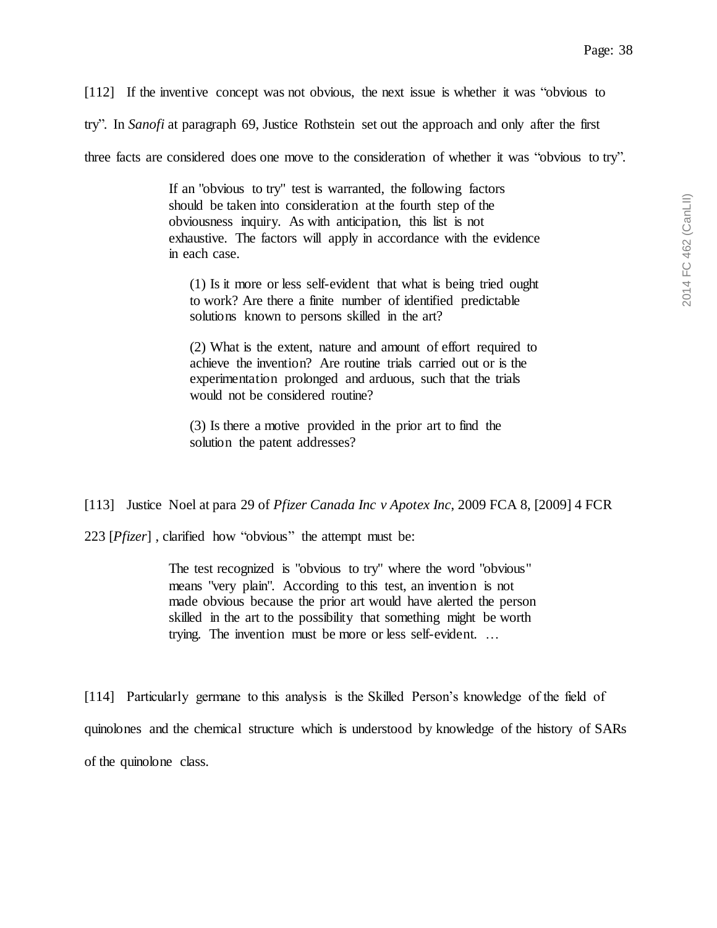[112] If the inventive concept was not obvious, the next issue is whether it was "obvious to

try". In *Sanofi* at paragraph 69, Justice Rothstein set out the approach and only after the first

three facts are considered does one move to the consideration of whether it was "obvious to try".

If an "obvious to try" test is warranted, the following factors should be taken into consideration at the fourth step of the obviousness inquiry. As with anticipation, this list is not exhaustive. The factors will apply in accordance with the evidence in each case.

(1) Is it more or less self-evident that what is being tried ought to work? Are there a finite number of identified predictable solutions known to persons skilled in the art?

(2) What is the extent, nature and amount of effort required to achieve the invention? Are routine trials carried out or is the experimentation prolonged and arduous, such that the trials would not be considered routine?

(3) Is there a motive provided in the prior art to find the solution the patent addresses?

[113] Justice Noel at para 29 of *Pfizer Canada Inc v Apotex Inc*, 2009 FCA 8, [2009] 4 FCR

223 [*Pfizer*] , clarified how "obvious" the attempt must be:

The test recognized is "obvious to try" where the word "obvious" means "very plain". According to this test, an invention is not made obvious because the prior art would have alerted the person skilled in the art to the possibility that something might be worth trying. The invention must be more or less self-evident. …

[114] Particularly germane to this analysis is the Skilled Person's knowledge of the field of quinolones and the chemical structure which is understood by knowledge of the history of SARs of the quinolone class.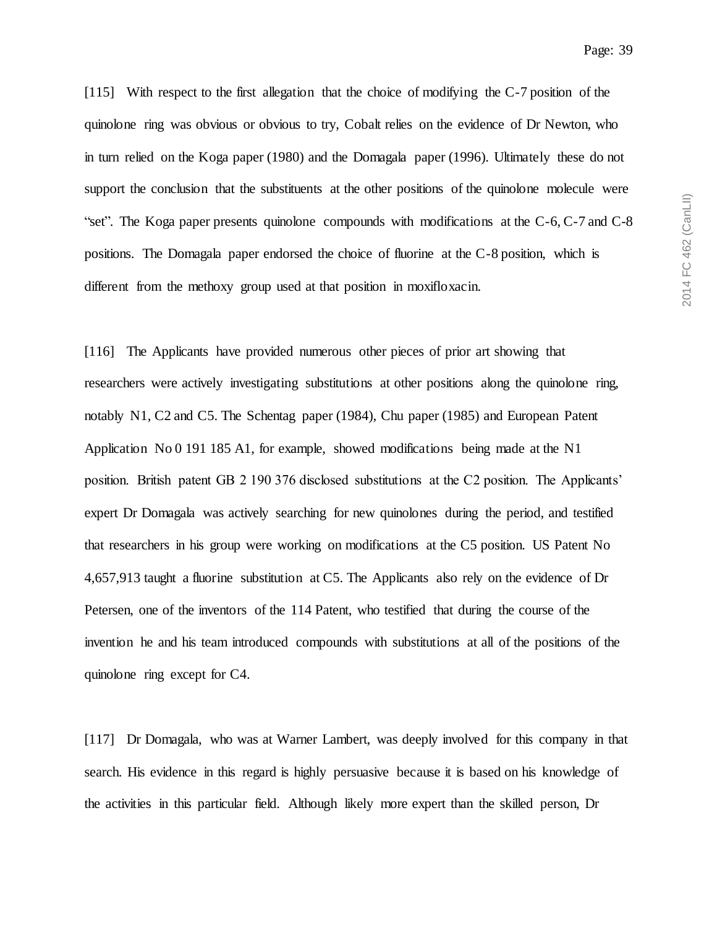[115] With respect to the first allegation that the choice of modifying the C-7 position of the quinolone ring was obvious or obvious to try, Cobalt relies on the evidence of Dr Newton, who in turn relied on the Koga paper (1980) and the Domagala paper (1996). Ultimately these do not support the conclusion that the substituents at the other positions of the quinolone molecule were "set". The Koga paper presents quinolone compounds with modifications at the C-6, C-7 and C-8 positions. The Domagala paper endorsed the choice of fluorine at the C-8 position, which is different from the methoxy group used at that position in moxifloxacin.

[116] The Applicants have provided numerous other pieces of prior art showing that researchers were actively investigating substitutions at other positions along the quinolone ring, notably N1, C2 and C5. The Schentag paper (1984), Chu paper (1985) and European Patent Application No 0 191 185 A1, for example, showed modifications being made at the N1 position. British patent GB 2 190 376 disclosed substitutions at the C2 position. The Applicants' expert Dr Domagala was actively searching for new quinolones during the period, and testified that researchers in his group were working on modifications at the C5 position. US Patent No 4,657,913 taught a fluorine substitution at C5. The Applicants also rely on the evidence of Dr Petersen, one of the inventors of the 114 Patent, who testified that during the course of the invention he and his team introduced compounds with substitutions at all of the positions of the quinolone ring except for C4.

[117] Dr Domagala, who was at Warner Lambert, was deeply involved for this company in that search. His evidence in this regard is highly persuasive because it is based on his knowledge of the activities in this particular field. Although likely more expert than the skilled person, Dr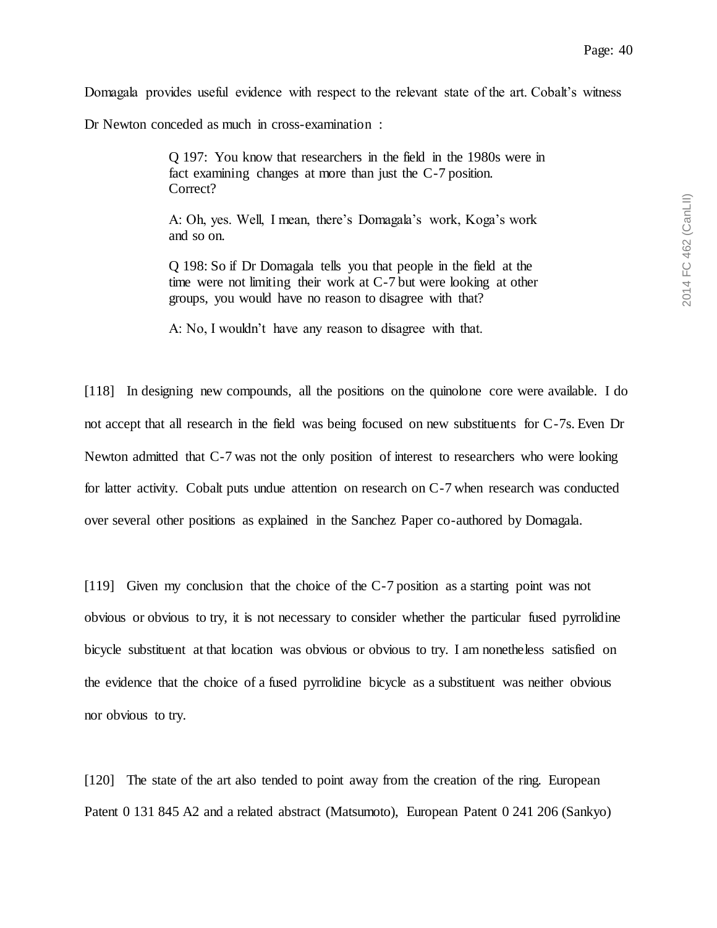Domagala provides useful evidence with respect to the relevant state of the art. Cobalt's witness

Dr Newton conceded as much in cross-examination :

Q 197: You know that researchers in the field in the 1980s were in fact examining changes at more than just the C-7 position. Correct?

A: Oh, yes. Well, I mean, there's Domagala's work, Koga's work and so on.

Q 198: So if Dr Domagala tells you that people in the field at the time were not limiting their work at C-7 but were looking at other groups, you would have no reason to disagree with that?

A: No, I wouldn't have any reason to disagree with that.

[118] In designing new compounds, all the positions on the quinolone core were available. I do not accept that all research in the field was being focused on new substituents for C-7s. Even Dr Newton admitted that C-7 was not the only position of interest to researchers who were looking for latter activity. Cobalt puts undue attention on research on C-7 when research was conducted over several other positions as explained in the Sanchez Paper co-authored by Domagala.

[119] Given my conclusion that the choice of the C-7 position as a starting point was not obvious or obvious to try, it is not necessary to consider whether the particular fused pyrrolidine bicycle substituent at that location was obvious or obvious to try. I am nonetheless satisfied on the evidence that the choice of a fused pyrrolidine bicycle as a substituent was neither obvious nor obvious to try.

[120] The state of the art also tended to point away from the creation of the ring. European Patent 0 131 845 A2 and a related abstract (Matsumoto), European Patent 0 241 206 (Sankyo)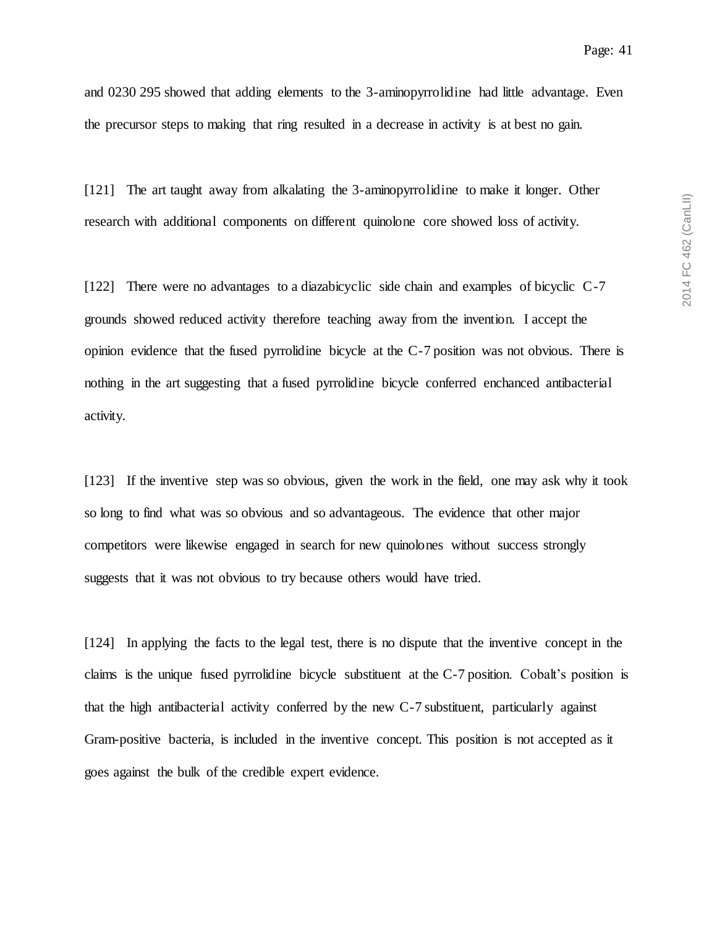and 0230 295 showed that adding elements to the 3-aminopyrrolidine had little advantage. Even the precursor steps to making that ring resulted in a decrease in activity is at best no gain.

[121] The art taught away from alkalating the 3-aminopyrrolidine to make it longer. Other research with additional components on different quinolone core showed loss of activity.

[122] There were no advantages to a diazabicyclic side chain and examples of bicyclic C-7 grounds showed reduced activity therefore teaching away from the invention. I accept the opinion evidence that the fused pyrrolidine bicycle at the C-7 position was not obvious. There is nothing in the art suggesting that a fused pyrrolidine bicycle conferred enchanced antibacterial activity.

[123] If the inventive step was so obvious, given the work in the field, one may ask why it took so long to find what was so obvious and so advantageous. The evidence that other major competitors were likewise engaged in search for new quinolones without success strongly suggests that it was not obvious to try because others would have tried.

[124] In applying the facts to the legal test, there is no dispute that the inventive concept in the claims is the unique fused pyrrolidine bicycle substituent at the C-7 position. Cobalt's position is that the high antibacterial activity conferred by the new C-7 substituent, particularly against Gram-positive bacteria, is included in the inventive concept. This position is not accepted as it goes against the bulk of the credible expert evidence.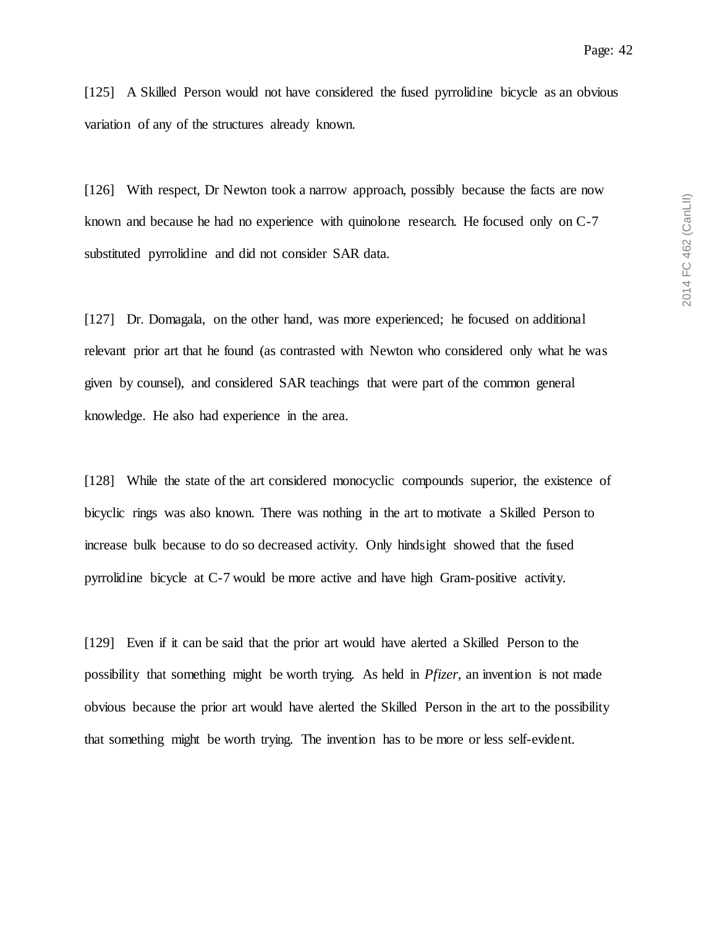[125] A Skilled Person would not have considered the fused pyrrolidine bicycle as an obvious variation of any of the structures already known.

[126] With respect, Dr Newton took a narrow approach, possibly because the facts are now known and because he had no experience with quinolone research. He focused only on C-7 substituted pyrrolidine and did not consider SAR data.

[127] Dr. Domagala, on the other hand, was more experienced; he focused on additional relevant prior art that he found (as contrasted with Newton who considered only what he was given by counsel), and considered SAR teachings that were part of the common general knowledge. He also had experience in the area.

[128] While the state of the art considered monocyclic compounds superior, the existence of bicyclic rings was also known. There was nothing in the art to motivate a Skilled Person to increase bulk because to do so decreased activity. Only hindsight showed that the fused pyrrolidine bicycle at C-7 would be more active and have high Gram-positive activity.

[129] Even if it can be said that the prior art would have alerted a Skilled Person to the possibility that something might be worth trying. As held in *Pfizer*, an invention is not made obvious because the prior art would have alerted the Skilled Person in the art to the possibility that something might be worth trying. The invention has to be more or less self-evident.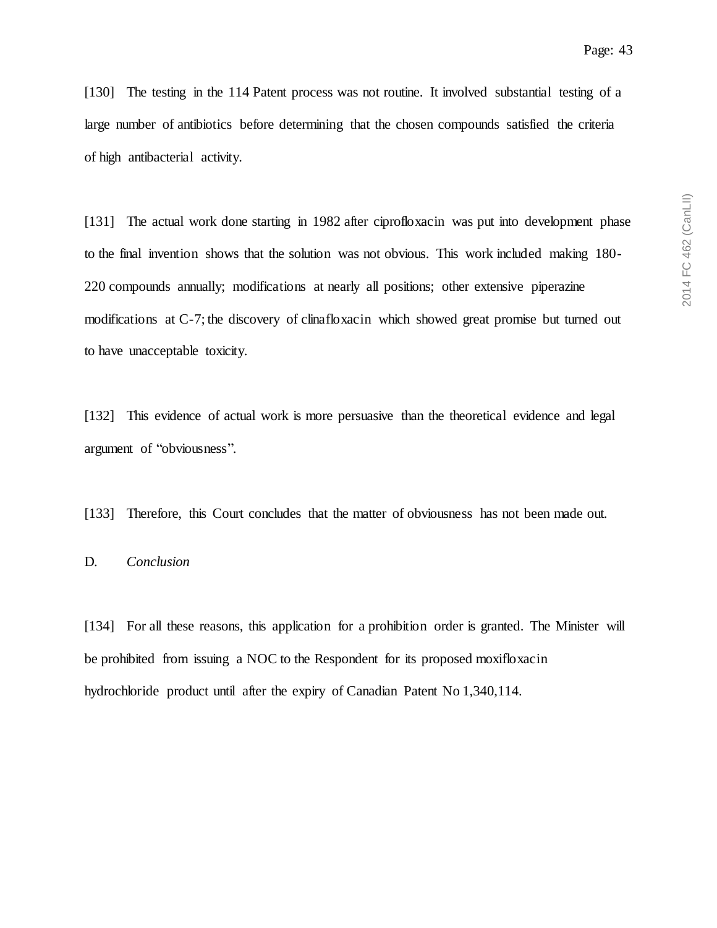[130] The testing in the 114 Patent process was not routine. It involved substantial testing of a large number of antibiotics before determining that the chosen compounds satisfied the criteria of high antibacterial activity.

[131] The actual work done starting in 1982 after ciprofloxacin was put into development phase to the final invention shows that the solution was not obvious. This work included making 180- 220 compounds annually; modifications at nearly all positions; other extensive piperazine modifications at C-7; the discovery of clinafloxacin which showed great promise but turned out to have unacceptable toxicity.

[132] This evidence of actual work is more persuasive than the theoretical evidence and legal argument of "obviousness".

[133] Therefore, this Court concludes that the matter of obviousness has not been made out.

# D. *Conclusion*

[134] For all these reasons, this application for a prohibition order is granted. The Minister will be prohibited from issuing a NOC to the Respondent for its proposed moxifloxacin hydrochloride product until after the expiry of Canadian Patent No 1,340,114.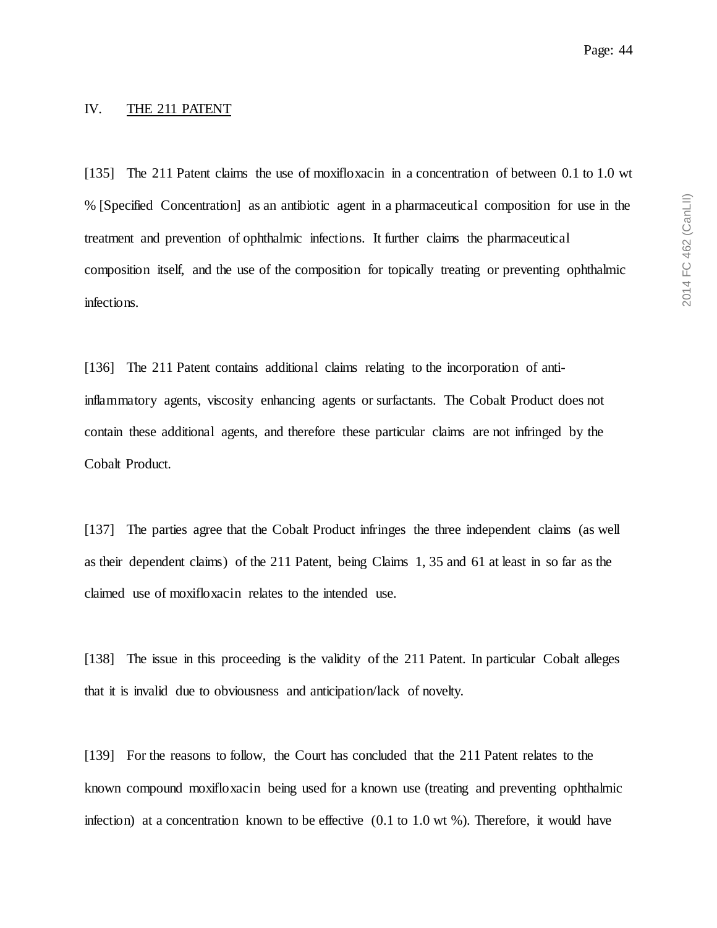#### IV. THE 211 PATENT

[135] The 211 Patent claims the use of moxifloxacin in a concentration of between 0.1 to 1.0 wt % [Specified Concentration] as an antibiotic agent in a pharmaceutical composition for use in the treatment and prevention of ophthalmic infections. It further claims the pharmaceutical composition itself, and the use of the composition for topically treating or preventing ophthalmic infections.

[136] The 211 Patent contains additional claims relating to the incorporation of antiinflammatory agents, viscosity enhancing agents or surfactants. The Cobalt Product does not contain these additional agents, and therefore these particular claims are not infringed by the Cobalt Product.

[137] The parties agree that the Cobalt Product infringes the three independent claims (as well as their dependent claims) of the 211 Patent, being Claims 1, 35 and 61 at least in so far as the claimed use of moxifloxacin relates to the intended use.

[138] The issue in this proceeding is the validity of the 211 Patent. In particular Cobalt alleges that it is invalid due to obviousness and anticipation/lack of novelty.

[139] For the reasons to follow, the Court has concluded that the 211 Patent relates to the known compound moxifloxacin being used for a known use (treating and preventing ophthalmic infection) at a concentration known to be effective  $(0.1 \text{ to } 1.0 \text{ wt } \%)$ . Therefore, it would have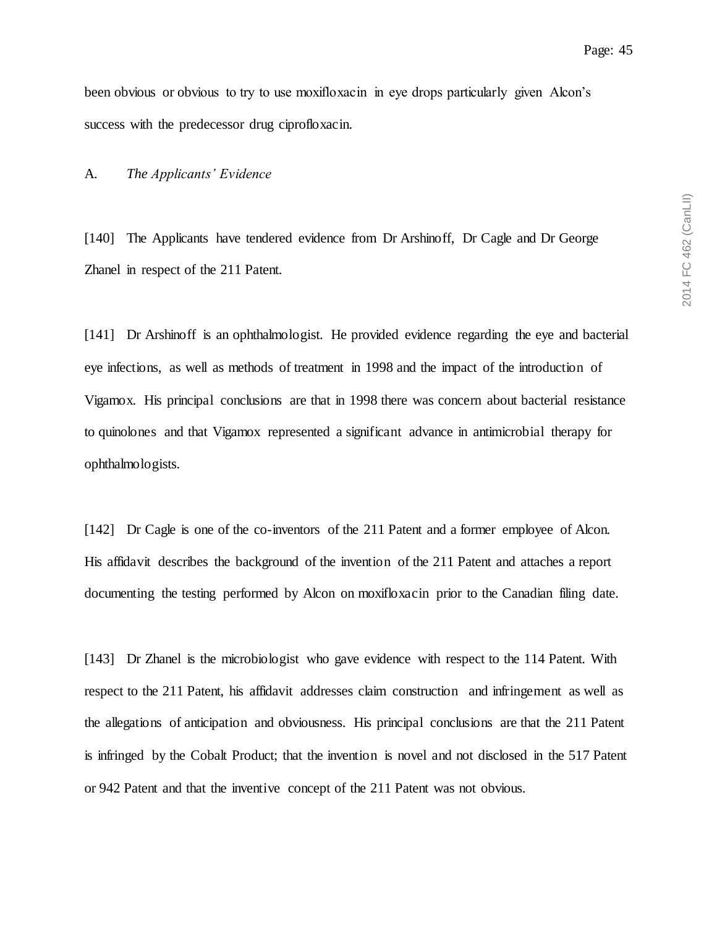been obvious or obvious to try to use moxifloxacin in eye drops particularly given Alcon's success with the predecessor drug ciprofloxacin.

#### A. *The Applicants' Evidence*

[140] The Applicants have tendered evidence from Dr Arshinoff, Dr Cagle and Dr George Zhanel in respect of the 211 Patent.

[141] Dr Arshinoff is an ophthalmologist. He provided evidence regarding the eye and bacterial eye infections, as well as methods of treatment in 1998 and the impact of the introduction of Vigamox. His principal conclusions are that in 1998 there was concern about bacterial resistance to quinolones and that Vigamox represented a significant advance in antimicrobial therapy for ophthalmologists.

[142] Dr Cagle is one of the co-inventors of the 211 Patent and a former employee of Alcon. His affidavit describes the background of the invention of the 211 Patent and attaches a report documenting the testing performed by Alcon on moxifloxacin prior to the Canadian filing date.

[143] Dr Zhanel is the microbiologist who gave evidence with respect to the 114 Patent. With respect to the 211 Patent, his affidavit addresses claim construction and infringement as well as the allegations of anticipation and obviousness. His principal conclusions are that the 211 Patent is infringed by the Cobalt Product; that the invention is novel and not disclosed in the 517 Patent or 942 Patent and that the inventive concept of the 211 Patent was not obvious.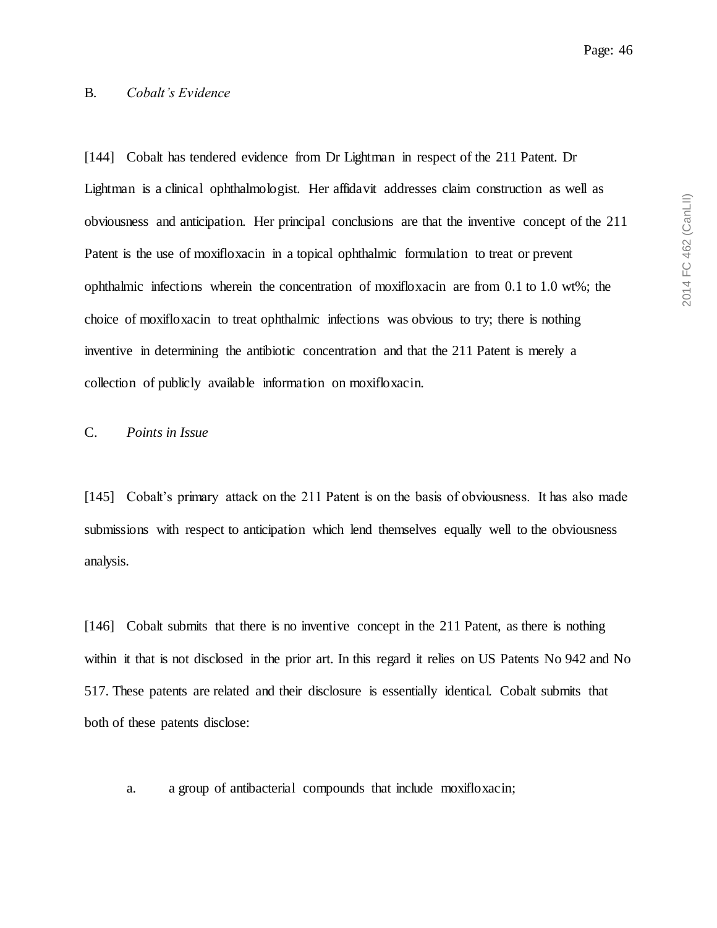2014 FC 462 (CanLII) 2014 FC 462 (CanLII)

#### B. *Cobalt's Evidence*

[144] Cobalt has tendered evidence from Dr Lightman in respect of the 211 Patent. Dr Lightman is a clinical ophthalmologist. Her affidavit addresses claim construction as well as obviousness and anticipation. Her principal conclusions are that the inventive concept of the 211 Patent is the use of moxifloxacin in a topical ophthalmic formulation to treat or prevent ophthalmic infections wherein the concentration of moxifloxacin are from 0.1 to 1.0 wt%; the choice of moxifloxacin to treat ophthalmic infections was obvious to try; there is nothing inventive in determining the antibiotic concentration and that the 211 Patent is merely a collection of publicly available information on moxifloxacin.

## C. *Points in Issue*

[145] Cobalt's primary attack on the 211 Patent is on the basis of obviousness. It has also made submissions with respect to anticipation which lend themselves equally well to the obviousness analysis.

[146] Cobalt submits that there is no inventive concept in the 211 Patent, as there is nothing within it that is not disclosed in the prior art. In this regard it relies on US Patents No 942 and No 517. These patents are related and their disclosure is essentially identical. Cobalt submits that both of these patents disclose:

a. a group of antibacterial compounds that include moxifloxacin;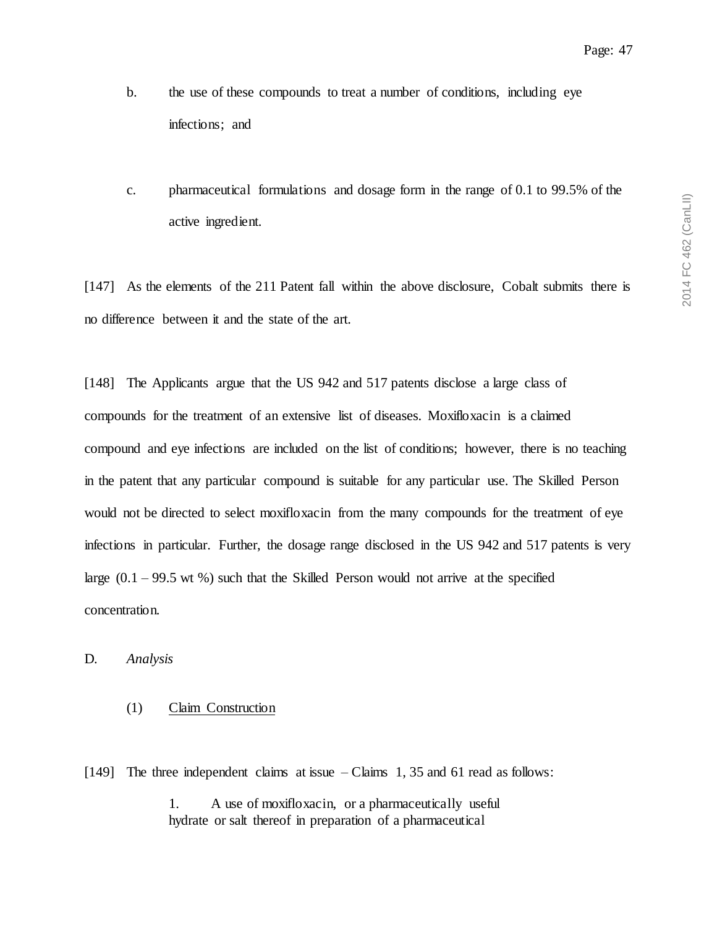- b. the use of these compounds to treat a number of conditions, including eye infections; and
- c. pharmaceutical formulations and dosage form in the range of 0.1 to 99.5% of the active ingredient.

[147] As the elements of the 211 Patent fall within the above disclosure, Cobalt submits there is no difference between it and the state of the art.

[148] The Applicants argue that the US 942 and 517 patents disclose a large class of compounds for the treatment of an extensive list of diseases. Moxifloxacin is a claimed compound and eye infections are included on the list of conditions; however, there is no teaching in the patent that any particular compound is suitable for any particular use. The Skilled Person would not be directed to select moxifloxacin from the many compounds for the treatment of eye infections in particular. Further, the dosage range disclosed in the US 942 and 517 patents is very large  $(0.1 - 99.5 \text{ wt } %)$  such that the Skilled Person would not arrive at the specified concentration.

### D. *Analysis*

### (1) Claim Construction

[149] The three independent claims at issue – Claims 1, 35 and 61 read as follows:

1. A use of moxifloxacin, or a pharmaceutically useful hydrate or salt thereof in preparation of a pharmaceutical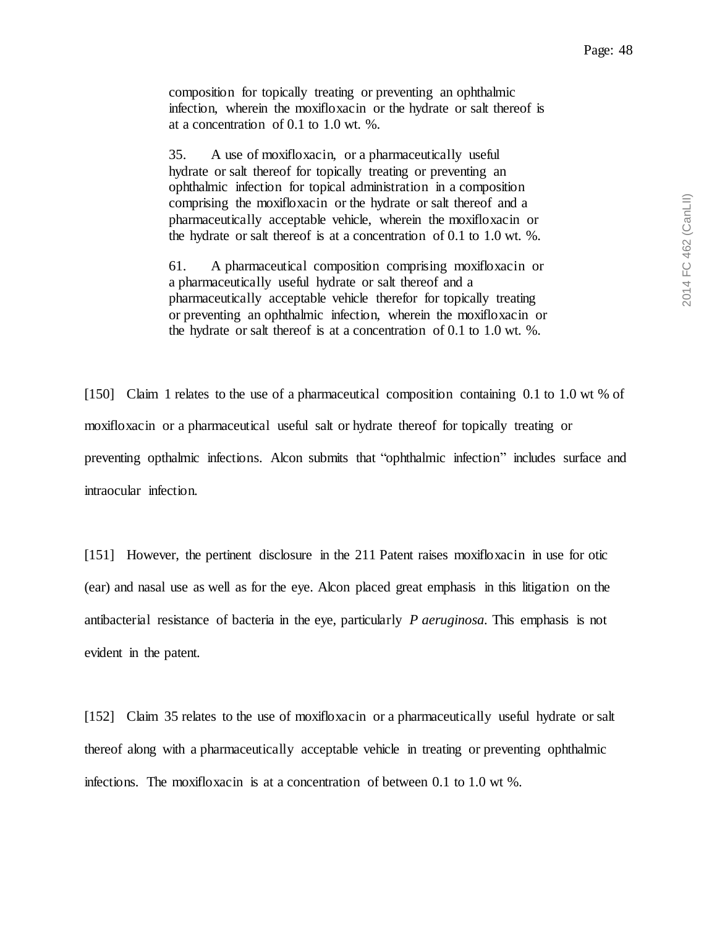composition for topically treating or preventing an ophthalmic infection, wherein the moxifloxacin or the hydrate or salt thereof is at a concentration of 0.1 to 1.0 wt. %.

35. A use of moxifloxacin, or a pharmaceutically useful hydrate or salt thereof for topically treating or preventing an ophthalmic infection for topical administration in a composition comprising the moxifloxacin or the hydrate or salt thereof and a pharmaceutically acceptable vehicle, wherein the moxifloxacin or the hydrate or salt thereof is at a concentration of 0.1 to 1.0 wt. %.

61. A pharmaceutical composition comprising moxifloxacin or a pharmaceutically useful hydrate or salt thereof and a pharmaceutically acceptable vehicle therefor for topically treating or preventing an ophthalmic infection, wherein the moxifloxacin or the hydrate or salt thereof is at a concentration of 0.1 to 1.0 wt. %.

[150] Claim 1 relates to the use of a pharmaceutical composition containing 0.1 to 1.0 wt % of moxifloxacin or a pharmaceutical useful salt or hydrate thereof for topically treating or preventing opthalmic infections. Alcon submits that "ophthalmic infection" includes surface and intraocular infection.

[151] However, the pertinent disclosure in the 211 Patent raises moxifloxacin in use for otic (ear) and nasal use as well as for the eye. Alcon placed great emphasis in this litigation on the antibacterial resistance of bacteria in the eye, particularly *P aeruginosa.* This emphasis is not evident in the patent.

[152] Claim 35 relates to the use of moxifloxacin or a pharmaceutically useful hydrate or salt thereof along with a pharmaceutically acceptable vehicle in treating or preventing ophthalmic infections. The moxifloxacin is at a concentration of between  $0.1$  to  $1.0$  wt %.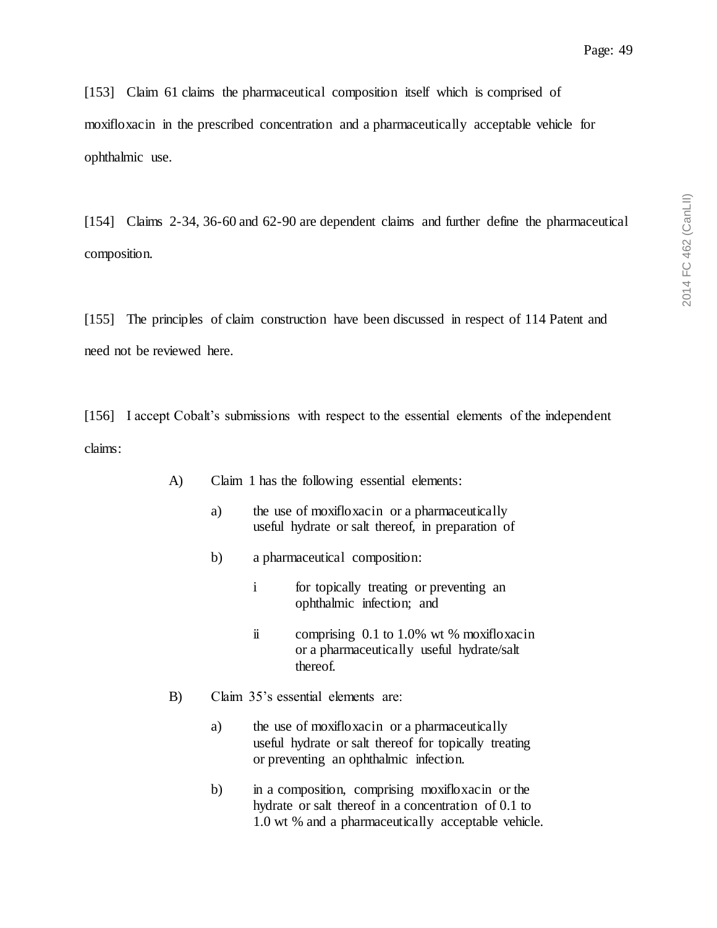[153] Claim 61 claims the pharmaceutical composition itself which is comprised of moxifloxacin in the prescribed concentration and a pharmaceutically acceptable vehicle for ophthalmic use.

[154] Claims 2-34, 36-60 and 62-90 are dependent claims and further define the pharmaceutical composition.

[155] The principles of claim construction have been discussed in respect of 114 Patent and need not be reviewed here.

[156] I accept Cobalt's submissions with respect to the essential elements of the independent claims:

- A) Claim 1 has the following essential elements:
	- a) the use of moxifloxacin or a pharmaceutically useful hydrate or salt thereof, in preparation of
	- b) a pharmaceutical composition:
		- i for topically treating or preventing an ophthalmic infection; and
		- ii comprising 0.1 to 1.0% wt % moxifloxacin or a pharmaceutically useful hydrate/salt thereof.
- B) Claim 35's essential elements are:
	- a) the use of moxifloxacin or a pharmaceutically useful hydrate or salt thereof for topically treating or preventing an ophthalmic infection.
	- b) in a composition, comprising moxifloxacin or the hydrate or salt thereof in a concentration of 0.1 to 1.0 wt % and a pharmaceutically acceptable vehicle.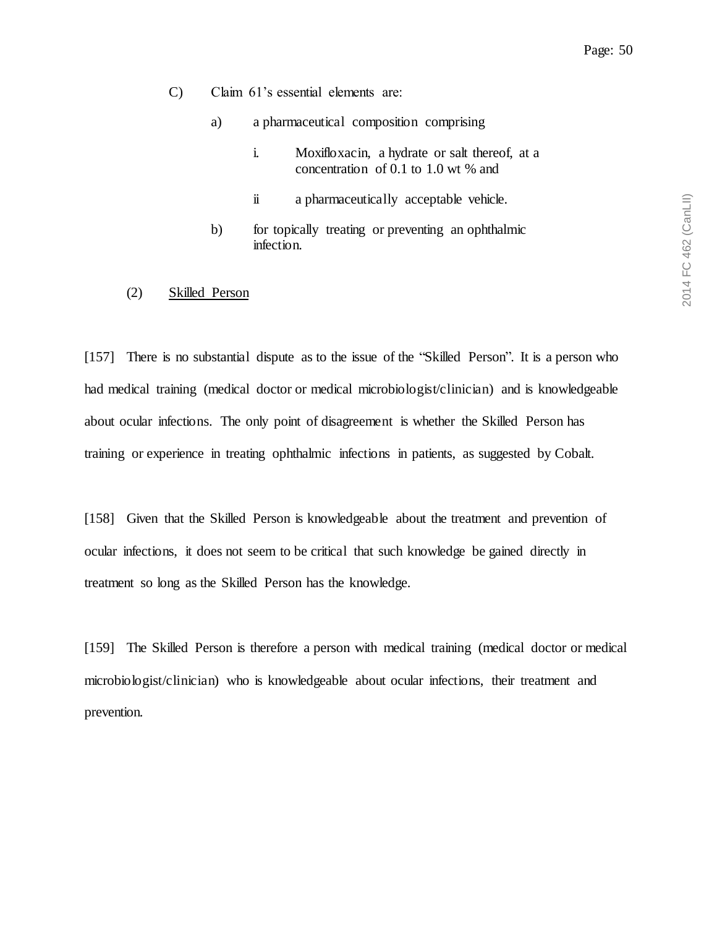- C) Claim 61's essential elements are:
	- a) a pharmaceutical composition comprising
		- i. Moxifloxacin, a hydrate or salt thereof, at a concentration of 0.1 to 1.0 wt % and
		- ii a pharmaceutically acceptable vehicle.
	- b) for topically treating or preventing an ophthalmic infection.
- (2) Skilled Person

[157] There is no substantial dispute as to the issue of the "Skilled Person". It is a person who had medical training (medical doctor or medical microbiologist/clinician) and is knowledgeable about ocular infections. The only point of disagreement is whether the Skilled Person has training or experience in treating ophthalmic infections in patients, as suggested by Cobalt.

[158] Given that the Skilled Person is knowledgeable about the treatment and prevention of ocular infections, it does not seem to be critical that such knowledge be gained directly in treatment so long as the Skilled Person has the knowledge.

[159] The Skilled Person is therefore a person with medical training (medical doctor or medical microbiologist/clinician) who is knowledgeable about ocular infections, their treatment and prevention.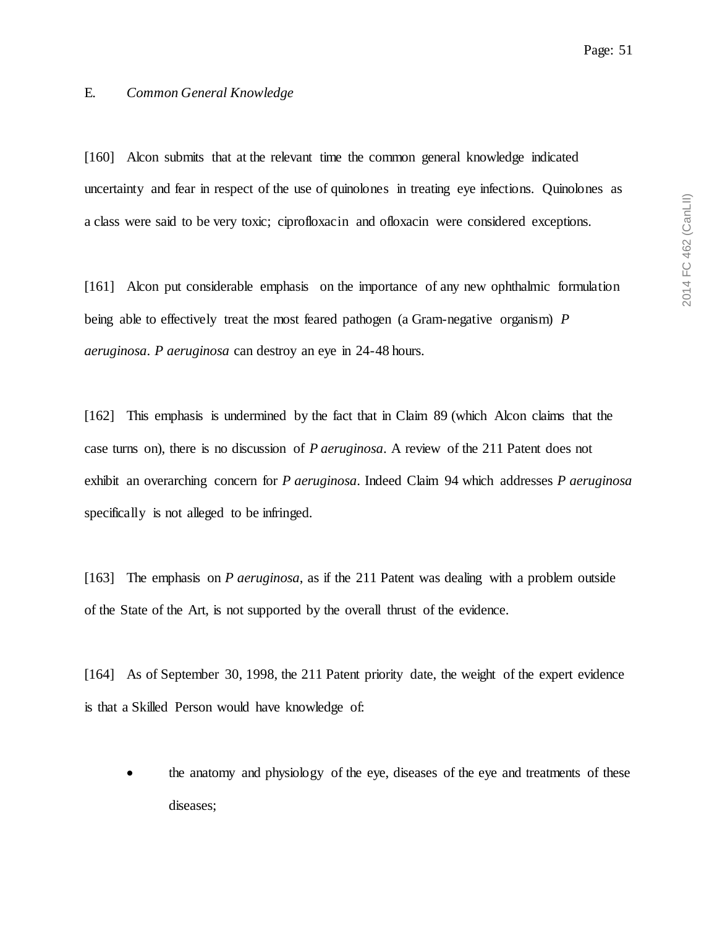2014 FC 462 (CanLII) 2014 FC 462 (CanLII)

## E. *Common General Knowledge*

[160] Alcon submits that at the relevant time the common general knowledge indicated uncertainty and fear in respect of the use of quinolones in treating eye infections. Quinolones as a class were said to be very toxic; ciprofloxacin and ofloxacin were considered exceptions.

[161] Alcon put considerable emphasis on the importance of any new ophthalmic formulation being able to effectively treat the most feared pathogen (a Gram-negative organism) *P aeruginosa*. *P aeruginosa* can destroy an eye in 24-48 hours.

[162] This emphasis is undermined by the fact that in Claim 89 (which Alcon claims that the case turns on), there is no discussion of *P aeruginosa*. A review of the 211 Patent does not exhibit an overarching concern for *P aeruginosa*. Indeed Claim 94 which addresses *P aeruginosa* specifically is not alleged to be infringed.

[163] The emphasis on *P aeruginosa*, as if the 211 Patent was dealing with a problem outside of the State of the Art, is not supported by the overall thrust of the evidence.

[164] As of September 30, 1998, the 211 Patent priority date, the weight of the expert evidence is that a Skilled Person would have knowledge of:

 the anatomy and physiology of the eye, diseases of the eye and treatments of these diseases;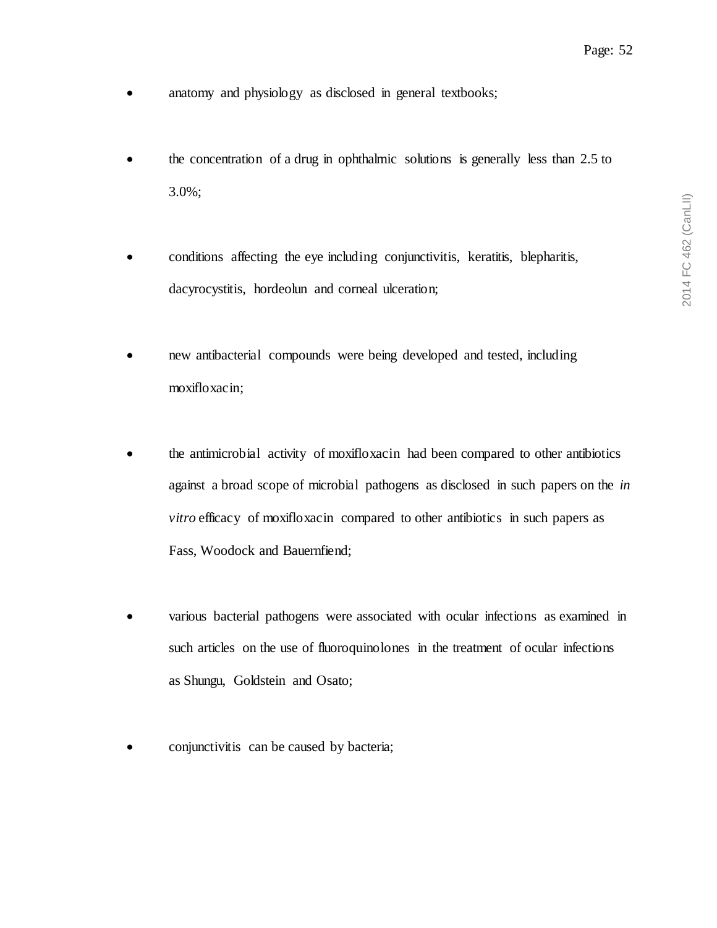- anatomy and physiology as disclosed in general textbooks;
- the concentration of a drug in ophthalmic solutions is generally less than 2.5 to 3.0%;
- conditions affecting the eye including conjunctivitis, keratitis, blepharitis, dacyrocystitis, hordeolun and corneal ulceration;
- new antibacterial compounds were being developed and tested, including moxifloxacin;
- the antimicrobial activity of moxifloxacin had been compared to other antibiotics against a broad scope of microbial pathogens as disclosed in such papers on the *in vitro* efficacy of moxifloxacin compared to other antibiotics in such papers as Fass, Woodock and Bauernfiend;
- various bacterial pathogens were associated with ocular infections as examined in such articles on the use of fluoroquinolones in the treatment of ocular infections as Shungu, Goldstein and Osato;
- conjunctivitis can be caused by bacteria;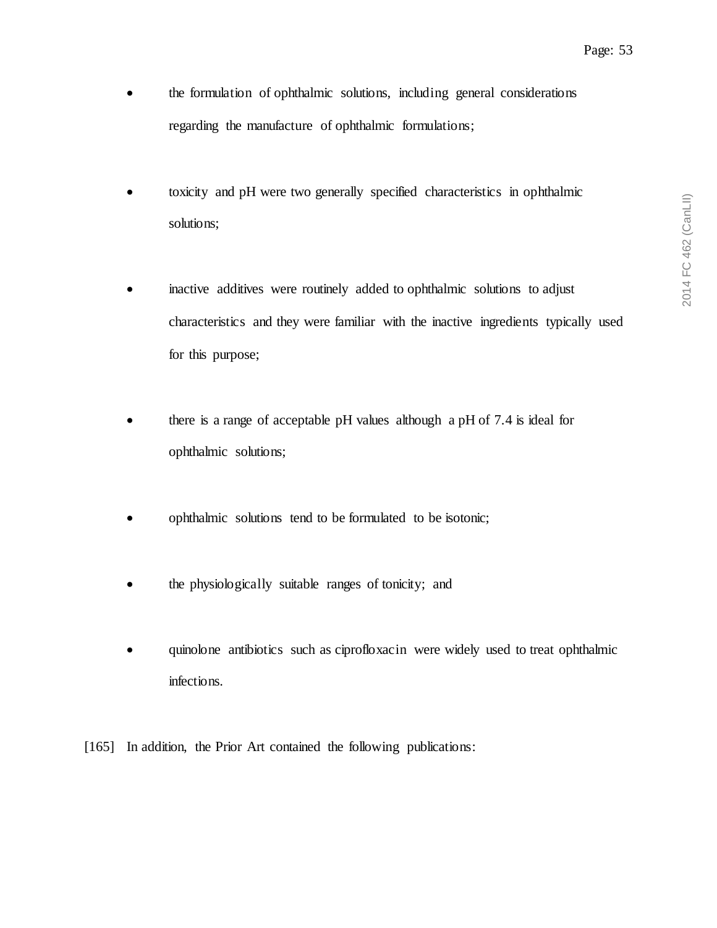2014 FC 462 (CanLII) 2014 FC 462 (CanLII)

- the formulation of ophthalmic solutions, including general considerations regarding the manufacture of ophthalmic formulations;
- toxicity and pH were two generally specified characteristics in ophthalmic solutions;
- inactive additives were routinely added to ophthalmic solutions to adjust characteristics and they were familiar with the inactive ingredients typically used for this purpose;
- there is a range of acceptable pH values although a pH of 7.4 is ideal for ophthalmic solutions;
- ophthalmic solutions tend to be formulated to be isotonic;
- the physiologically suitable ranges of tonicity; and
- quinolone antibiotics such as ciprofloxacin were widely used to treat ophthalmic infections.
- [165] In addition, the Prior Art contained the following publications: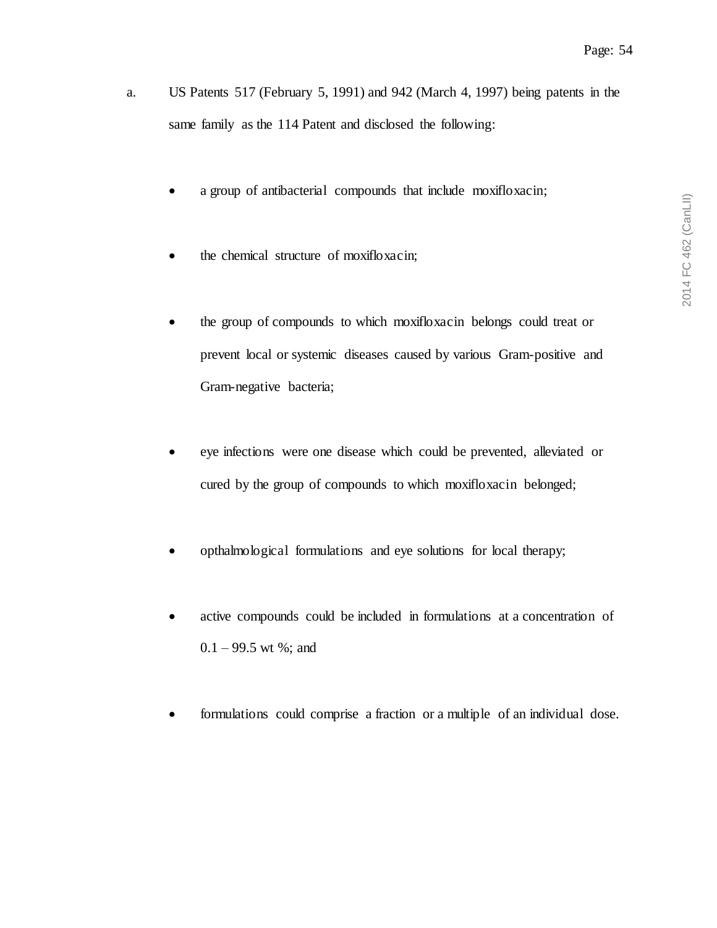- a. US Patents 517 (February 5, 1991) and 942 (March 4, 1997) being patents in the same family as the 114 Patent and disclosed the following:
	- a group of antibacterial compounds that include moxifloxacin;
	- the chemical structure of moxifloxacin;
	- the group of compounds to which moxifloxacin belongs could treat or prevent local or systemic diseases caused by various Gram-positive and Gram-negative bacteria;
	- eye infections were one disease which could be prevented, alleviated or cured by the group of compounds to which moxifloxacin belonged;
	- opthalmological formulations and eye solutions for local therapy;
	- active compounds could be included in formulations at a concentration of  $0.1 - 99.5$  wt %; and
	- formulations could comprise a fraction or a multiple of an individual dose.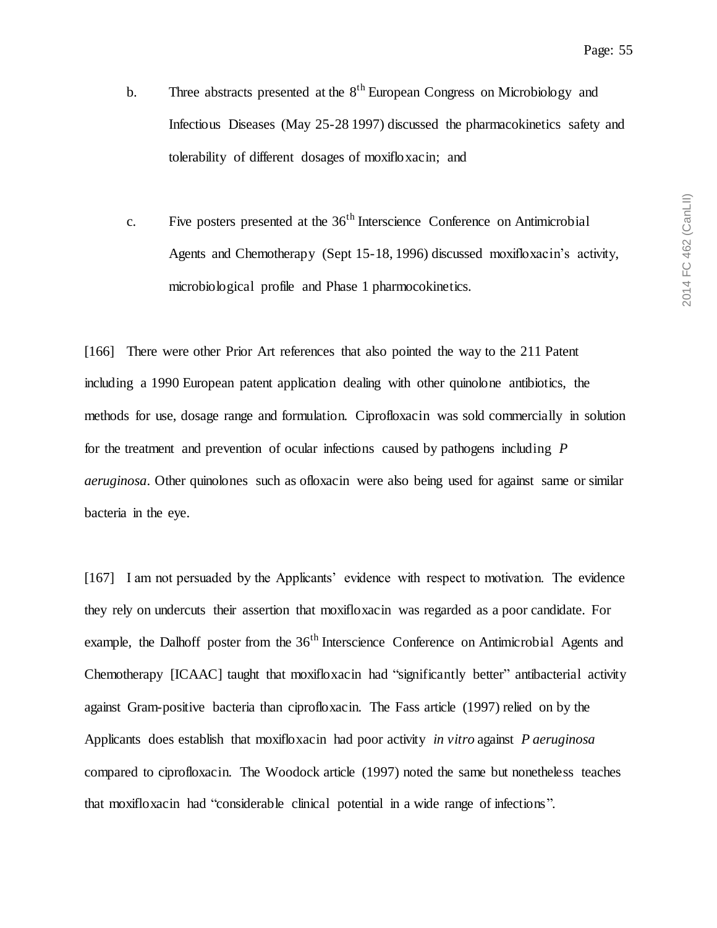- b. Three abstracts presented at the  $8<sup>th</sup>$  European Congress on Microbiology and Infectious Diseases (May 25-28 1997) discussed the pharmacokinetics safety and tolerability of different dosages of moxifloxacin; and
- c. Five posters presented at the  $36<sup>th</sup>$  Interscience Conference on Antimicrobial Agents and Chemotherapy (Sept 15-18, 1996) discussed moxifloxacin's activity, microbiological profile and Phase 1 pharmocokinetics.

[166] There were other Prior Art references that also pointed the way to the 211 Patent including a 1990 European patent application dealing with other quinolone antibiotics, the methods for use, dosage range and formulation. Ciprofloxacin was sold commercially in solution for the treatment and prevention of ocular infections caused by pathogens including *P aeruginosa*. Other quinolones such as ofloxacin were also being used for against same or similar bacteria in the eye.

[167] I am not persuaded by the Applicants' evidence with respect to motivation. The evidence they rely on undercuts their assertion that moxifloxacin was regarded as a poor candidate. For example, the Dalhoff poster from the  $36<sup>th</sup>$  Interscience Conference on Antimicrobial Agents and Chemotherapy [ICAAC] taught that moxifloxacin had "significantly better" antibacterial activity against Gram-positive bacteria than ciprofloxacin. The Fass article (1997) relied on by the Applicants does establish that moxifloxacin had poor activity *in vitro* against *P aeruginosa* compared to ciprofloxacin. The Woodock article (1997) noted the same but nonetheless teaches that moxifloxacin had "considerable clinical potential in a wide range of infections".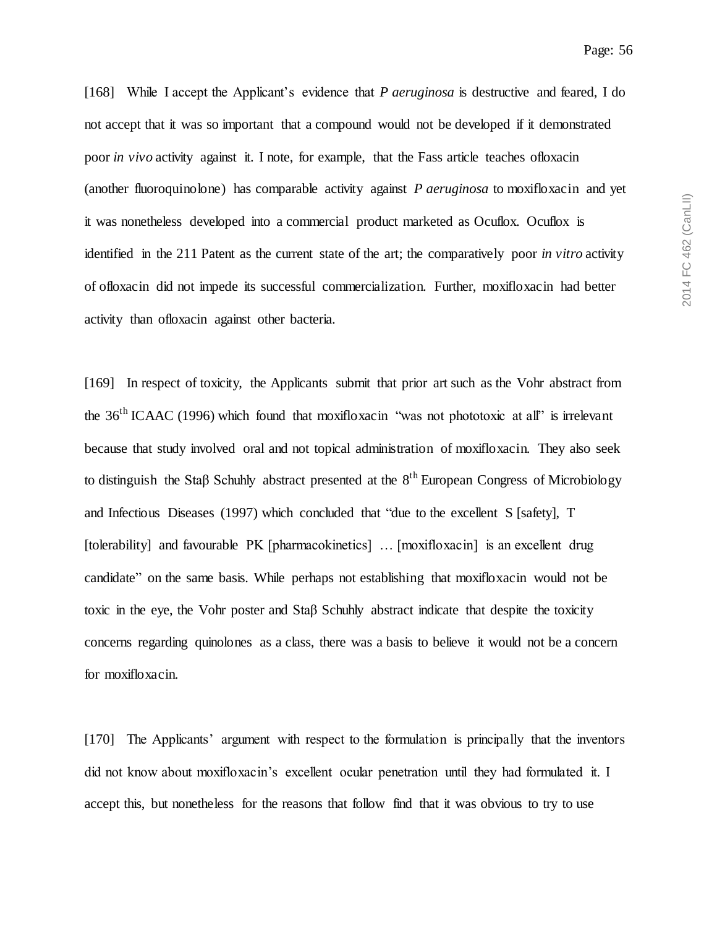[168] While I accept the Applicant's evidence that *P aeruginosa* is destructive and feared, I do not accept that it was so important that a compound would not be developed if it demonstrated poor *in vivo* activity against it. I note, for example, that the Fass article teaches ofloxacin (another fluoroquinolone) has comparable activity against *P aeruginosa* to moxifloxacin and yet it was nonetheless developed into a commercial product marketed as Ocuflox. Ocuflox is identified in the 211 Patent as the current state of the art; the comparatively poor *in vitro* activity of ofloxacin did not impede its successful commercialization. Further, moxifloxacin had better activity than ofloxacin against other bacteria.

[169] In respect of toxicity, the Applicants submit that prior art such as the Vohr abstract from the 36<sup>th</sup> ICAAC (1996) which found that moxifloxacin "was not phototoxic at all" is irrelevant because that study involved oral and not topical administration of moxifloxacin. They also seek to distinguish the Staβ Schuhly abstract presented at the 8<sup>th</sup> European Congress of Microbiology and Infectious Diseases (1997) which concluded that "due to the excellent S [safety], T [tolerability] and favourable PK [pharmacokinetics] … [moxifloxacin] is an excellent drug candidate" on the same basis. While perhaps not establishing that moxifloxacin would not be toxic in the eye, the Vohr poster and Staβ Schuhly abstract indicate that despite the toxicity concerns regarding quinolones as a class, there was a basis to believe it would not be a concern for moxifloxacin.

[170] The Applicants' argument with respect to the formulation is principally that the inventors did not know about moxifloxacin's excellent ocular penetration until they had formulated it. I accept this, but nonetheless for the reasons that follow find that it was obvious to try to use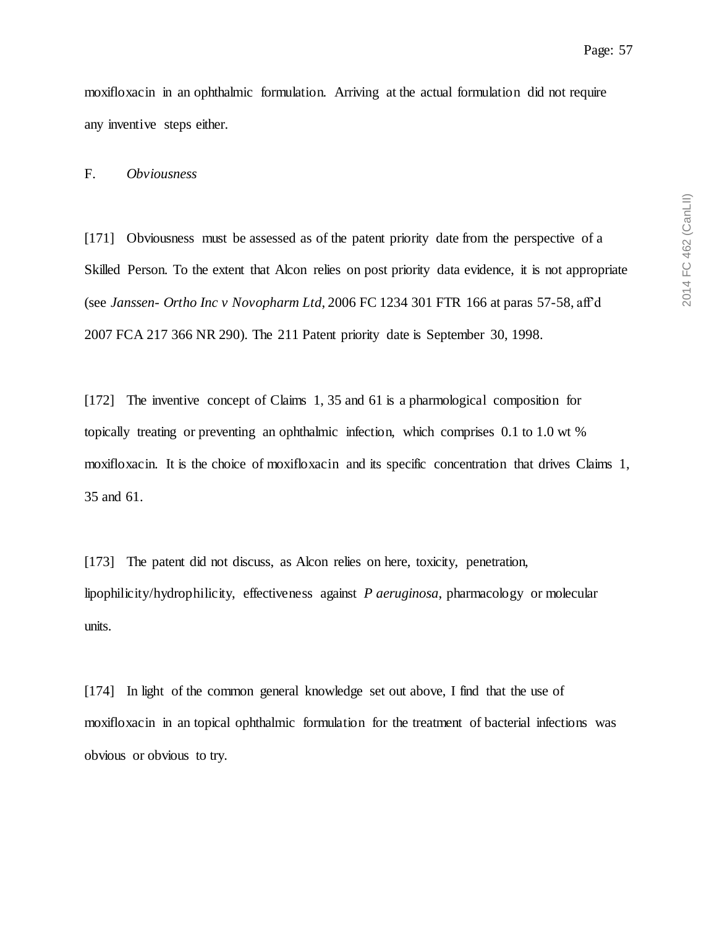moxifloxacin in an ophthalmic formulation. Arriving at the actual formulation did not require any inventive steps either.

F. *Obviousness*

[171] Obviousness must be assessed as of the patent priority date from the perspective of a Skilled Person. To the extent that Alcon relies on post priority data evidence, it is not appropriate (see *Janssen- Ortho Inc v Novopharm Ltd*, 2006 FC 1234 301 FTR 166 at paras 57-58, aff'd 2007 FCA 217 366 NR 290). The 211 Patent priority date is September 30, 1998.

[172] The inventive concept of Claims 1, 35 and 61 is a pharmological composition for topically treating or preventing an ophthalmic infection, which comprises 0.1 to 1.0 wt % moxifloxacin. It is the choice of moxifloxacin and its specific concentration that drives Claims 1, 35 and 61.

[173] The patent did not discuss, as Alcon relies on here, toxicity, penetration, lipophilicity/hydrophilicity, effectiveness against *P aeruginosa*, pharmacology or molecular units.

[174] In light of the common general knowledge set out above, I find that the use of moxifloxacin in an topical ophthalmic formulation for the treatment of bacterial infections was obvious or obvious to try.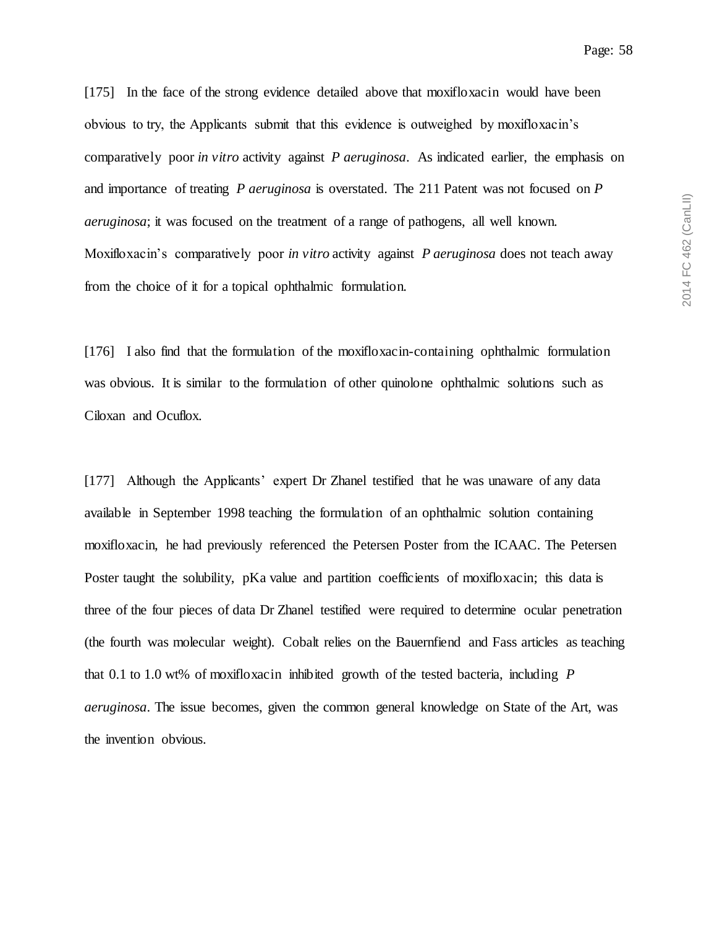[175] In the face of the strong evidence detailed above that moxifloxacin would have been obvious to try, the Applicants submit that this evidence is outweighed by moxifloxacin's comparatively poor *in vitro* activity against *P aeruginosa*. As indicated earlier, the emphasis on and importance of treating *P aeruginosa* is overstated. The 211 Patent was not focused on *P aeruginosa*; it was focused on the treatment of a range of pathogens, all well known. Moxifloxacin's comparatively poor *in vitro* activity against *P aeruginosa* does not teach away from the choice of it for a topical ophthalmic formulation.

[176] I also find that the formulation of the moxifloxacin-containing ophthalmic formulation was obvious. It is similar to the formulation of other quinolone ophthalmic solutions such as Ciloxan and Ocuflox.

[177] Although the Applicants' expert Dr Zhanel testified that he was unaware of any data available in September 1998 teaching the formulation of an ophthalmic solution containing moxifloxacin, he had previously referenced the Petersen Poster from the ICAAC. The Petersen Poster taught the solubility, pKa value and partition coefficients of moxifloxacin; this data is three of the four pieces of data Dr Zhanel testified were required to determine ocular penetration (the fourth was molecular weight). Cobalt relies on the Bauernfiend and Fass articles as teaching that 0.1 to 1.0 wt% of moxifloxacin inhibited growth of the tested bacteria, including *P aeruginosa*. The issue becomes, given the common general knowledge on State of the Art, was the invention obvious.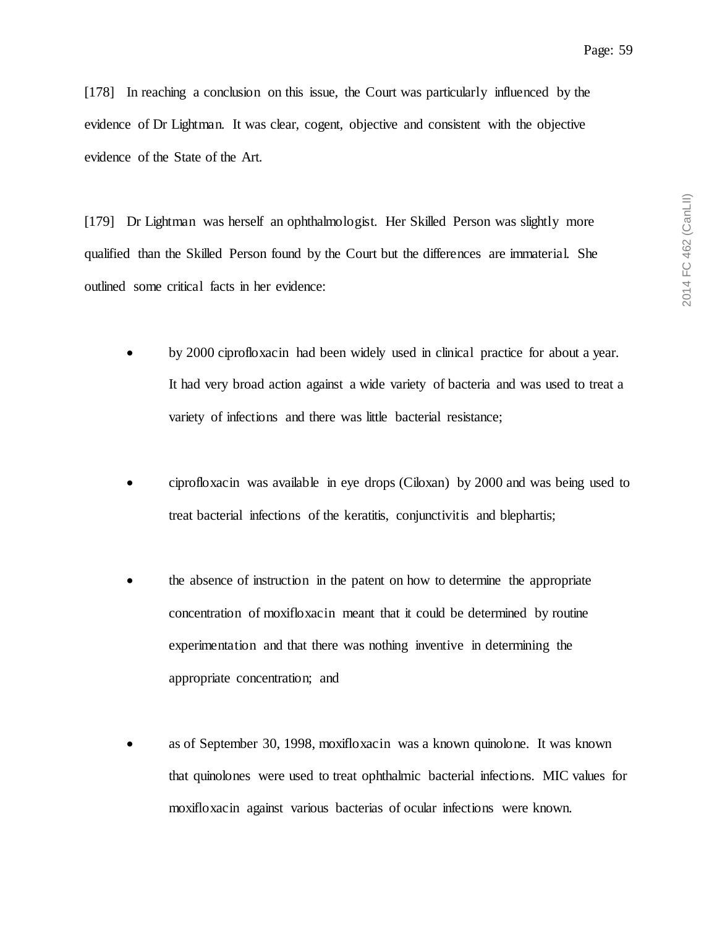[178] In reaching a conclusion on this issue, the Court was particularly influenced by the evidence of Dr Lightman. It was clear, cogent, objective and consistent with the objective evidence of the State of the Art.

[179] Dr Lightman was herself an ophthalmologist. Her Skilled Person was slightly more qualified than the Skilled Person found by the Court but the differences are immaterial. She outlined some critical facts in her evidence:

- by 2000 ciprofloxacin had been widely used in clinical practice for about a year. It had very broad action against a wide variety of bacteria and was used to treat a variety of infections and there was little bacterial resistance;
- ciprofloxacin was available in eye drops (Ciloxan) by 2000 and was being used to treat bacterial infections of the keratitis, conjunctivitis and blephartis;
- the absence of instruction in the patent on how to determine the appropriate concentration of moxifloxacin meant that it could be determined by routine experimentation and that there was nothing inventive in determining the appropriate concentration; and
- as of September 30, 1998, moxifloxacin was a known quinolone. It was known that quinolones were used to treat ophthalmic bacterial infections. MIC values for moxifloxacin against various bacterias of ocular infections were known.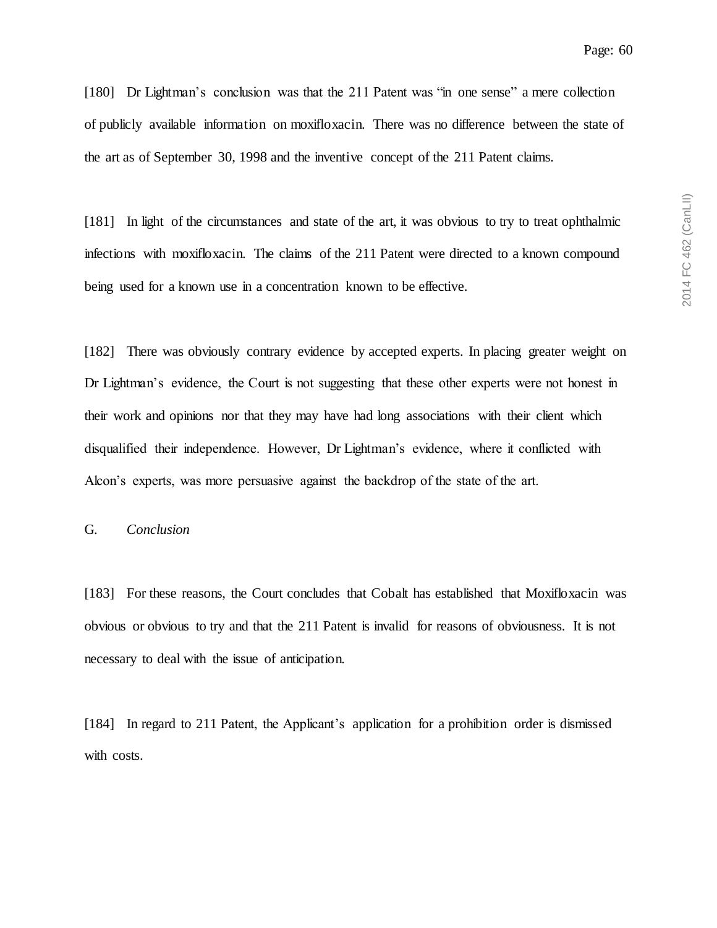[180] Dr Lightman's conclusion was that the 211 Patent was "in one sense" a mere collection of publicly available information on moxifloxacin. There was no difference between the state of the art as of September 30, 1998 and the inventive concept of the 211 Patent claims.

[181] In light of the circumstances and state of the art, it was obvious to try to treat ophthalmic infections with moxifloxacin. The claims of the 211 Patent were directed to a known compound being used for a known use in a concentration known to be effective.

[182] There was obviously contrary evidence by accepted experts. In placing greater weight on Dr Lightman's evidence, the Court is not suggesting that these other experts were not honest in their work and opinions nor that they may have had long associations with their client which disqualified their independence. However, Dr Lightman's evidence, where it conflicted with Alcon's experts, was more persuasive against the backdrop of the state of the art.

### G. *Conclusion*

[183] For these reasons, the Court concludes that Cobalt has established that Moxifloxacin was obvious or obvious to try and that the 211 Patent is invalid for reasons of obviousness. It is not necessary to deal with the issue of anticipation.

[184] In regard to 211 Patent, the Applicant's application for a prohibition order is dismissed with costs.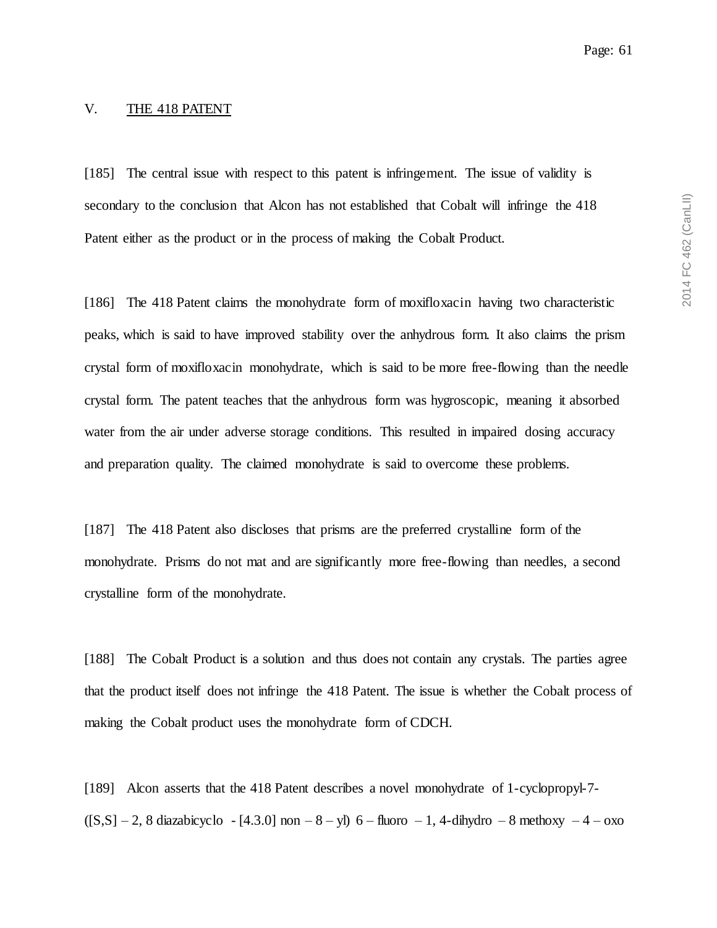#### V. THE 418 PATENT

[185] The central issue with respect to this patent is infringement. The issue of validity is secondary to the conclusion that Alcon has not established that Cobalt will infringe the 418 Patent either as the product or in the process of making the Cobalt Product.

[186] The 418 Patent claims the monohydrate form of moxifloxacin having two characteristic peaks, which is said to have improved stability over the anhydrous form. It also claims the prism crystal form of moxifloxacin monohydrate, which is said to be more free-flowing than the needle crystal form. The patent teaches that the anhydrous form was hygroscopic, meaning it absorbed water from the air under adverse storage conditions. This resulted in impaired dosing accuracy and preparation quality. The claimed monohydrate is said to overcome these problems.

[187] The 418 Patent also discloses that prisms are the preferred crystalline form of the monohydrate. Prisms do not mat and are significantly more free-flowing than needles, a second crystalline form of the monohydrate.

[188] The Cobalt Product is a solution and thus does not contain any crystals. The parties agree that the product itself does not infringe the 418 Patent. The issue is whether the Cobalt process of making the Cobalt product uses the monohydrate form of CDCH.

[189] Alcon asserts that the 418 Patent describes a novel monohydrate of 1-cyclopropyl-7-  $([S,S] - 2$ , 8 diazabicyclo - [4.3.0] non – 8 – yl) 6 – fluoro – 1, 4-dihydro – 8 methoxy – 4 – oxo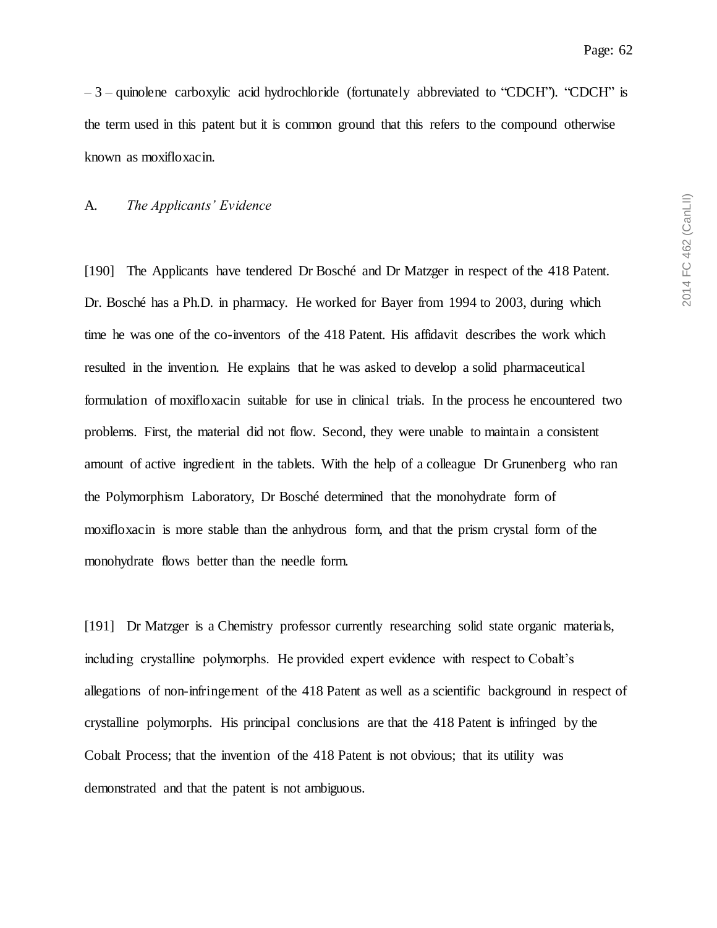$-3$  – quinolene carboxylic acid hydrochloride (fortunately abbreviated to "CDCH"). "CDCH" is the term used in this patent but it is common ground that this refers to the compound otherwise known as moxifloxacin.

### A. *The Applicants' Evidence*

[190] The Applicants have tendered Dr Bosché and Dr Matzger in respect of the 418 Patent. Dr. Bosché has a Ph.D. in pharmacy. He worked for Bayer from 1994 to 2003, during which time he was one of the co-inventors of the 418 Patent. His affidavit describes the work which resulted in the invention. He explains that he was asked to develop a solid pharmaceutical formulation of moxifloxacin suitable for use in clinical trials. In the process he encountered two problems. First, the material did not flow. Second, they were unable to maintain a consistent amount of active ingredient in the tablets. With the help of a colleague Dr Grunenberg who ran the Polymorphism Laboratory, Dr Bosché determined that the monohydrate form of moxifloxacin is more stable than the anhydrous form, and that the prism crystal form of the monohydrate flows better than the needle form.

[191] Dr Matzger is a Chemistry professor currently researching solid state organic materials, including crystalline polymorphs. He provided expert evidence with respect to Cobalt's allegations of non-infringement of the 418 Patent as well as a scientific background in respect of crystalline polymorphs. His principal conclusions are that the 418 Patent is infringed by the Cobalt Process; that the invention of the 418 Patent is not obvious; that its utility was demonstrated and that the patent is not ambiguous.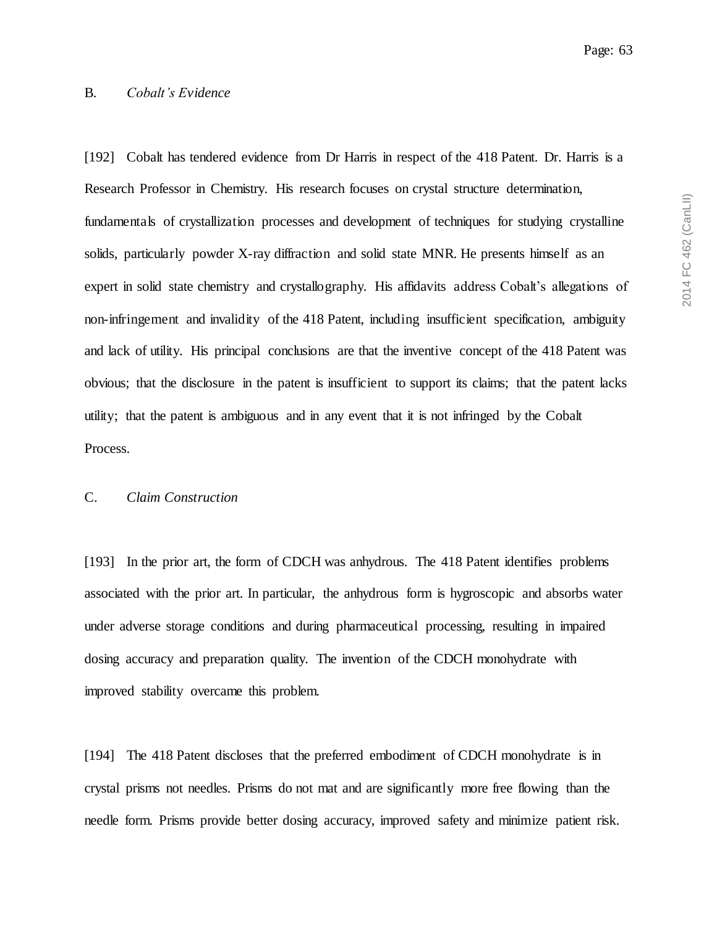2014 FC 462 (CanLII) 2014 FC 462 (CanLII)

#### B. *Cobalt's Evidence*

[192] Cobalt has tendered evidence from Dr Harris in respect of the 418 Patent. Dr. Harris is a Research Professor in Chemistry. His research focuses on crystal structure determination, fundamentals of crystallization processes and development of techniques for studying crystalline solids, particularly powder X-ray diffraction and solid state MNR. He presents himself as an expert in solid state chemistry and crystallography. His affidavits address Cobalt's allegations of non-infringement and invalidity of the 418 Patent, including insufficient specification, ambiguity and lack of utility. His principal conclusions are that the inventive concept of the 418 Patent was obvious; that the disclosure in the patent is insufficient to support its claims; that the patent lacks utility; that the patent is ambiguous and in any event that it is not infringed by the Cobalt Process.

#### C. *Claim Construction*

[193] In the prior art, the form of CDCH was anhydrous. The 418 Patent identifies problems associated with the prior art. In particular, the anhydrous form is hygroscopic and absorbs water under adverse storage conditions and during pharmaceutical processing, resulting in impaired dosing accuracy and preparation quality. The invention of the CDCH monohydrate with improved stability overcame this problem.

[194] The 418 Patent discloses that the preferred embodiment of CDCH monohydrate is in crystal prisms not needles. Prisms do not mat and are significantly more free flowing than the needle form. Prisms provide better dosing accuracy, improved safety and minimize patient risk.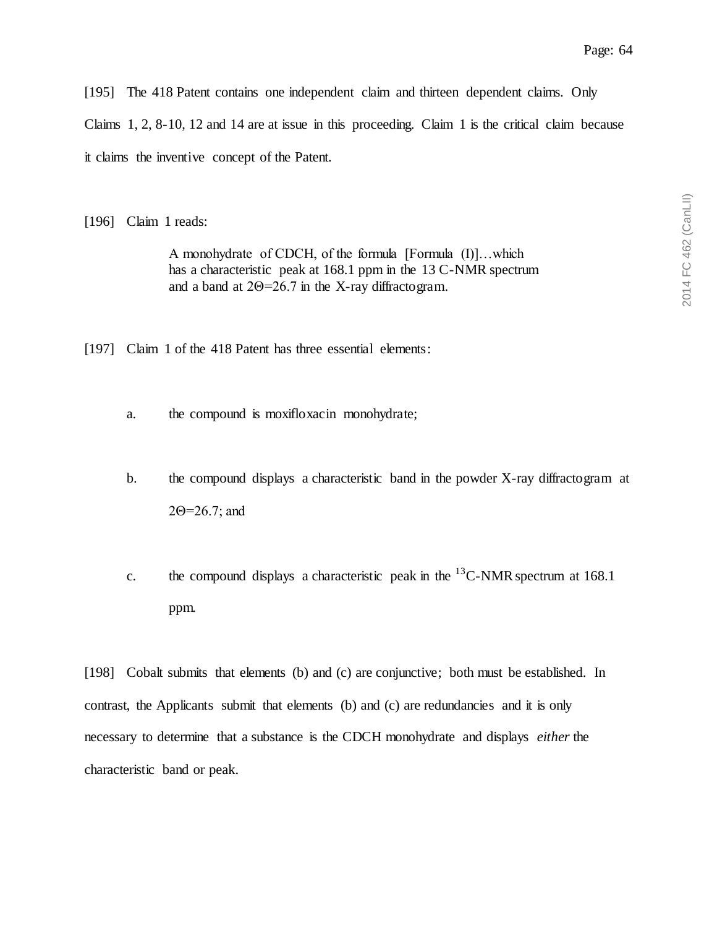[195] The 418 Patent contains one independent claim and thirteen dependent claims. Only

Claims 1, 2, 8-10, 12 and 14 are at issue in this proceeding. Claim 1 is the critical claim because

it claims the inventive concept of the Patent.

[196] Claim 1 reads:

A monohydrate of CDCH, of the formula [Formula (I)]…which has a characteristic peak at 168.1 ppm in the 13 C-NMR spectrum and a band at 2Θ=26.7 in the X-ray diffractogram.

[197] Claim 1 of the 418 Patent has three essential elements:

- a. the compound is moxifloxacin monohydrate;
- b. the compound displays a characteristic band in the powder  $X$ -ray diffractogram at 2Θ=26.7; and
- c. the compound displays a characteristic peak in the  $^{13}$ C-NMR spectrum at 168.1 ppm.

[198] Cobalt submits that elements (b) and (c) are conjunctive; both must be established. In contrast, the Applicants submit that elements (b) and (c) are redundancies and it is only necessary to determine that a substance is the CDCH monohydrate and displays *either* the characteristic band or peak.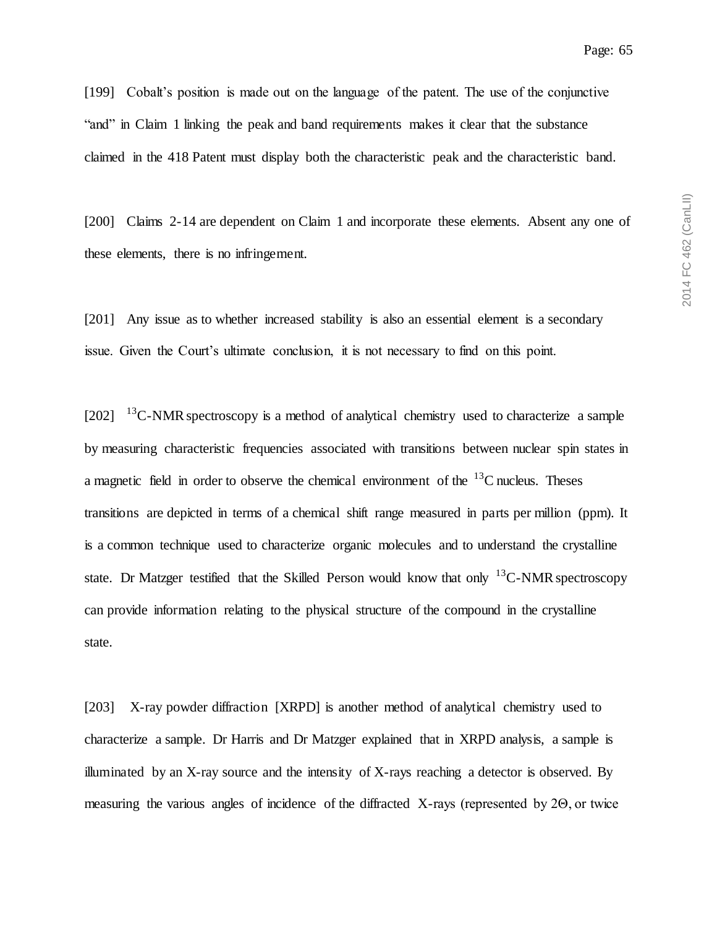[199] Cobalt's position is made out on the language of the patent. The use of the conjunctive "and" in Claim 1 linking the peak and band requirements makes it clear that the substance claimed in the 418 Patent must display both the characteristic peak and the characteristic band.

[200] Claims 2-14 are dependent on Claim 1 and incorporate these elements. Absent any one of these elements, there is no infringement.

[201] Any issue as to whether increased stability is also an essential element is a secondary issue. Given the Court's ultimate conclusion, it is not necessary to find on this point.

 $[202]$   $^{13}$ C-NMR spectroscopy is a method of analytical chemistry used to characterize a sample by measuring characteristic frequencies associated with transitions between nuclear spin states in a magnetic field in order to observe the chemical environment of the  $^{13}$ C nucleus. Theses transitions are depicted in terms of a chemical shift range measured in parts per million (ppm). It is a common technique used to characterize organic molecules and to understand the crystalline state. Dr Matzger testified that the Skilled Person would know that only  $^{13}$ C-NMR spectroscopy can provide information relating to the physical structure of the compound in the crystalline state.

[203] X-ray powder diffraction [XRPD] is another method of analytical chemistry used to characterize a sample. Dr Harris and Dr Matzger explained that in XRPD analysis, a sample is illuminated by an X-ray source and the intensity of X-rays reaching a detector is observed. By measuring the various angles of incidence of the diffracted X-rays (represented by 2Θ, or twice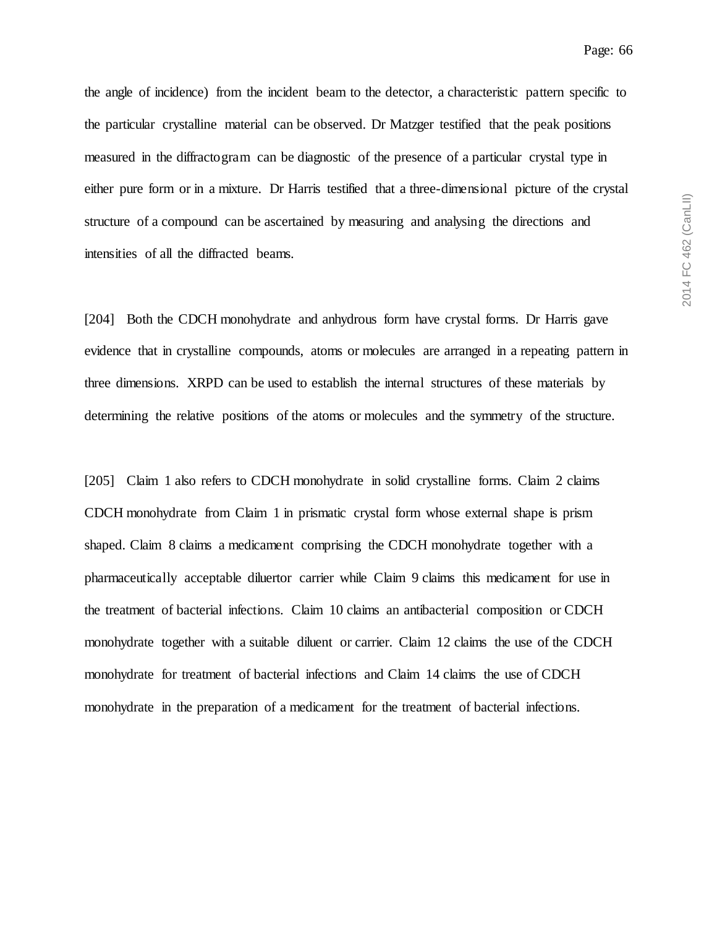the angle of incidence) from the incident beam to the detector, a characteristic pattern specific to the particular crystalline material can be observed. Dr Matzger testified that the peak positions measured in the diffractogram can be diagnostic of the presence of a particular crystal type in either pure form or in a mixture. Dr Harris testified that a three-dimensional picture of the crystal structure of a compound can be ascertained by measuring and analysing the directions and intensities of all the diffracted beams.

[204] Both the CDCH monohydrate and anhydrous form have crystal forms. Dr Harris gave evidence that in crystalline compounds, atoms or molecules are arranged in a repeating pattern in three dimensions. XRPD can be used to establish the internal structures of these materials by determining the relative positions of the atoms or molecules and the symmetry of the structure.

[205] Claim 1 also refers to CDCH monohydrate in solid crystalline forms. Claim 2 claims CDCH monohydrate from Claim 1 in prismatic crystal form whose external shape is prism shaped. Claim 8 claims a medicament comprising the CDCH monohydrate together with a pharmaceutically acceptable diluertor carrier while Claim 9 claims this medicament for use in the treatment of bacterial infections. Claim 10 claims an antibacterial composition or CDCH monohydrate together with a suitable diluent or carrier. Claim 12 claims the use of the CDCH monohydrate for treatment of bacterial infections and Claim 14 claims the use of CDCH monohydrate in the preparation of a medicament for the treatment of bacterial infections.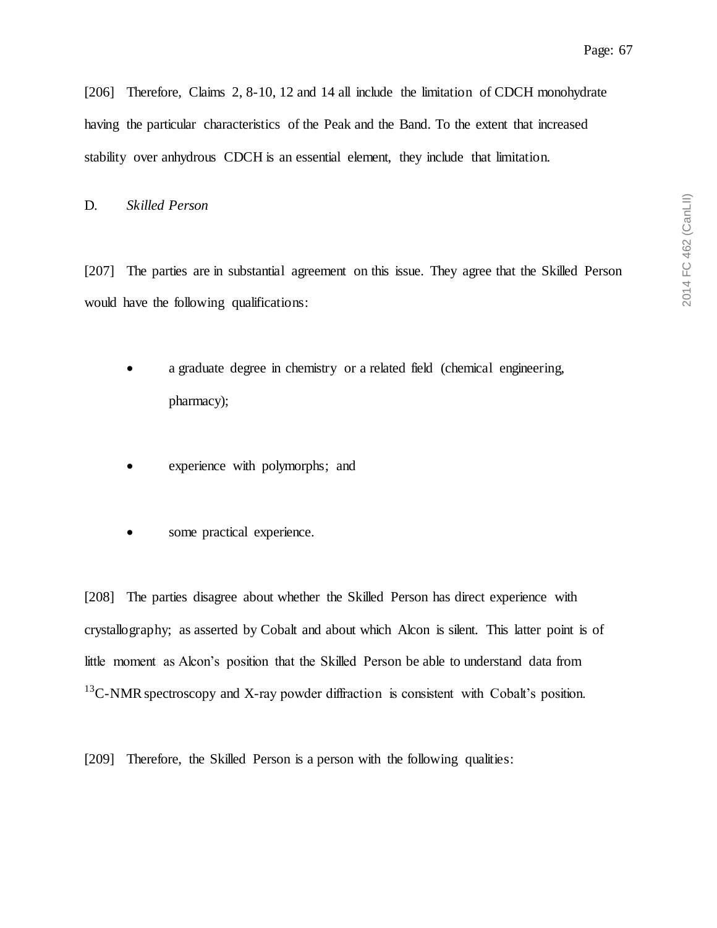[206] Therefore, Claims 2, 8-10, 12 and 14 all include the limitation of CDCH monohydrate having the particular characteristics of the Peak and the Band. To the extent that increased stability over anhydrous CDCH is an essential element, they include that limitation.

### D. *Skilled Person*

[207] The parties are in substantial agreement on this issue. They agree that the Skilled Person would have the following qualifications:

- a graduate degree in chemistry or a related field (chemical engineering, pharmacy);
- experience with polymorphs; and
- some practical experience.

[208] The parties disagree about whether the Skilled Person has direct experience with crystallography; as asserted by Cobalt and about which Alcon is silent. This latter point is of little moment as Alcon's position that the Skilled Person be able to understand data from  $^{13}$ C-NMR spectroscopy and X-ray powder diffraction is consistent with Cobalt's position.

[209] Therefore, the Skilled Person is a person with the following qualities: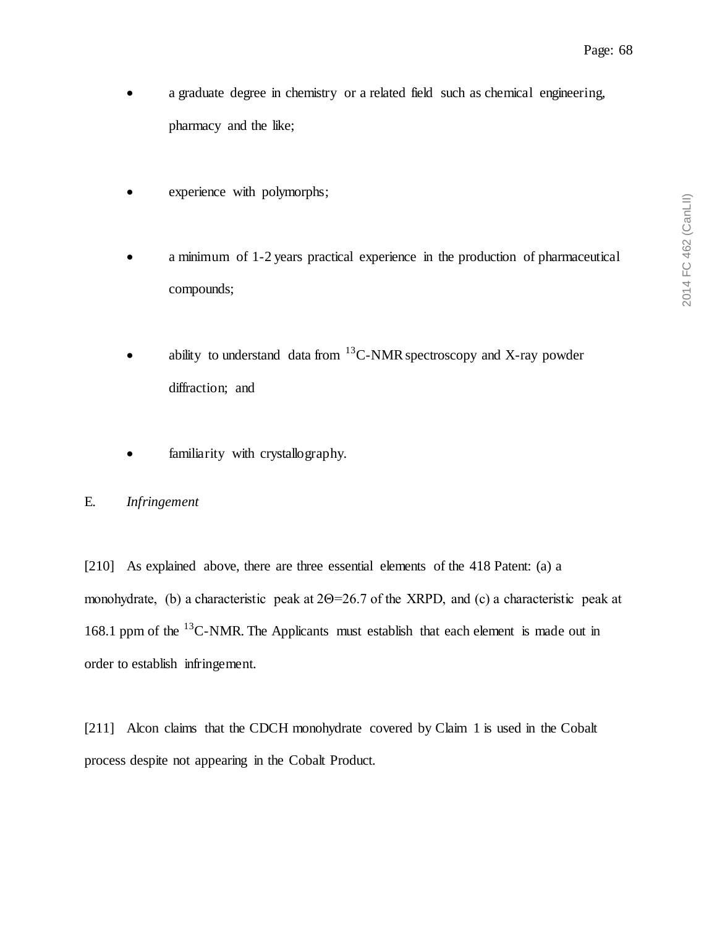- a graduate degree in chemistry or a related field such as chemical engineering, pharmacy and the like;
- experience with polymorphs;
- a minimum of 1-2 years practical experience in the production of pharmaceutical compounds;
- ability to understand data from  ${}^{13}$ C-NMR spectroscopy and X-ray powder diffraction; and
- familiarity with crystallography.

# E. *Infringement*

[210] As explained above, there are three essential elements of the 418 Patent: (a) a monohydrate, (b) a characteristic peak at 2Θ=26.7 of the XRPD, and (c) a characteristic peak at 168.1 ppm of the  $^{13}$ C-NMR. The Applicants must establish that each element is made out in order to establish infringement.

[211] Alcon claims that the CDCH monohydrate covered by Claim 1 is used in the Cobalt process despite not appearing in the Cobalt Product.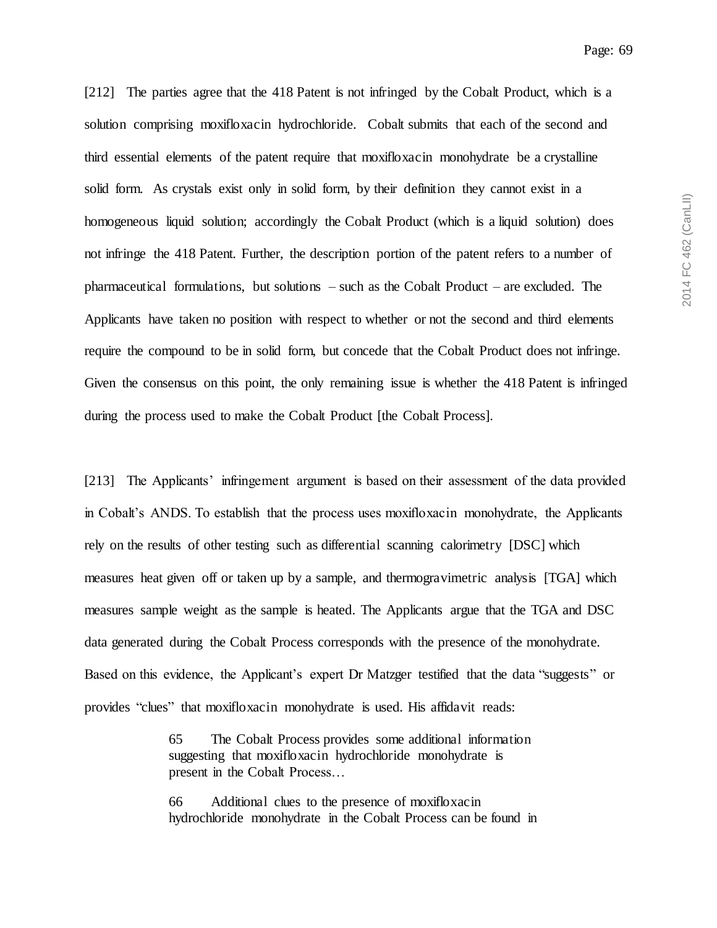[212] The parties agree that the 418 Patent is not infringed by the Cobalt Product, which is a solution comprising moxifloxacin hydrochloride. Cobalt submits that each of the second and third essential elements of the patent require that moxifloxacin monohydrate be a crystalline solid form. As crystals exist only in solid form, by their definition they cannot exist in a homogeneous liquid solution; accordingly the Cobalt Product (which is a liquid solution) does not infringe the 418 Patent. Further, the description portion of the patent refers to a number of pharmaceutical formulations, but solutions – such as the Cobalt Product – are excluded. The Applicants have taken no position with respect to whether or not the second and third elements require the compound to be in solid form, but concede that the Cobalt Product does not infringe. Given the consensus on this point, the only remaining issue is whether the 418 Patent is infringed during the process used to make the Cobalt Product [the Cobalt Process].

[213] The Applicants' infringement argument is based on their assessment of the data provided in Cobalt's ANDS. To establish that the process uses moxifloxacin monohydrate, the Applicants rely on the results of other testing such as differential scanning calorimetry [DSC] which measures heat given off or taken up by a sample, and thermogravimetric analysis [TGA] which measures sample weight as the sample is heated. The Applicants argue that the TGA and DSC data generated during the Cobalt Process corresponds with the presence of the monohydrate. Based on this evidence, the Applicant's expert Dr Matzger testified that the data "suggests" or provides "clues" that moxifloxacin monohydrate is used. His affidavit reads:

> 65 The Cobalt Process provides some additional information suggesting that moxifloxacin hydrochloride monohydrate is present in the Cobalt Process…

66 Additional clues to the presence of moxifloxacin hydrochloride monohydrate in the Cobalt Process can be found in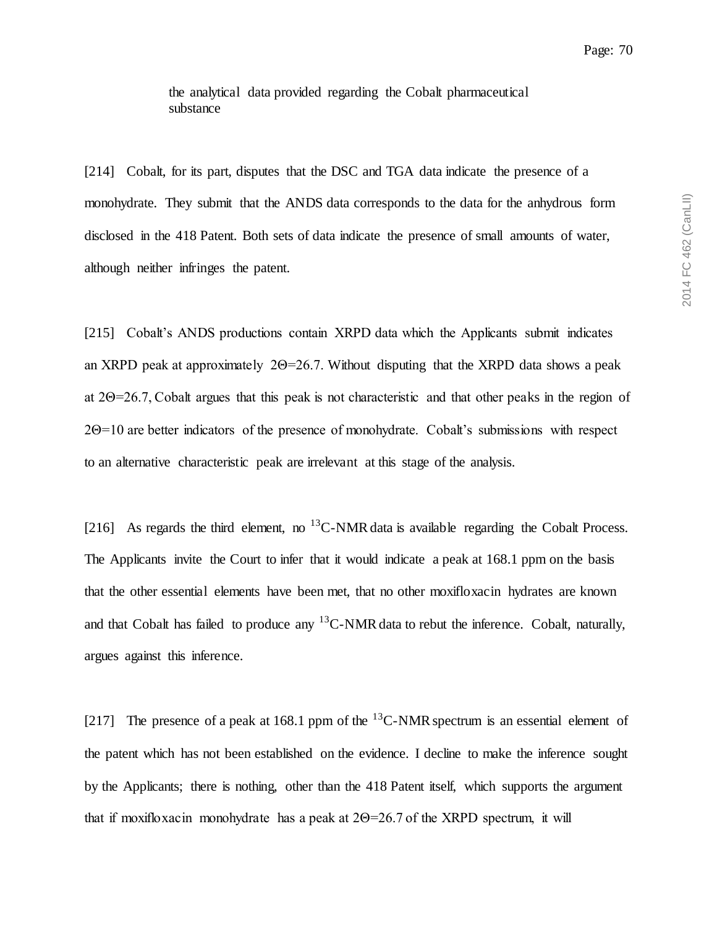[214] Cobalt, for its part, disputes that the DSC and TGA data indicate the presence of a monohydrate. They submit that the ANDS data corresponds to the data for the anhydrous form disclosed in the 418 Patent. Both sets of data indicate the presence of small amounts of water, although neither infringes the patent.

[215] Cobalt's ANDS productions contain XRPD data which the Applicants submit indicates an XRPD peak at approximately 2Θ=26.7. Without disputing that the XRPD data shows a peak at 2Θ=26.7, Cobalt argues that this peak is not characteristic and that other peaks in the region of 2Θ=10 are better indicators of the presence of monohydrate. Cobalt's submissions with respect to an alternative characteristic peak are irrelevant at this stage of the analysis.

[216] As regards the third element, no <sup>13</sup>C-NMR data is available regarding the Cobalt Process. The Applicants invite the Court to infer that it would indicate a peak at 168.1 ppm on the basis that the other essential elements have been met, that no other moxifloxacin hydrates are known and that Cobalt has failed to produce any  ${}^{13}$ C-NMR data to rebut the inference. Cobalt, naturally, argues against this inference.

[217] The presence of a peak at 168.1 ppm of the  $^{13}$ C-NMR spectrum is an essential element of the patent which has not been established on the evidence. I decline to make the inference sought by the Applicants; there is nothing, other than the 418 Patent itself, which supports the argument that if moxifloxacin monohydrate has a peak at  $2\Theta = 26.7$  of the XRPD spectrum, it will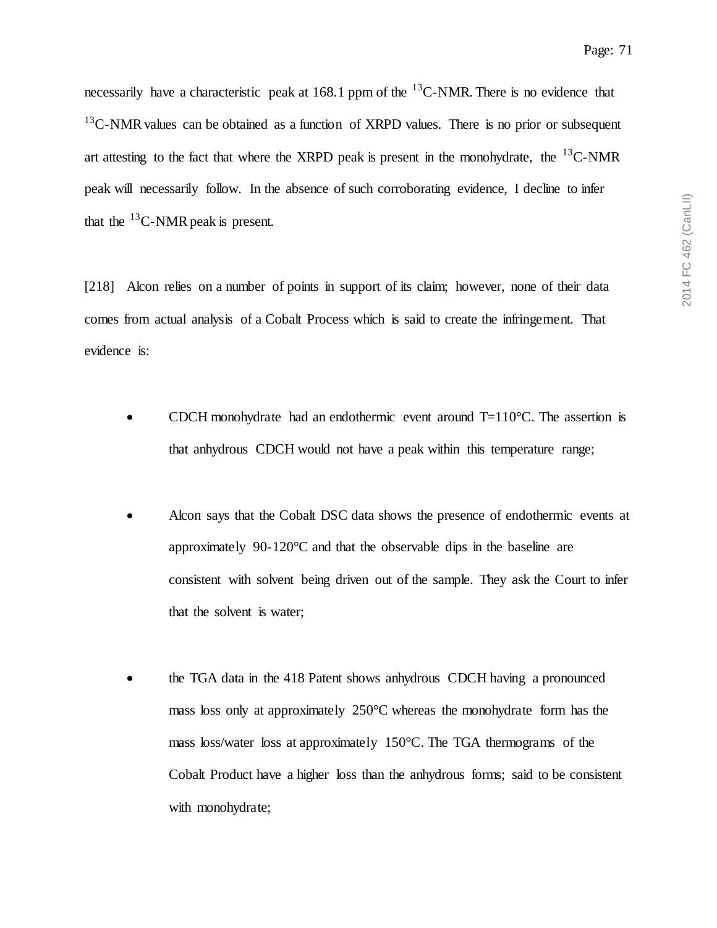necessarily have a characteristic peak at 168.1 ppm of the  $^{13}$ C-NMR. There is no evidence that  $13^{\circ}$ C-NMR values can be obtained as a function of XRPD values. There is no prior or subsequent art attesting to the fact that where the XRPD peak is present in the monohydrate, the  $^{13}$ C-NMR peak will necessarily follow. In the absence of such corroborating evidence, I decline to infer that the  $^{13}$ C-NMR peak is present.

[218] Alcon relies on a number of points in support of its claim; however, none of their data comes from actual analysis of a Cobalt Process which is said to create the infringement. That evidence is:

- CDCH monohydrate had an endothermic event around  $T=110^{\circ}$ C. The assertion is that anhydrous CDCH would not have a peak within this temperature range;
- Alcon says that the Cobalt DSC data shows the presence of endothermic events at approximately 90-120°C and that the observable dips in the baseline are consistent with solvent being driven out of the sample. They ask the Court to infer that the solvent is water;
- the TGA data in the 418 Patent shows anhydrous CDCH having a pronounced mass loss only at approximately 250°C whereas the monohydrate form has the mass loss/water loss at approximately 150°C. The TGA thermograms of the Cobalt Product have a higher loss than the anhydrous forms; said to be consistent with monohydrate;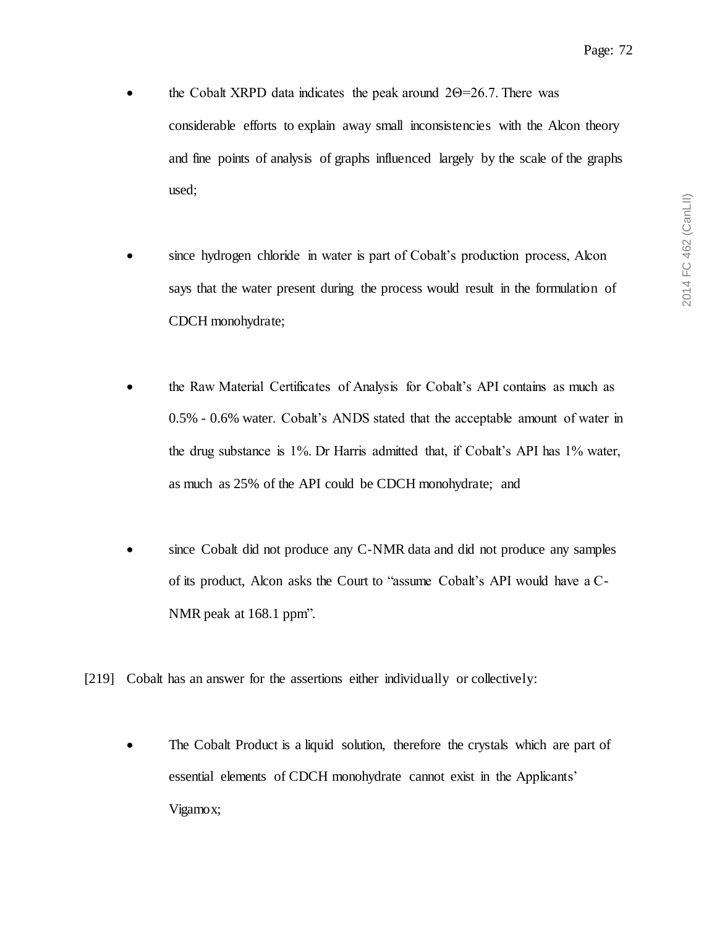- the Cobalt XRPD data indicates the peak around  $2\Theta = 26.7$ . There was considerable efforts to explain away small inconsistencies with the Alcon theory and fine points of analysis of graphs influenced largely by the scale of the graphs used;
- since hydrogen chloride in water is part of Cobalt's production process, Alcon says that the water present during the process would result in the formulation of CDCH monohydrate;
- the Raw Material Certificates of Analysis for Cobalt's API contains as much as 0.5% - 0.6% water. Cobalt's ANDS stated that the acceptable amount of water in the drug substance is 1%. Dr Harris admitted that, if Cobalt's API has 1% water, as much as 25% of the API could be CDCH monohydrate; and
- since Cobalt did not produce any C-NMR data and did not produce any samples of its product, Alcon asks the Court to "assume Cobalt's API would have a C-NMR peak at 168.1 ppm".
- [219] Cobalt has an answer for the assertions either individually or collectively:
	- The Cobalt Product is a liquid solution, therefore the crystals which are part of essential elements of CDCH monohydrate cannot exist in the Applicants' Vigamox;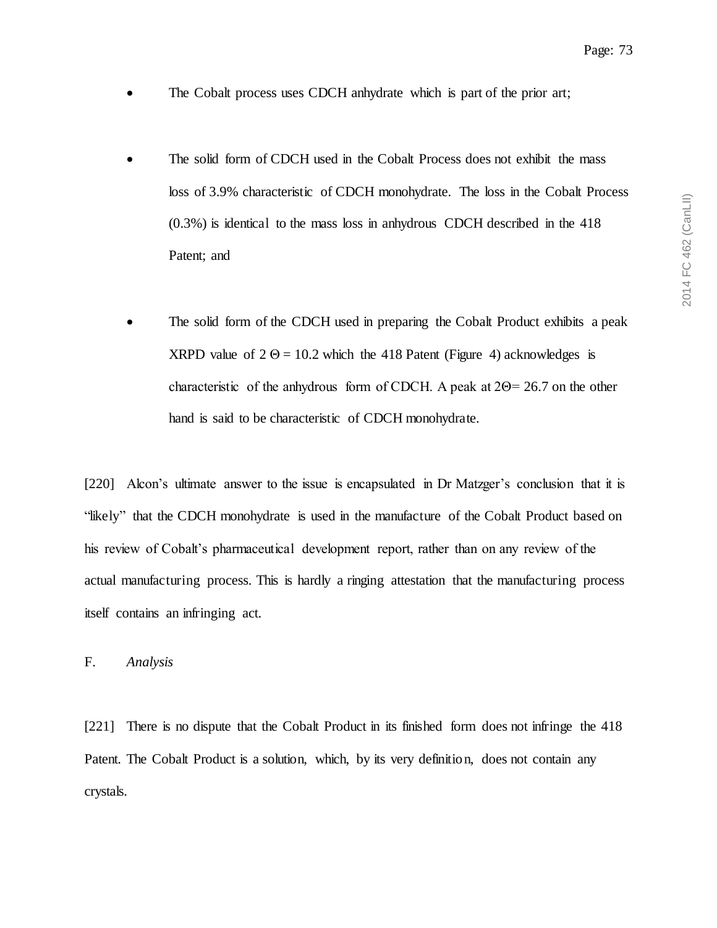- The Cobalt process uses CDCH anhydrate which is part of the prior art;
- The solid form of CDCH used in the Cobalt Process does not exhibit the mass loss of 3.9% characteristic of CDCH monohydrate. The loss in the Cobalt Process (0.3%) is identical to the mass loss in anhydrous CDCH described in the 418 Patent; and
- The solid form of the CDCH used in preparing the Cobalt Product exhibits a peak XRPD value of  $2 \Theta = 10.2$  which the 418 Patent (Figure 4) acknowledges is characteristic of the anhydrous form of CDCH. A peak at 2Θ= 26.7 on the other hand is said to be characteristic of CDCH monohydrate.

[220] Alcon's ultimate answer to the issue is encapsulated in Dr Matzger's conclusion that it is "likely" that the CDCH monohydrate is used in the manufacture of the Cobalt Product based on his review of Cobalt's pharmaceutical development report, rather than on any review of the actual manufacturing process. This is hardly a ringing attestation that the manufacturing process itself contains an infringing act.

#### F. *Analysis*

[221] There is no dispute that the Cobalt Product in its finished form does not infringe the 418 Patent. The Cobalt Product is a solution, which, by its very definition, does not contain any crystals.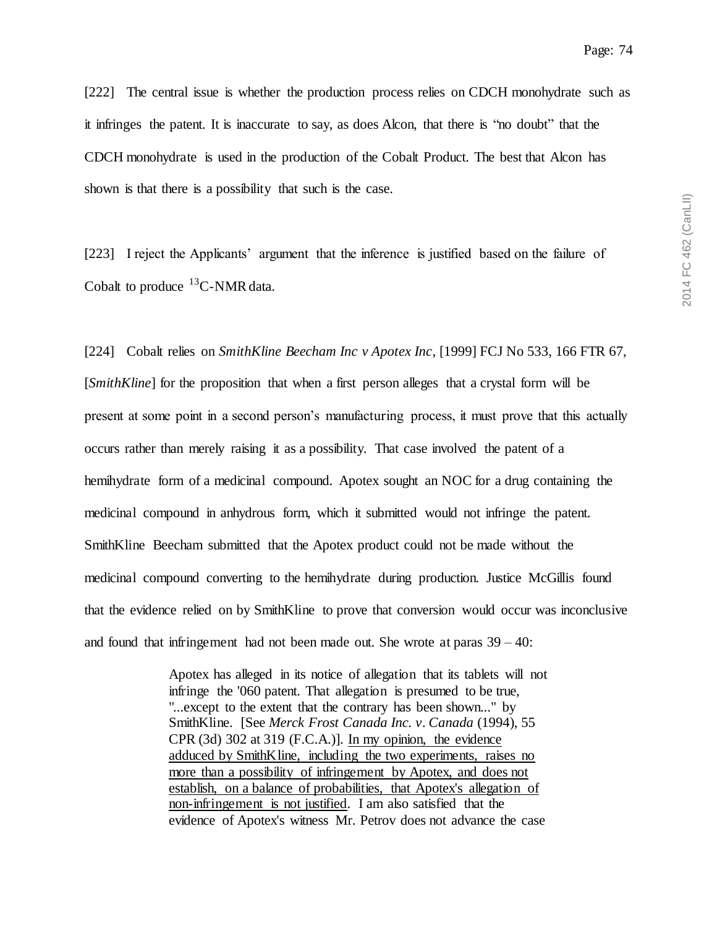[222] The central issue is whether the production process relies on CDCH monohydrate such as it infringes the patent. It is inaccurate to say, as does Alcon, that there is "no doubt" that the CDCH monohydrate is used in the production of the Cobalt Product. The best that Alcon has shown is that there is a possibility that such is the case.

[223] I reject the Applicants' argument that the inference is justified based on the failure of Cobalt to produce  ${}^{13}$ C-NMR data.

[224] Cobalt relies on *SmithKline Beecham Inc v Apotex Inc*, [1999] FCJ No 533, 166 FTR 67, [*SmithKline*] for the proposition that when a first person alleges that a crystal form will be present at some point in a second person's manufacturing process, it must prove that this actually occurs rather than merely raising it as a possibility. That case involved the patent of a hemihydrate form of a medicinal compound. Apotex sought an NOC for a drug containing the medicinal compound in anhydrous form, which it submitted would not infringe the patent. SmithKline Beecham submitted that the Apotex product could not be made without the medicinal compound converting to the hemihydrate during production. Justice McGillis found that the evidence relied on by SmithKline to prove that conversion would occur was inconclusive and found that infringement had not been made out. She wrote at paras  $39 - 40$ :

> Apotex has alleged in its notice of allegation that its tablets will not infringe the '060 patent. That allegation is presumed to be true, "...except to the extent that the contrary has been shown..." by SmithKline. [See *Merck Frost Canada Inc. v. Canada* (1994), 55 CPR (3d) 302 at 319 (F.C.A.)]. In my opinion, the evidence adduced by SmithKline, including the two experiments, raises no more than a possibility of infringement by Apotex, and does not establish, on a balance of probabilities, that Apotex's allegation of non-infringement is not justified. I am also satisfied that the evidence of Apotex's witness Mr. Petrov does not advance the case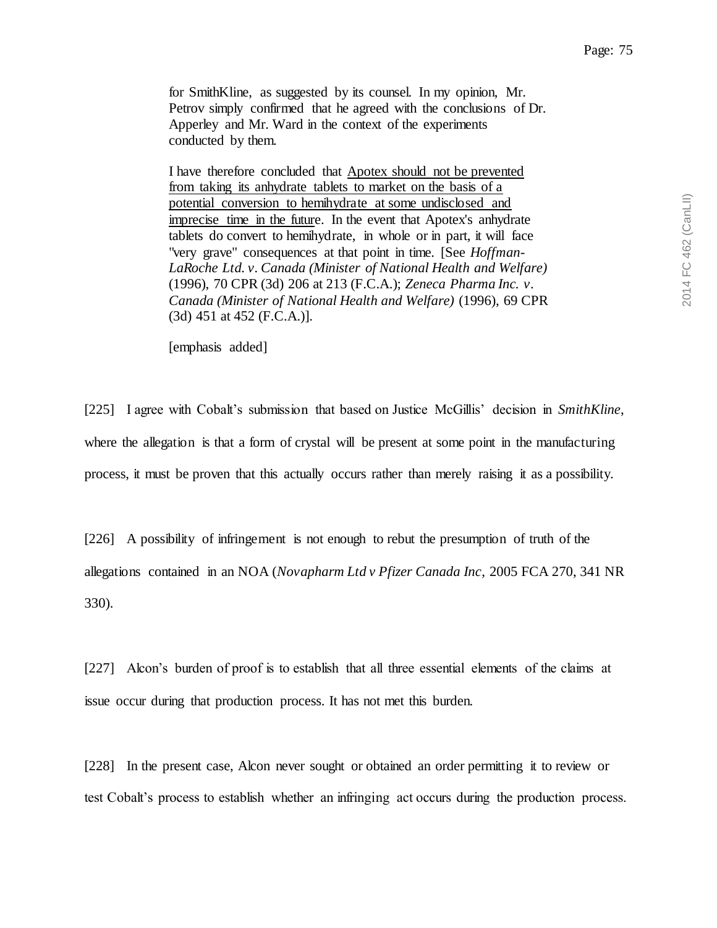for SmithKline, as suggested by its counsel. In my opinion, Mr. Petrov simply confirmed that he agreed with the conclusions of Dr. Apperley and Mr. Ward in the context of the experiments conducted by them.

I have therefore concluded that Apotex should not be prevented from taking its anhydrate tablets to market on the basis of a potential conversion to hemihydrate at some undisclosed and imprecise time in the future. In the event that Apotex's anhydrate tablets do convert to hemihydrate, in whole or in part, it will face "very grave" consequences at that point in time. [See *Hoffman-LaRoche Ltd. v. Canada (Minister of National Health and Welfare)* (1996), 70 CPR (3d) 206 at 213 (F.C.A.); *Zeneca Pharma Inc. v. Canada (Minister of National Health and Welfare)* (1996), 69 CPR (3d) 451 at 452 (F.C.A.)].

[emphasis added]

[225] I agree with Cobalt's submission that based on Justice McGillis' decision in *SmithKline*, where the allegation is that a form of crystal will be present at some point in the manufacturing process, it must be proven that this actually occurs rather than merely raising it as a possibility.

[226] A possibility of infringement is not enough to rebut the presumption of truth of the allegations contained in an NOA (*Novapharm Ltd v Pfizer Canada Inc*, 2005 FCA 270, 341 NR 330).

[227] Alcon's burden of proof is to establish that all three essential elements of the claims at issue occur during that production process. It has not met this burden.

[228] In the present case, Alcon never sought or obtained an order permitting it to review or test Cobalt's process to establish whether an infringing act occurs during the production process.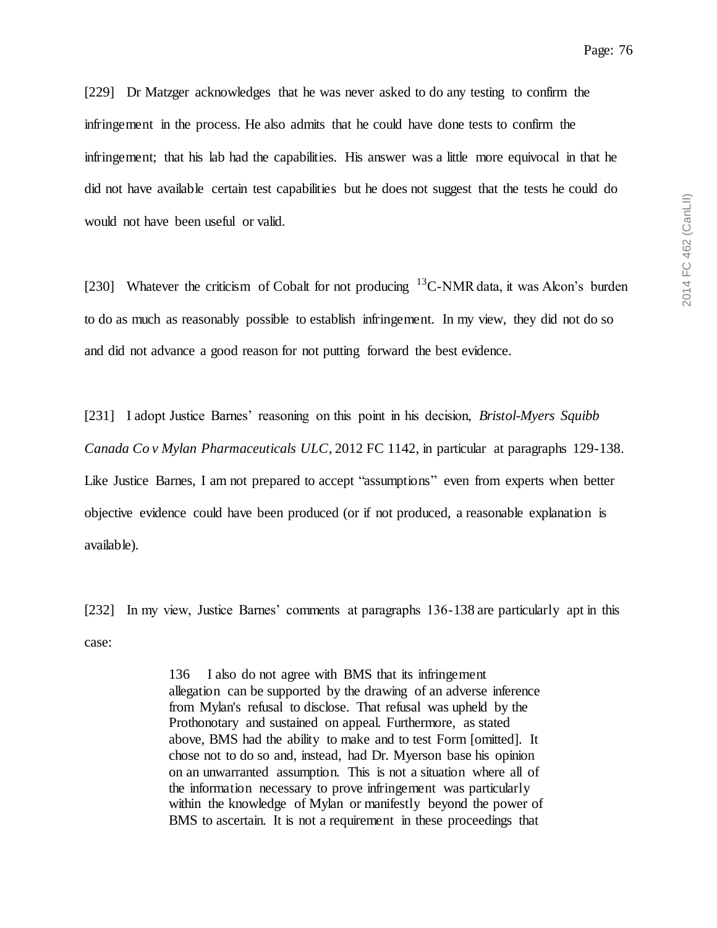[229] Dr Matzger acknowledges that he was never asked to do any testing to confirm the infringement in the process. He also admits that he could have done tests to confirm the infringement; that his lab had the capabilities. His answer was a little more equivocal in that he did not have available certain test capabilities but he does not suggest that the tests he could do would not have been useful or valid.

[230] Whatever the criticism of Cobalt for not producing  ${}^{13}$ C-NMR data, it was Alcon's burden to do as much as reasonably possible to establish infringement. In my view, they did not do so and did not advance a good reason for not putting forward the best evidence.

[231] I adopt Justice Barnes' reasoning on this point in his decision, *Bristol-Myers Squibb Canada Co v Mylan Pharmaceuticals ULC*, 2012 FC 1142, in particular at paragraphs 129-138. Like Justice Barnes, I am not prepared to accept "assumptions" even from experts when better objective evidence could have been produced (or if not produced, a reasonable explanation is available).

[232] In my view, Justice Barnes' comments at paragraphs 136-138 are particularly apt in this case:

> 136 I also do not agree with BMS that its infringement allegation can be supported by the drawing of an adverse inference from Mylan's refusal to disclose. That refusal was upheld by the Prothonotary and sustained on appeal. Furthermore, as stated above, BMS had the ability to make and to test Form [omitted]. It chose not to do so and, instead, had Dr. Myerson base his opinion on an unwarranted assumption. This is not a situation where all of the information necessary to prove infringement was particularly within the knowledge of Mylan or manifestly beyond the power of BMS to ascertain. It is not a requirement in these proceedings that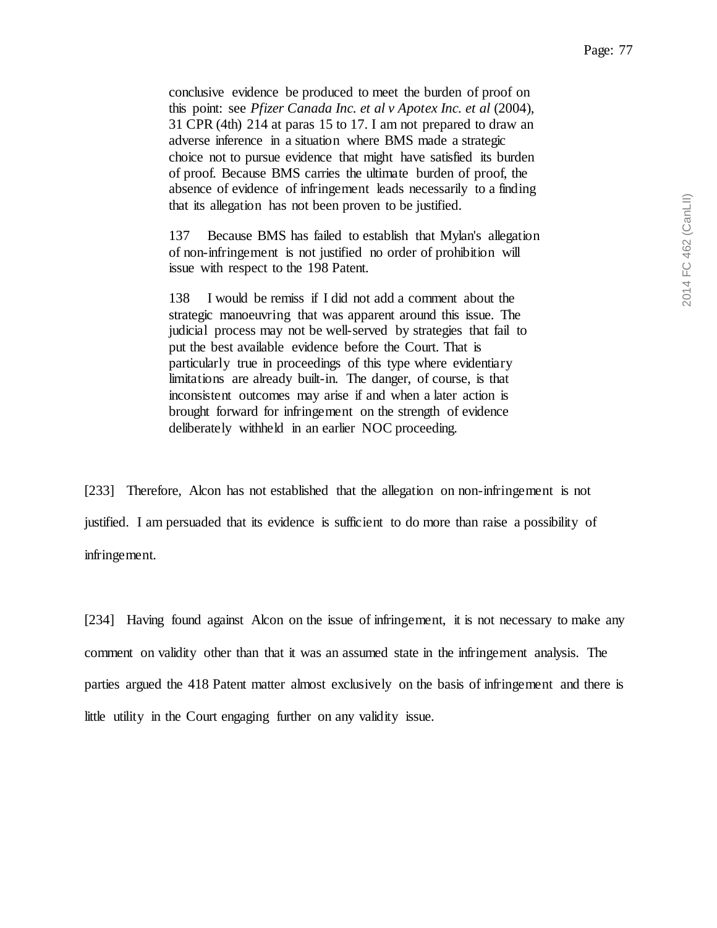conclusive evidence be produced to meet the burden of proof on this point: see *Pfizer Canada Inc. et al v Apotex Inc. et al* (2004), 31 CPR (4th) 214 at paras 15 to 17. I am not prepared to draw an adverse inference in a situation where BMS made a strategic choice not to pursue evidence that might have satisfied its burden of proof. Because BMS carries the ultimate burden of proof, the absence of evidence of infringement leads necessarily to a finding that its allegation has not been proven to be justified.

137 Because BMS has failed to establish that Mylan's allegation of non-infringement is not justified no order of prohibition will issue with respect to the 198 Patent.

138 I would be remiss if I did not add a comment about the strategic manoeuvring that was apparent around this issue. The judicial process may not be well-served by strategies that fail to put the best available evidence before the Court. That is particularly true in proceedings of this type where evidentiary limitations are already built-in. The danger, of course, is that inconsistent outcomes may arise if and when a later action is brought forward for infringement on the strength of evidence deliberately withheld in an earlier NOC proceeding.

[233] Therefore, Alcon has not established that the allegation on non-infringement is not justified. I am persuaded that its evidence is sufficient to do more than raise a possibility of infringement.

[234] Having found against Alcon on the issue of infringement, it is not necessary to make any comment on validity other than that it was an assumed state in the infringement analysis. The parties argued the 418 Patent matter almost exclusively on the basis of infringement and there is little utility in the Court engaging further on any validity issue.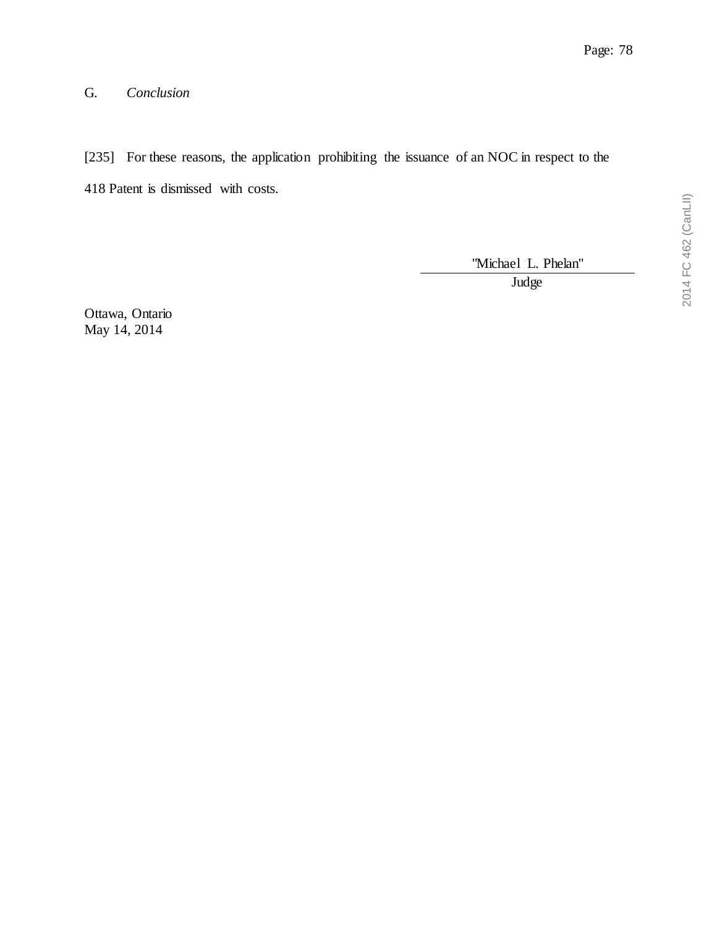# G. *Conclusion*

[235] For these reasons, the application prohibiting the issuance of an NOC in respect to the 418 Patent is dismissed with costs.

"Michael L. Phelan"

**Judge** 

Ottawa, Ontario May 14, 2014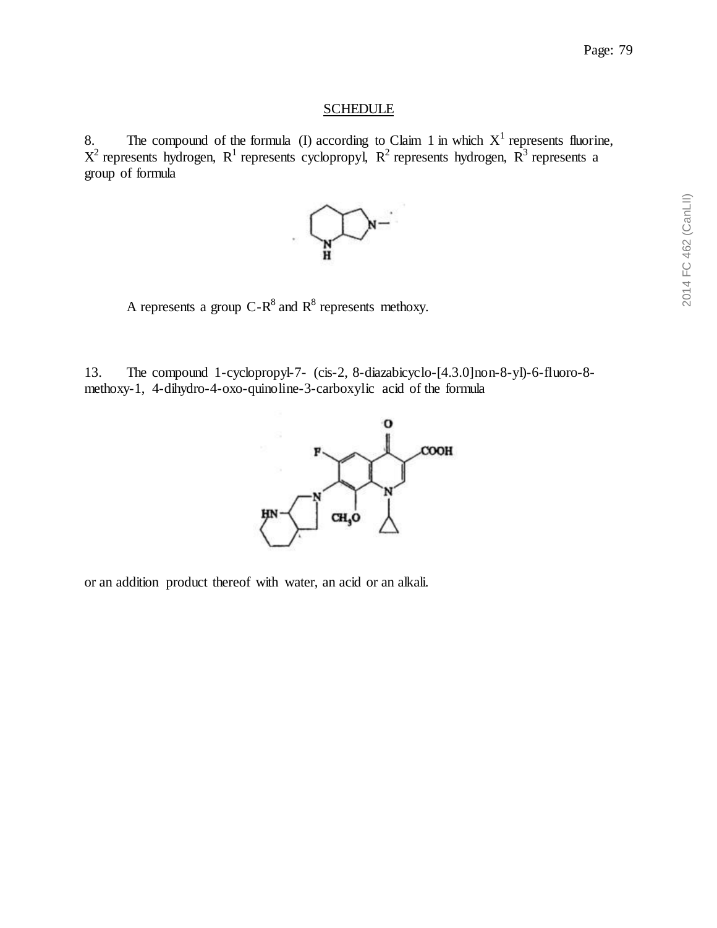### **SCHEDULE**

8. The compound of the formula (I) according to Claim 1 in which  $X<sup>1</sup>$  represents fluorine,  $X^2$  represents hydrogen,  $R^1$  represents cyclopropyl,  $R^2$  represents hydrogen,  $R^3$  represents a group of formula



A represents a group C- $R^8$  and  $R^8$  represents methoxy.

13. The compound 1-cyclopropyl-7- (cis-2, 8-diazabicyclo-[4.3.0]non-8-yl)-6-fluoro-8 methoxy-1, 4-dihydro-4-oxo-quinoline-3-carboxylic acid of the formula



or an addition product thereof with water, an acid or an alkali.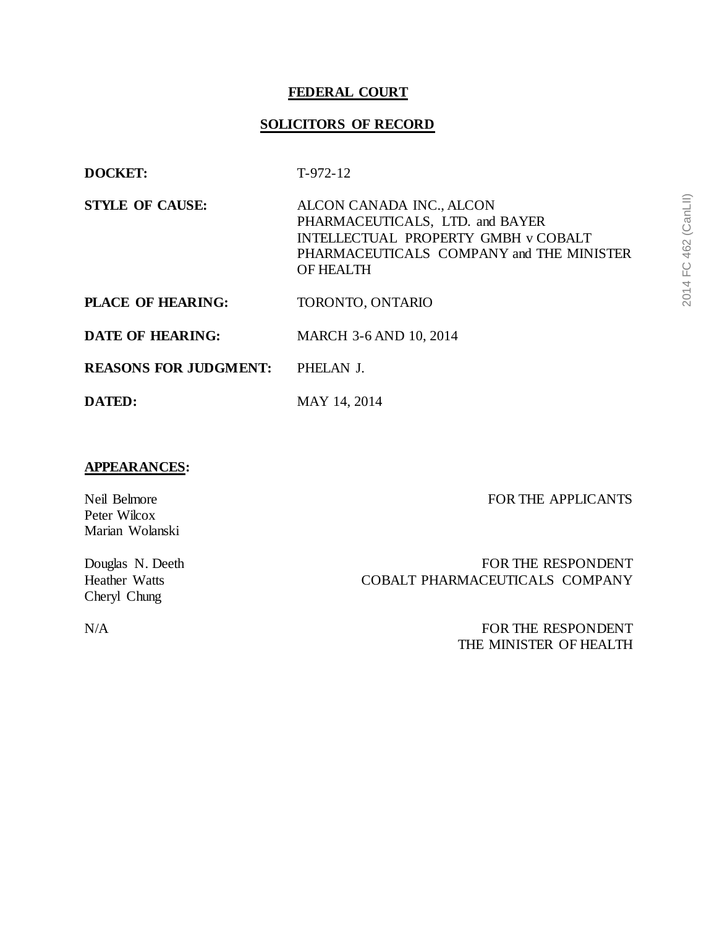### **FEDERAL COURT**

### **SOLICITORS OF RECORD**

- **DOCKET:** T-972-12
- **STYLE OF CAUSE:** ALCON CANADA INC., ALCON PHARMACEUTICALS, LTD. and BAYER INTELLECTUAL PROPERTY GMBH v COBALT PHARMACEUTICALS COMPANY and THE MINISTER OF HEALTH
- PLACE OF HEARING: TORONTO, ONTARIO
- **DATE OF HEARING:** MARCH 3-6 AND 10, 2014
- **REASONS FOR JUDGMENT:** PHELAN J.
- **DATED:** MAY 14, 2014

#### **APPEARANCES:**

FOR THE APPLICANTS

Neil Belmore Peter Wilcox Marian Wolanski

Douglas N. Deeth Heather Watts Cheryl Chung

FOR THE RESPONDENT COBALT PHARMACEUTICALS COMPANY

N/A FOR THE RESPONDENT THE MINISTER OF HEALTH